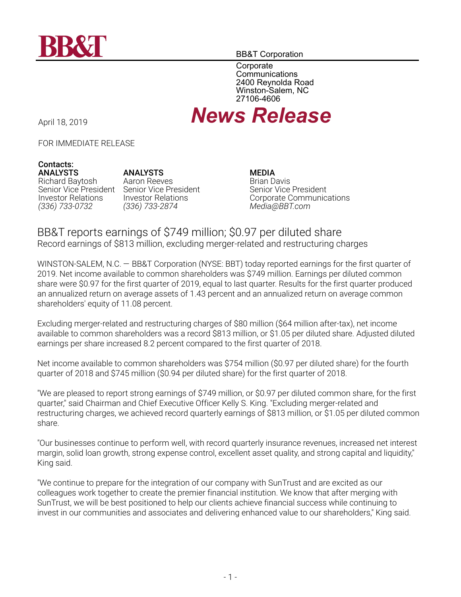

BB&T Corporation

**Corporate Communications** 2400 Reynolda Road Winston-Salem, NC 27106-4606

# April 18, 2019 *News Release*

FOR IMMEDIATE RELEASE

#### **Contacts: ANALYSTS**

Richard Baytosh Senior Vice President Investor Relations *(336) 733-0732*

**ANALYSTS** Aaron Reeves Senior Vice President Investor Relations *(336) 733-2874*

**MEDIA** Brian Davis Senior Vice President Corporate Communications *Media@BBT.com*

# BB&T reports earnings of \$749 million; \$0.97 per diluted share Record earnings of \$813 million, excluding merger-related and restructuring charges

WINSTON-SALEM, N.C. — BB&T Corporation (NYSE: BBT) today reported earnings for the first quarter of 2019. Net income available to common shareholders was \$749 million. Earnings per diluted common share were \$0.97 for the first quarter of 2019, equal to last quarter. Results for the first quarter produced an annualized return on average assets of 1.43 percent and an annualized return on average common shareholders' equity of 11.08 percent.

Excluding merger-related and restructuring charges of \$80 million (\$64 million after-tax), net income available to common shareholders was a record \$813 million, or \$1.05 per diluted share. Adjusted diluted earnings per share increased 8.2 percent compared to the first quarter of 2018.

Net income available to common shareholders was \$754 million (\$0.97 per diluted share) for the fourth quarter of 2018 and \$745 million (\$0.94 per diluted share) for the first quarter of 2018.

"We are pleased to report strong earnings of \$749 million, or \$0.97 per diluted common share, for the first quarter," said Chairman and Chief Executive Officer Kelly S. King. "Excluding merger-related and restructuring charges, we achieved record quarterly earnings of \$813 million, or \$1.05 per diluted common share.

"Our businesses continue to perform well, with record quarterly insurance revenues, increased net interest margin, solid loan growth, strong expense control, excellent asset quality, and strong capital and liquidity," King said.

"We continue to prepare for the integration of our company with SunTrust and are excited as our colleagues work together to create the premier financial institution. We know that after merging with SunTrust, we will be best positioned to help our clients achieve financial success while continuing to invest in our communities and associates and delivering enhanced value to our shareholders," King said.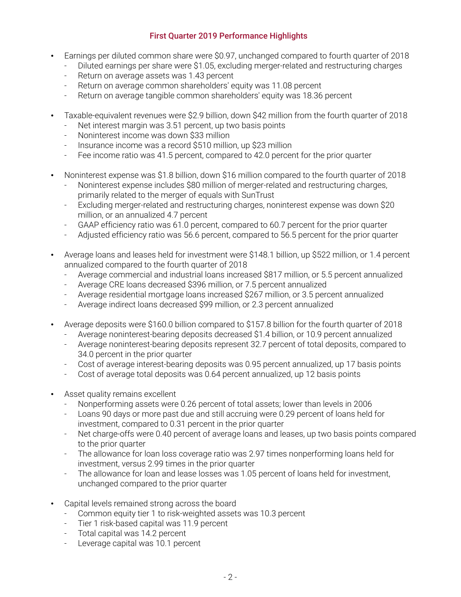# **First Quarter 2019 Performance Highlights**

- Earnings per diluted common share were \$0.97, unchanged compared to fourth quarter of 2018
	- Diluted earnings per share were \$1.05, excluding merger-related and restructuring charges
	- Return on average assets was 1.43 percent
	- Return on average common shareholders' equity was 11.08 percent
	- Return on average tangible common shareholders' equity was 18.36 percent
- Taxable-equivalent revenues were \$2.9 billion, down \$42 million from the fourth quarter of 2018
	- Net interest margin was 3.51 percent, up two basis points
	- Noninterest income was down \$33 million
	- Insurance income was a record \$510 million, up \$23 million
	- Fee income ratio was 41.5 percent, compared to 42.0 percent for the prior quarter
- Noninterest expense was \$1.8 billion, down \$16 million compared to the fourth quarter of 2018
	- Noninterest expense includes \$80 million of merger-related and restructuring charges, primarily related to the merger of equals with SunTrust
	- Excluding merger-related and restructuring charges, noninterest expense was down \$20 million, or an annualized 4.7 percent
	- GAAP efficiency ratio was 61.0 percent, compared to 60.7 percent for the prior quarter
	- Adjusted efficiency ratio was 56.6 percent, compared to 56.5 percent for the prior quarter
- Average loans and leases held for investment were \$148.1 billion, up \$522 million, or 1.4 percent annualized compared to the fourth quarter of 2018
	- Average commercial and industrial loans increased \$817 million, or 5.5 percent annualized
	- Average CRE loans decreased \$396 million, or 7.5 percent annualized
	- Average residential mortgage loans increased \$267 million, or 3.5 percent annualized
	- Average indirect loans decreased \$99 million, or 2.3 percent annualized
- Average deposits were \$160.0 billion compared to \$157.8 billion for the fourth quarter of 2018
	- Average noninterest-bearing deposits decreased \$1.4 billion, or 10.9 percent annualized
	- Average noninterest-bearing deposits represent 32.7 percent of total deposits, compared to 34.0 percent in the prior quarter
	- Cost of average interest-bearing deposits was 0.95 percent annualized, up 17 basis points
	- Cost of average total deposits was 0.64 percent annualized, up 12 basis points
- Asset quality remains excellent
	- Nonperforming assets were 0.26 percent of total assets; lower than levels in 2006
	- Loans 90 days or more past due and still accruing were 0.29 percent of loans held for investment, compared to 0.31 percent in the prior quarter
	- Net charge-offs were 0.40 percent of average loans and leases, up two basis points compared to the prior quarter
	- The allowance for loan loss coverage ratio was 2.97 times nonperforming loans held for investment, versus 2.99 times in the prior quarter
	- The allowance for loan and lease losses was 1.05 percent of loans held for investment, unchanged compared to the prior quarter
- Capital levels remained strong across the board
	- Common equity tier 1 to risk-weighted assets was 10.3 percent
	- Tier 1 risk-based capital was 11.9 percent
	- Total capital was 14.2 percent
	- Leverage capital was 10.1 percent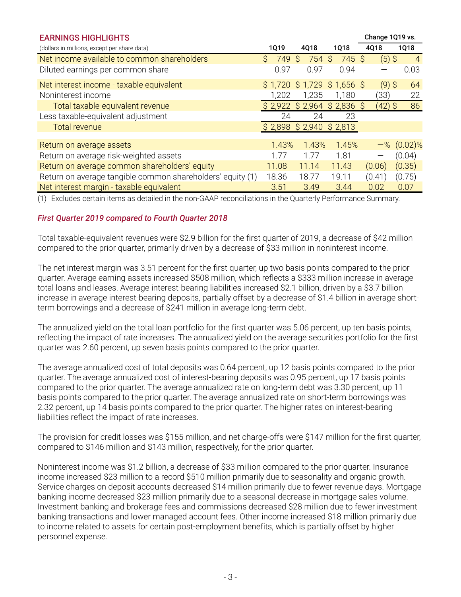| <b>EARNINGS HIGHLIGHTS</b>                                 |                     |                             |             | Change 1Q19 vs. |                  |  |
|------------------------------------------------------------|---------------------|-----------------------------|-------------|-----------------|------------------|--|
| (dollars in millions, except per share data)               | <b>1Q19</b>         | 4Q18                        | <b>1Q18</b> | 4Q18            | 1Q18             |  |
| Net income available to common shareholders                | $\mathsf{S}$<br>749 | 754 \$<br>Ŝ                 | 745 \$      | $(5)$ \$        | $\overline{4}$   |  |
| Diluted earnings per common share                          | 0.97                | 0.97                        | 0.94        |                 | 0.03             |  |
| Net interest income - taxable equivalent                   |                     | $$1,720$ \$1,729 \$1,656 \$ |             | $(9)$ \$        | 64               |  |
| Noninterest income                                         | 1,202               | 1,235                       | 1,180       | (33)            | 22               |  |
| Total taxable-equivalent revenue                           | \$2,922             | $$2,964$ \$ 2,836 \$        |             | (42) \$         | 86               |  |
| Less taxable-equivalent adjustment                         | 24                  | 24                          | 23          |                 |                  |  |
| <b>Total revenue</b>                                       |                     | $$2,898$ $$2,940$ $$2,813$  |             |                 |                  |  |
|                                                            |                     |                             |             |                 |                  |  |
| Return on average assets                                   | 1.43%               | 1.43%                       | 1.45%       |                 | $-$ % $(0.02)$ % |  |
| Return on average risk-weighted assets                     | . 77                | 1.77                        | 1.81        |                 | (0.04)           |  |
| Return on average common shareholders' equity              | 11.08               | 11.14                       | 11.43       | (0.06)          | (0.35)           |  |
| Return on average tangible common shareholders' equity (1) | 18.36               | 18.77                       | 19.11       | (0.41)          | (0.75)           |  |
| Net interest margin - taxable equivalent                   | 3.51                | 3.49                        | 3.44        | 0.02            | 0.07             |  |

(1) Excludes certain items as detailed in the non-GAAP reconciliations in the Quarterly Performance Summary.

# *First Quarter 2019 compared to Fourth Quarter 2018*

Total taxable-equivalent revenues were \$2.9 billion for the first quarter of 2019, a decrease of \$42 million compared to the prior quarter, primarily driven by a decrease of \$33 million in noninterest income.

The net interest margin was 3.51 percent for the first quarter, up two basis points compared to the prior quarter. Average earning assets increased \$508 million, which reflects a \$333 million increase in average total loans and leases. Average interest-bearing liabilities increased \$2.1 billion, driven by a \$3.7 billion increase in average interest-bearing deposits, partially offset by a decrease of \$1.4 billion in average shortterm borrowings and a decrease of \$241 million in average long-term debt.

The annualized yield on the total loan portfolio for the first quarter was 5.06 percent, up ten basis points, reflecting the impact of rate increases. The annualized yield on the average securities portfolio for the first quarter was 2.60 percent, up seven basis points compared to the prior quarter.

The average annualized cost of total deposits was 0.64 percent, up 12 basis points compared to the prior quarter. The average annualized cost of interest-bearing deposits was 0.95 percent, up 17 basis points compared to the prior quarter. The average annualized rate on long-term debt was 3.30 percent, up 11 basis points compared to the prior quarter. The average annualized rate on short-term borrowings was 2.32 percent, up 14 basis points compared to the prior quarter. The higher rates on interest-bearing liabilities reflect the impact of rate increases.

The provision for credit losses was \$155 million, and net charge-offs were \$147 million for the first quarter, compared to \$146 million and \$143 million, respectively, for the prior quarter.

Noninterest income was \$1.2 billion, a decrease of \$33 million compared to the prior quarter. Insurance income increased \$23 million to a record \$510 million primarily due to seasonality and organic growth. Service charges on deposit accounts decreased \$14 million primarily due to fewer revenue days. Mortgage banking income decreased \$23 million primarily due to a seasonal decrease in mortgage sales volume. Investment banking and brokerage fees and commissions decreased \$28 million due to fewer investment banking transactions and lower managed account fees. Other income increased \$18 million primarily due to income related to assets for certain post-employment benefits, which is partially offset by higher personnel expense.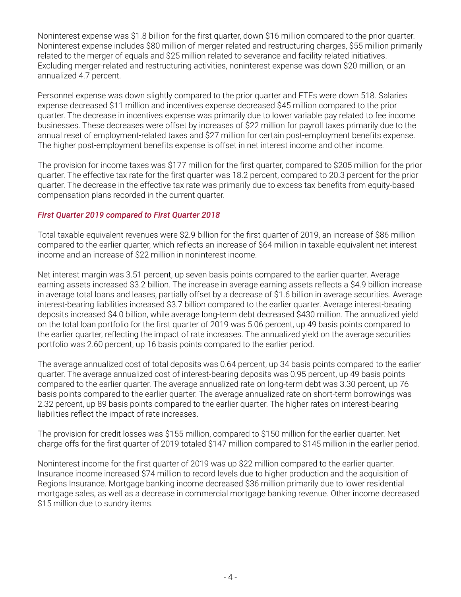Noninterest expense was \$1.8 billion for the first quarter, down \$16 million compared to the prior quarter. Noninterest expense includes \$80 million of merger-related and restructuring charges, \$55 million primarily related to the merger of equals and \$25 million related to severance and facility-related initiatives. Excluding merger-related and restructuring activities, noninterest expense was down \$20 million, or an annualized 4.7 percent.

Personnel expense was down slightly compared to the prior quarter and FTEs were down 518. Salaries expense decreased \$11 million and incentives expense decreased \$45 million compared to the prior quarter. The decrease in incentives expense was primarily due to lower variable pay related to fee income businesses. These decreases were offset by increases of \$22 million for payroll taxes primarily due to the annual reset of employment-related taxes and \$27 million for certain post-employment benefits expense. The higher post-employment benefits expense is offset in net interest income and other income.

The provision for income taxes was \$177 million for the first quarter, compared to \$205 million for the prior quarter. The effective tax rate for the first quarter was 18.2 percent, compared to 20.3 percent for the prior quarter. The decrease in the effective tax rate was primarily due to excess tax benefits from equity-based compensation plans recorded in the current quarter.

# *First Quarter 2019 compared to First Quarter 2018*

Total taxable-equivalent revenues were \$2.9 billion for the first quarter of 2019, an increase of \$86 million compared to the earlier quarter, which reflects an increase of \$64 million in taxable-equivalent net interest income and an increase of \$22 million in noninterest income.

Net interest margin was 3.51 percent, up seven basis points compared to the earlier quarter. Average earning assets increased \$3.2 billion. The increase in average earning assets reflects a \$4.9 billion increase in average total loans and leases, partially offset by a decrease of \$1.6 billion in average securities. Average interest-bearing liabilities increased \$3.7 billion compared to the earlier quarter. Average interest-bearing deposits increased \$4.0 billion, while average long-term debt decreased \$430 million. The annualized yield on the total loan portfolio for the first quarter of 2019 was 5.06 percent, up 49 basis points compared to the earlier quarter, reflecting the impact of rate increases. The annualized yield on the average securities portfolio was 2.60 percent, up 16 basis points compared to the earlier period.

The average annualized cost of total deposits was 0.64 percent, up 34 basis points compared to the earlier quarter. The average annualized cost of interest-bearing deposits was 0.95 percent, up 49 basis points compared to the earlier quarter. The average annualized rate on long-term debt was 3.30 percent, up 76 basis points compared to the earlier quarter. The average annualized rate on short-term borrowings was 2.32 percent, up 89 basis points compared to the earlier quarter. The higher rates on interest-bearing liabilities reflect the impact of rate increases.

The provision for credit losses was \$155 million, compared to \$150 million for the earlier quarter. Net charge-offs for the first quarter of 2019 totaled \$147 million compared to \$145 million in the earlier period.

Noninterest income for the first quarter of 2019 was up \$22 million compared to the earlier quarter. Insurance income increased \$74 million to record levels due to higher production and the acquisition of Regions Insurance. Mortgage banking income decreased \$36 million primarily due to lower residential mortgage sales, as well as a decrease in commercial mortgage banking revenue. Other income decreased \$15 million due to sundry items.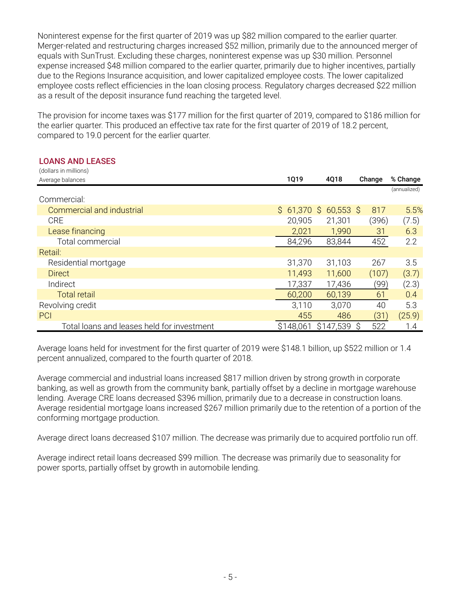Noninterest expense for the first quarter of 2019 was up \$82 million compared to the earlier quarter. Merger-related and restructuring charges increased \$52 million, primarily due to the announced merger of equals with SunTrust. Excluding these charges, noninterest expense was up \$30 million. Personnel expense increased \$48 million compared to the earlier quarter, primarily due to higher incentives, partially due to the Regions Insurance acquisition, and lower capitalized employee costs. The lower capitalized employee costs reflect efficiencies in the loan closing process. Regulatory charges decreased \$22 million as a result of the deposit insurance fund reaching the targeted level.

The provision for income taxes was \$177 million for the first quarter of 2019, compared to \$186 million for the earlier quarter. This produced an effective tax rate for the first quarter of 2019 of 18.2 percent, compared to 19.0 percent for the earlier quarter.

#### **LOANS AND LEASES**

| (dollars in millions)                      |              |             |          |              |  |
|--------------------------------------------|--------------|-------------|----------|--------------|--|
| Average balances                           | <b>1Q19</b>  | 4Q18        | Change   | % Change     |  |
|                                            |              |             |          | (annualized) |  |
| Commercial:                                |              |             |          |              |  |
| Commercial and industrial                  | $$61,370$ \$ | $60,553$ \$ | 817      | 5.5%         |  |
| <b>CRE</b>                                 | 20,905       | 21,301      | (396)    | (7.5)        |  |
| Lease financing                            | 2,021        | 1,990       | 31       | 6.3          |  |
| Total commercial                           | 84,296       | 83,844      | 452      | 2.2          |  |
| Retail:                                    |              |             |          |              |  |
| Residential mortgage                       | 31,370       | 31,103      | 267      | 3.5          |  |
| <b>Direct</b>                              | 11,493       | 11,600      | (107)    | (3.7)        |  |
| Indirect                                   | 17,337       | 17,436      | (99)     | (2.3)        |  |
| <b>Total retail</b>                        | 60,200       | 60,139      | 61       | 0.4          |  |
| Revolving credit                           | 3,110        | 3,070       | 40       | 5.3          |  |
| PCI                                        | 455          | 486         | (31)     | (25.9)       |  |
| Total loans and leases held for investment | \$148,061    | \$147,539   | 522<br>S | 1.4          |  |

Average loans held for investment for the first quarter of 2019 were \$148.1 billion, up \$522 million or 1.4 percent annualized, compared to the fourth quarter of 2018.

Average commercial and industrial loans increased \$817 million driven by strong growth in corporate banking, as well as growth from the community bank, partially offset by a decline in mortgage warehouse lending. Average CRE loans decreased \$396 million, primarily due to a decrease in construction loans. Average residential mortgage loans increased \$267 million primarily due to the retention of a portion of the conforming mortgage production.

Average direct loans decreased \$107 million. The decrease was primarily due to acquired portfolio run off.

Average indirect retail loans decreased \$99 million. The decrease was primarily due to seasonality for power sports, partially offset by growth in automobile lending.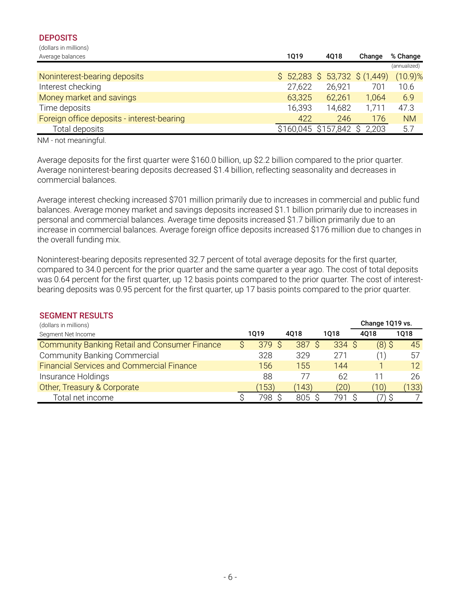#### **DEPOSITS** (dollars in millions)

Average balances **1Q19 4Q18 Change % Change** (annualized) Noninterest-bearing deposits \$ 52,283 \$ 53,732 \$ (1,449) (10.9)% Interest checking 27,622 26,921 701 10.6 Money market and savings 63,325 62,261 1,064 6.9 Time deposits 16,393 14,682 1,711 47.3 Foreign office deposits - interest-bearing 1990 120 120 120 1246 176 NM Total deposits \$160,045 \$157,842 \$ 2,203 5.7

NM - not meaningful.

Average deposits for the first quarter were \$160.0 billion, up \$2.2 billion compared to the prior quarter. Average noninterest-bearing deposits decreased \$1.4 billion, reflecting seasonality and decreases in commercial balances.

Average interest checking increased \$701 million primarily due to increases in commercial and public fund balances. Average money market and savings deposits increased \$1.1 billion primarily due to increases in personal and commercial balances. Average time deposits increased \$1.7 billion primarily due to an increase in commercial balances. Average foreign office deposits increased \$176 million due to changes in the overall funding mix.

Noninterest-bearing deposits represented 32.7 percent of total average deposits for the first quarter, compared to 34.0 percent for the prior quarter and the same quarter a year ago. The cost of total deposits was 0.64 percent for the first quarter, up 12 basis points compared to the prior quarter. The cost of interestbearing deposits was 0.95 percent for the first quarter, up 17 basis points compared to the prior quarter.

| <b>SEGMENT RESULTS</b>                               |       |        |       |                 |       |
|------------------------------------------------------|-------|--------|-------|-----------------|-------|
| (dollars in millions)                                |       |        |       | Change 1Q19 vs. |       |
| Segment Net Income                                   | 1019  | 4018   | 1018  | 4018            | 1018  |
| <b>Community Banking Retail and Consumer Finance</b> | 379S  | 387 \$ | 334 S | $(8)$ \$        | 45    |
| <b>Community Banking Commercial</b>                  | 328   | 329    | 271   |                 | 57    |
| <b>Financial Services and Commercial Finance</b>     | 156   | 155    | 144   |                 | 12    |
| Insurance Holdings                                   | 88    | 77     | 62    | 11              | 26    |
| Other, Treasury & Corporate                          | (153) | (143)  | (20)  | (10             | (133) |
| Total net income                                     | 798.  | 805    | 791   |                 |       |

#### **SEGMENT RESULTS**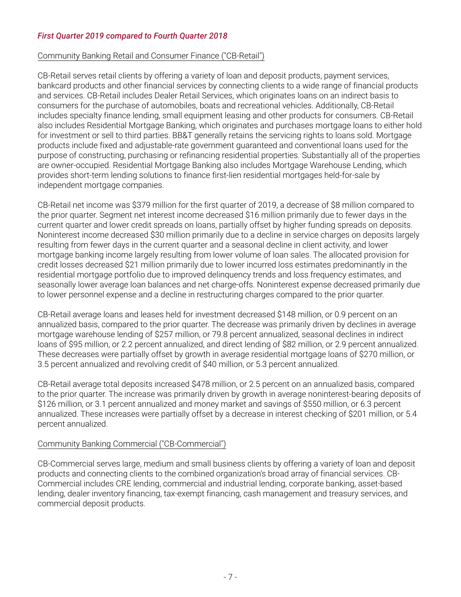# *First Quarter 2019 compared to Fourth Quarter 2018*

# Community Banking Retail and Consumer Finance ("CB-Retail")

CB-Retail serves retail clients by offering a variety of loan and deposit products, payment services, bankcard products and other financial services by connecting clients to a wide range of financial products and services. CB-Retail includes Dealer Retail Services, which originates loans on an indirect basis to consumers for the purchase of automobiles, boats and recreational vehicles. Additionally, CB-Retail includes specialty finance lending, small equipment leasing and other products for consumers. CB-Retail also includes Residential Mortgage Banking, which originates and purchases mortgage loans to either hold for investment or sell to third parties. BB&T generally retains the servicing rights to loans sold. Mortgage products include fixed and adjustable-rate government guaranteed and conventional loans used for the purpose of constructing, purchasing or refinancing residential properties. Substantially all of the properties are owner-occupied. Residential Mortgage Banking also includes Mortgage Warehouse Lending, which provides short-term lending solutions to finance first-lien residential mortgages held-for-sale by independent mortgage companies.

CB-Retail net income was \$379 million for the first quarter of 2019, a decrease of \$8 million compared to the prior quarter. Segment net interest income decreased \$16 million primarily due to fewer days in the current quarter and lower credit spreads on loans, partially offset by higher funding spreads on deposits. Noninterest income decreased \$30 million primarily due to a decline in service charges on deposits largely resulting from fewer days in the current quarter and a seasonal decline in client activity, and lower mortgage banking income largely resulting from lower volume of loan sales. The allocated provision for credit losses decreased \$21 million primarily due to lower incurred loss estimates predominantly in the residential mortgage portfolio due to improved delinquency trends and loss frequency estimates, and seasonally lower average loan balances and net charge-offs. Noninterest expense decreased primarily due to lower personnel expense and a decline in restructuring charges compared to the prior quarter.

CB-Retail average loans and leases held for investment decreased \$148 million, or 0.9 percent on an annualized basis, compared to the prior quarter. The decrease was primarily driven by declines in average mortgage warehouse lending of \$257 million, or 79.8 percent annualized, seasonal declines in indirect loans of \$95 million, or 2.2 percent annualized, and direct lending of \$82 million, or 2.9 percent annualized. These decreases were partially offset by growth in average residential mortgage loans of \$270 million, or 3.5 percent annualized and revolving credit of \$40 million, or 5.3 percent annualized.

CB-Retail average total deposits increased \$478 million, or 2.5 percent on an annualized basis, compared to the prior quarter. The increase was primarily driven by growth in average noninterest-bearing deposits of \$126 million, or 3.1 percent annualized and money market and savings of \$550 million, or 6.3 percent annualized. These increases were partially offset by a decrease in interest checking of \$201 million, or 5.4 percent annualized.

# Community Banking Commercial ("CB-Commercial")

CB-Commercial serves large, medium and small business clients by offering a variety of loan and deposit products and connecting clients to the combined organization's broad array of financial services. CB-Commercial includes CRE lending, commercial and industrial lending, corporate banking, asset-based lending, dealer inventory financing, tax-exempt financing, cash management and treasury services, and commercial deposit products.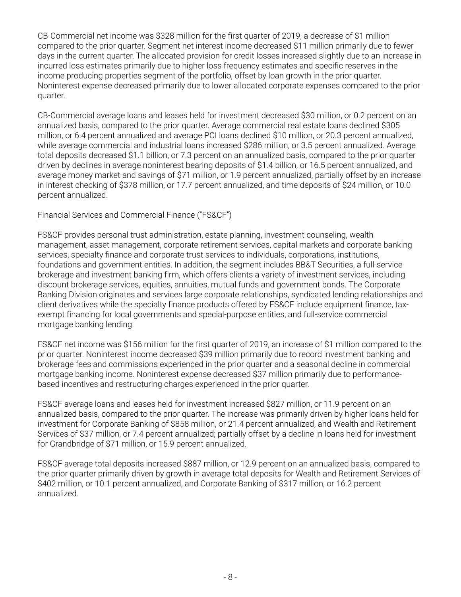CB-Commercial net income was \$328 million for the first quarter of 2019, a decrease of \$1 million compared to the prior quarter. Segment net interest income decreased \$11 million primarily due to fewer days in the current quarter. The allocated provision for credit losses increased slightly due to an increase in incurred loss estimates primarily due to higher loss frequency estimates and specific reserves in the income producing properties segment of the portfolio, offset by loan growth in the prior quarter. Noninterest expense decreased primarily due to lower allocated corporate expenses compared to the prior quarter.

CB-Commercial average loans and leases held for investment decreased \$30 million, or 0.2 percent on an annualized basis, compared to the prior quarter. Average commercial real estate loans declined \$305 million, or 6.4 percent annualized and average PCI loans declined \$10 million, or 20.3 percent annualized, while average commercial and industrial loans increased \$286 million, or 3.5 percent annualized. Average total deposits decreased \$1.1 billion, or 7.3 percent on an annualized basis, compared to the prior quarter driven by declines in average noninterest bearing deposits of \$1.4 billion, or 16.5 percent annualized, and average money market and savings of \$71 million, or 1.9 percent annualized, partially offset by an increase in interest checking of \$378 million, or 17.7 percent annualized, and time deposits of \$24 million, or 10.0 percent annualized.

# Financial Services and Commercial Finance ("FS&CF")

FS&CF provides personal trust administration, estate planning, investment counseling, wealth management, asset management, corporate retirement services, capital markets and corporate banking services, specialty finance and corporate trust services to individuals, corporations, institutions, foundations and government entities. In addition, the segment includes BB&T Securities, a full-service brokerage and investment banking firm, which offers clients a variety of investment services, including discount brokerage services, equities, annuities, mutual funds and government bonds. The Corporate Banking Division originates and services large corporate relationships, syndicated lending relationships and client derivatives while the specialty finance products offered by FS&CF include equipment finance, taxexempt financing for local governments and special-purpose entities, and full-service commercial mortgage banking lending.

FS&CF net income was \$156 million for the first quarter of 2019, an increase of \$1 million compared to the prior quarter. Noninterest income decreased \$39 million primarily due to record investment banking and brokerage fees and commissions experienced in the prior quarter and a seasonal decline in commercial mortgage banking income. Noninterest expense decreased \$37 million primarily due to performancebased incentives and restructuring charges experienced in the prior quarter.

FS&CF average loans and leases held for investment increased \$827 million, or 11.9 percent on an annualized basis, compared to the prior quarter. The increase was primarily driven by higher loans held for investment for Corporate Banking of \$858 million, or 21.4 percent annualized, and Wealth and Retirement Services of \$37 million, or 7.4 percent annualized; partially offset by a decline in loans held for investment for Grandbridge of \$71 million, or 15.9 percent annualized.

FS&CF average total deposits increased \$887 million, or 12.9 percent on an annualized basis, compared to the prior quarter primarily driven by growth in average total deposits for Wealth and Retirement Services of \$402 million, or 10.1 percent annualized, and Corporate Banking of \$317 million, or 16.2 percent annualized.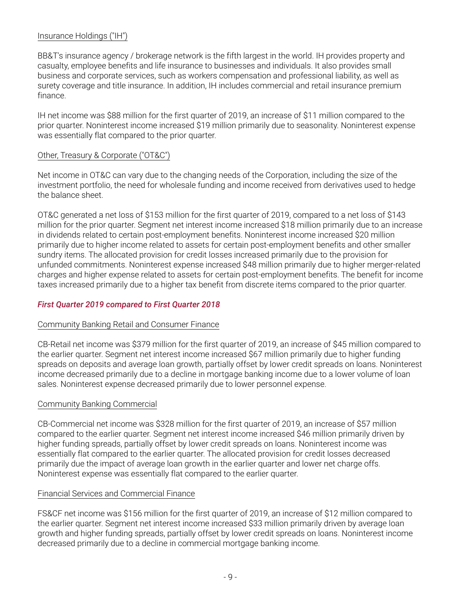# Insurance Holdings ("IH")

BB&T's insurance agency / brokerage network is the fifth largest in the world. IH provides property and casualty, employee benefits and life insurance to businesses and individuals. It also provides small business and corporate services, such as workers compensation and professional liability, as well as surety coverage and title insurance. In addition, IH includes commercial and retail insurance premium finance.

IH net income was \$88 million for the first quarter of 2019, an increase of \$11 million compared to the prior quarter. Noninterest income increased \$19 million primarily due to seasonality. Noninterest expense was essentially flat compared to the prior quarter.

#### Other, Treasury & Corporate ("OT&C")

Net income in OT&C can vary due to the changing needs of the Corporation, including the size of the investment portfolio, the need for wholesale funding and income received from derivatives used to hedge the balance sheet.

OT&C generated a net loss of \$153 million for the first quarter of 2019, compared to a net loss of \$143 million for the prior quarter. Segment net interest income increased \$18 million primarily due to an increase in dividends related to certain post-employment benefits. Noninterest income increased \$20 million primarily due to higher income related to assets for certain post-employment benefits and other smaller sundry items. The allocated provision for credit losses increased primarily due to the provision for unfunded commitments. Noninterest expense increased \$48 million primarily due to higher merger-related charges and higher expense related to assets for certain post-employment benefits. The benefit for income taxes increased primarily due to a higher tax benefit from discrete items compared to the prior quarter.

# *First Quarter 2019 compared to First Quarter 2018*

#### Community Banking Retail and Consumer Finance

CB-Retail net income was \$379 million for the first quarter of 2019, an increase of \$45 million compared to the earlier quarter. Segment net interest income increased \$67 million primarily due to higher funding spreads on deposits and average loan growth, partially offset by lower credit spreads on loans. Noninterest income decreased primarily due to a decline in mortgage banking income due to a lower volume of loan sales. Noninterest expense decreased primarily due to lower personnel expense.

#### Community Banking Commercial

CB-Commercial net income was \$328 million for the first quarter of 2019, an increase of \$57 million compared to the earlier quarter. Segment net interest income increased \$46 million primarily driven by higher funding spreads, partially offset by lower credit spreads on loans. Noninterest income was essentially flat compared to the earlier quarter. The allocated provision for credit losses decreased primarily due the impact of average loan growth in the earlier quarter and lower net charge offs. Noninterest expense was essentially flat compared to the earlier quarter.

# Financial Services and Commercial Finance

FS&CF net income was \$156 million for the first quarter of 2019, an increase of \$12 million compared to the earlier quarter. Segment net interest income increased \$33 million primarily driven by average loan growth and higher funding spreads, partially offset by lower credit spreads on loans. Noninterest income decreased primarily due to a decline in commercial mortgage banking income.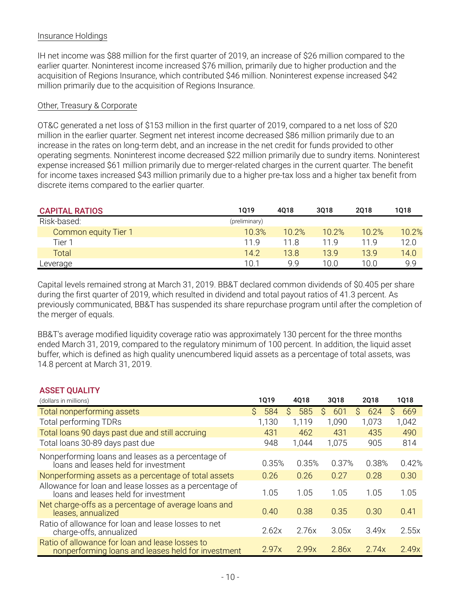# Insurance Holdings

IH net income was \$88 million for the first quarter of 2019, an increase of \$26 million compared to the earlier quarter. Noninterest income increased \$76 million, primarily due to higher production and the acquisition of Regions Insurance, which contributed \$46 million. Noninterest expense increased \$42 million primarily due to the acquisition of Regions Insurance.

# Other, Treasury & Corporate

OT&C generated a net loss of \$153 million in the first quarter of 2019, compared to a net loss of \$20 million in the earlier quarter. Segment net interest income decreased \$86 million primarily due to an increase in the rates on long-term debt, and an increase in the net credit for funds provided to other operating segments. Noninterest income decreased \$22 million primarily due to sundry items. Noninterest expense increased \$61 million primarily due to merger-related charges in the current quarter. The benefit for income taxes increased \$43 million primarily due to a higher pre-tax loss and a higher tax benefit from discrete items compared to the earlier quarter.

| <b>CAPITAL RATIOS</b> | 1019          | 4018  | 3018  | 2018  | 1018  |
|-----------------------|---------------|-------|-------|-------|-------|
| Risk-based:           | (preliminary) |       |       |       |       |
| Common equity Tier 1  | 10.3%         | 10.2% | 10.2% | 10.2% | 10.2% |
| Tier 1                | 119           | 11.8  | 11 Q  | 11 9  | 12.0  |
| Total                 | 14.2          | 13.8  | 13.9  | 13.9  | 14.0  |
| Leverage              | 101           | 9 9   | 10.0  | 10.0  | 9.9   |

Capital levels remained strong at March 31, 2019. BB&T declared common dividends of \$0.405 per share during the first quarter of 2019, which resulted in dividend and total payout ratios of 41.3 percent. As previously communicated, BB&T has suspended its share repurchase program until after the completion of the merger of equals.

BB&T's average modified liquidity coverage ratio was approximately 130 percent for the three months ended March 31, 2019, compared to the regulatory minimum of 100 percent. In addition, the liquid asset buffer, which is defined as high quality unencumbered liquid assets as a percentage of total assets, was 14.8 percent at March 31, 2019.

| <b>ASSET QUALITY</b>                                                                                  |           |           |          |             |           |
|-------------------------------------------------------------------------------------------------------|-----------|-----------|----------|-------------|-----------|
| (dollars in millions)                                                                                 | 1019      | 4Q18      | 3Q18     | <b>2018</b> | 1018      |
| Total nonperforming assets                                                                            | Ŝ.<br>584 | S.<br>585 | Ŝ<br>601 | 624<br>Ŝ.   | Ŝ.<br>669 |
| <b>Total performing TDRs</b>                                                                          | 1,130     | 1,119     | 1,090    | 1,073       | 1,042     |
| Total loans 90 days past due and still accruing                                                       | 431       | 462       | 431      | 435         | 490       |
| Total loans 30-89 days past due                                                                       | 948       | 1,044     | 1,075    | 905         | 814       |
| Nonperforming loans and leases as a percentage of<br>loans and leases held for investment             | 0.35%     | 0.35%     | 0.37%    | 0.38%       | 0.42%     |
| Nonperforming assets as a percentage of total assets                                                  | 0.26      | 0.26      | 0.27     | 0.28        | 0.30      |
| Allowance for loan and lease losses as a percentage of<br>loans and leases held for investment        | 1.05      | 1.05      | 1.05     | 1.05        | 1.05      |
| Net charge-offs as a percentage of average loans and<br>leases, annualized                            | 0.40      | 0.38      | 0.35     | 0.30        | 0.41      |
| Ratio of allowance for loan and lease losses to net<br>charge-offs, annualized                        | 2.62x     | 2.76x     | 3.05x    | 3.49x       | 2.55x     |
| Ratio of allowance for loan and lease losses to<br>nonperforming loans and leases held for investment | 2.97x     | 2.99x     | 2.86x    | 2.74x       | 2.49x     |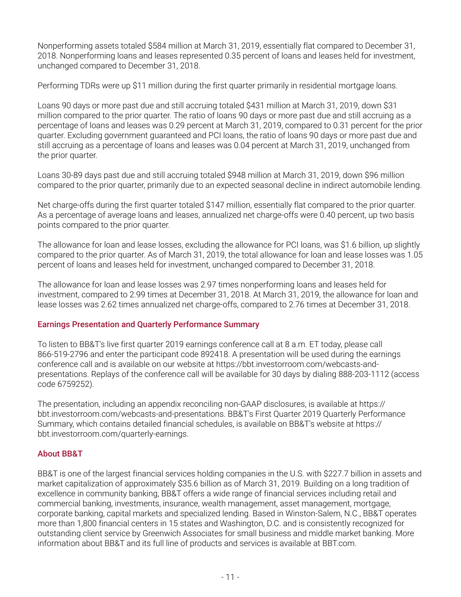Nonperforming assets totaled \$584 million at March 31, 2019, essentially flat compared to December 31, 2018. Nonperforming loans and leases represented 0.35 percent of loans and leases held for investment, unchanged compared to December 31, 2018.

Performing TDRs were up \$11 million during the first quarter primarily in residential mortgage loans.

Loans 90 days or more past due and still accruing totaled \$431 million at March 31, 2019, down \$31 million compared to the prior quarter. The ratio of loans 90 days or more past due and still accruing as a percentage of loans and leases was 0.29 percent at March 31, 2019, compared to 0.31 percent for the prior quarter. Excluding government guaranteed and PCI loans, the ratio of loans 90 days or more past due and still accruing as a percentage of loans and leases was 0.04 percent at March 31, 2019, unchanged from the prior quarter.

Loans 30-89 days past due and still accruing totaled \$948 million at March 31, 2019, down \$96 million compared to the prior quarter, primarily due to an expected seasonal decline in indirect automobile lending.

Net charge-offs during the first quarter totaled \$147 million, essentially flat compared to the prior quarter. As a percentage of average loans and leases, annualized net charge-offs were 0.40 percent, up two basis points compared to the prior quarter.

The allowance for loan and lease losses, excluding the allowance for PCI loans, was \$1.6 billion, up slightly compared to the prior quarter. As of March 31, 2019, the total allowance for loan and lease losses was 1.05 percent of loans and leases held for investment, unchanged compared to December 31, 2018.

The allowance for loan and lease losses was 2.97 times nonperforming loans and leases held for investment, compared to 2.99 times at December 31, 2018. At March 31, 2019, the allowance for loan and lease losses was 2.62 times annualized net charge-offs, compared to 2.76 times at December 31, 2018.

# **Earnings Presentation and Quarterly Performance Summary**

To listen to BB&T's live first quarter 2019 earnings conference call at 8 a.m. ET today, please call 866-519-2796 and enter the participant code 892418. A presentation will be used during the earnings conference call and is available on our website at https://bbt.investorroom.com/webcasts-andpresentations. Replays of the conference call will be available for 30 days by dialing 888-203-1112 (access code 6759252).

The presentation, including an appendix reconciling non-GAAP disclosures, is available at https:// bbt.investorroom.com/webcasts-and-presentations. BB&T's First Quarter 2019 Quarterly Performance Summary, which contains detailed financial schedules, is available on BB&T's website at https:// bbt.investorroom.com/quarterly-earnings.

#### **About BB&T**

BB&T is one of the largest financial services holding companies in the U.S. with \$227.7 billion in assets and market capitalization of approximately \$35.6 billion as of March 31, 2019. Building on a long tradition of excellence in community banking, BB&T offers a wide range of financial services including retail and commercial banking, investments, insurance, wealth management, asset management, mortgage, corporate banking, capital markets and specialized lending. Based in Winston-Salem, N.C., BB&T operates more than 1,800 financial centers in 15 states and Washington, D.C. and is consistently recognized for outstanding client service by Greenwich Associates for small business and middle market banking. More information about BB&T and its full line of products and services is available at BBT.com.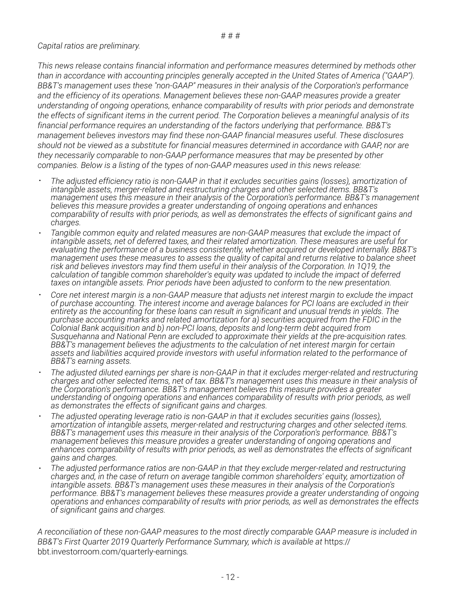# *Capital ratios are preliminary.*

*This news release contains financial information and performance measures determined by methods other than in accordance with accounting principles generally accepted in the United States of America ("GAAP"). BB&T's management uses these "non-GAAP" measures in their analysis of the Corporation's performance and the efficiency of its operations. Management believes these non-GAAP measures provide a greater understanding of ongoing operations, enhance comparability of results with prior periods and demonstrate the effects of significant items in the current period. The Corporation believes a meaningful analysis of its financial performance requires an understanding of the factors underlying that performance. BB&T's management believes investors may find these non-GAAP financial measures useful. These disclosures should not be viewed as a substitute for financial measures determined in accordance with GAAP, nor are they necessarily comparable to non-GAAP performance measures that may be presented by other companies. Below is a listing of the types of non-GAAP measures used in this news release:*

- <sup>=</sup> *The adjusted efficiency ratio is non-GAAP in that it excludes securities gains (losses), amortization of intangible assets, merger-related and restructuring charges and other selected items. BB&T's management uses this measure in their analysis of the Corporation's performance. BB&T's management believes this measure provides a greater understanding of ongoing operations and enhances comparability of results with prior periods, as well as demonstrates the effects of significant gains and charges.*
- Tangible common equity and related measures are non-GAAP measures that exclude the impact of *intangible assets, net of deferred taxes, and their related amortization. These measures are useful for evaluating the performance of a business consistently, whether acquired or developed internally. BB&T's management uses these measures to assess the quality of capital and returns relative to balance sheet risk and believes investors may find them useful in their analysis of the Corporation. In 1Q19, the calculation of tangible common shareholder's equity was updated to include the impact of deferred taxes on intangible assets. Prior periods have been adjusted to conform to the new presentation.*
- Core net interest margin is a non-GAAP measure that adjusts net interest margin to exclude the impact *of purchase accounting. The interest income and average balances for PCI loans are excluded in their entirety as the accounting for these loans can result in significant and unusual trends in yields. The purchase accounting marks and related amortization for a) securities acquired from the FDIC in the Colonial Bank acquisition and b) non-PCI loans, deposits and long-term debt acquired from Susquehanna and National Penn are excluded to approximate their yields at the pre-acquisition rates. BB&T's management believes the adjustments to the calculation of net interest margin for certain assets and liabilities acquired provide investors with useful information related to the performance of BB&T's earning assets.*
- The adjusted diluted earnings per share is non-GAAP in that it excludes merger-related and restructuring *charges and other selected items, net of tax. BB&T's management uses this measure in their analysis of the Corporation's performance. BB&T's management believes this measure provides a greater understanding of ongoing operations and enhances comparability of results with prior periods, as well as demonstrates the effects of significant gains and charges.*
- <sup>=</sup> *The adjusted operating leverage ratio is non-GAAP in that it excludes securities gains (losses), amortization of intangible assets, merger-related and restructuring charges and other selected items. BB&T's management uses this measure in their analysis of the Corporation's performance. BB&T's management believes this measure provides a greater understanding of ongoing operations and enhances comparability of results with prior periods, as well as demonstrates the effects of significant gains and charges.*
- The adjusted performance ratios are non-GAAP in that they exclude merger-related and restructuring *charges and, in the case of return on average tangible common shareholders' equity, amortization of intangible assets. BB&T's management uses these measures in their analysis of the Corporation's performance. BB&T's management believes these measures provide a greater understanding of ongoing operations and enhances comparability of results with prior periods, as well as demonstrates the effects of significant gains and charges.*

*A reconciliation of these non-GAAP measures to the most directly comparable GAAP measure is included in BB&T's First Quarter 2019 Quarterly Performance Summary, which is available at* https:// bbt.investorroom.com/quarterly-earnings*.*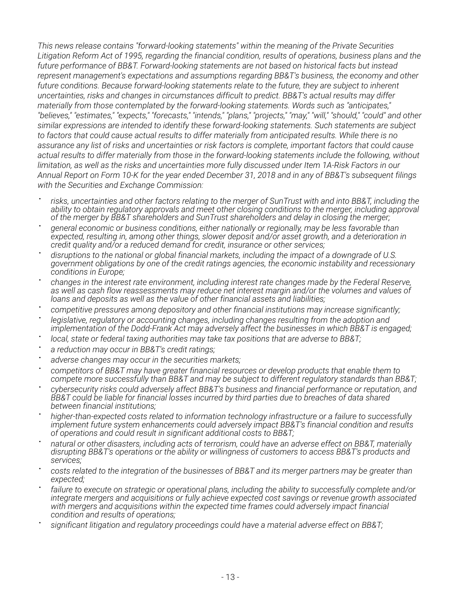*This news release contains "forward-looking statements" within the meaning of the Private Securities Litigation Reform Act of 1995, regarding the financial condition, results of operations, business plans and the future performance of BB&T. Forward-looking statements are not based on historical facts but instead represent management's expectations and assumptions regarding BB&T's business, the economy and other future conditions. Because forward-looking statements relate to the future, they are subject to inherent uncertainties, risks and changes in circumstances difficult to predict. BB&T's actual results may differ materially from those contemplated by the forward-looking statements. Words such as "anticipates," "believes," "estimates," "expects," "forecasts," "intends," "plans," "projects," "may," "will," "should," "could" and other similar expressions are intended to identify these forward-looking statements. Such statements are subject to factors that could cause actual results to differ materially from anticipated results. While there is no assurance any list of risks and uncertainties or risk factors is complete, important factors that could cause actual results to differ materially from those in the forward-looking statements include the following, without limitation, as well as the risks and uncertainties more fully discussed under Item 1A-Risk Factors in our Annual Report on Form 10-K for the year ended December 31, 2018 and in any of BB&T's subsequent filings with the Securities and Exchange Commission:*

- = *risks, uncertainties and other factors relating to the merger of SunTrust with and into BB&T, including the ability to obtain regulatory approvals and meet other closing conditions to the merger, including approval of the merger by BB&T shareholders and SunTrust shareholders and delay in closing the merger;*
- = *general economic or business conditions, either nationally or regionally, may be less favorable than expected, resulting in, among other things, slower deposit and/or asset growth, and a deterioration in credit quality and/or a reduced demand for credit, insurance or other services;*
- = *disruptions to the national or global financial markets, including the impact of a downgrade of U.S. government obligations by one of the credit ratings agencies, the economic instability and recessionary conditions in Europe;*
- = *changes in the interest rate environment, including interest rate changes made by the Federal Reserve, as well as cash flow reassessments may reduce net interest margin and/or the volumes and values of loans and deposits as well as the value of other financial assets and liabilities;*
- = *competitive pressures among depository and other financial institutions may increase significantly;*
- = *legislative, regulatory or accounting changes, including changes resulting from the adoption and implementation of the Dodd-Frank Act may adversely affect the businesses in which BB&T is engaged;*
- = *local, state or federal taxing authorities may take tax positions that are adverse to BB&T;*
- = *a reduction may occur in BB&T's credit ratings;*
- = *adverse changes may occur in the securities markets;*
- = *competitors of BB&T may have greater financial resources or develop products that enable them to compete more successfully than BB&T and may be subject to different regulatory standards than BB&T;*
- = *cybersecurity risks could adversely affect BB&T's business and financial performance or reputation, and BB&T could be liable for financial losses incurred by third parties due to breaches of data shared between financial institutions;*
- = *higher-than-expected costs related to information technology infrastructure or a failure to successfully implement future system enhancements could adversely impact BB&T's financial condition and results of operations and could result in significant additional costs to BB&T;*
- = *natural or other disasters, including acts of terrorism, could have an adverse effect on BB&T, materially disrupting BB&T's operations or the ability or willingness of customers to access BB&T's products and services;*
- = *costs related to the integration of the businesses of BB&T and its merger partners may be greater than expected;*
- = *failure to execute on strategic or operational plans, including the ability to successfully complete and/or integrate mergers and acquisitions or fully achieve expected cost savings or revenue growth associated with mergers and acquisitions within the expected time frames could adversely impact financial condition and results of operations;*
- = *significant litigation and regulatory proceedings could have a material adverse effect on BB&T;*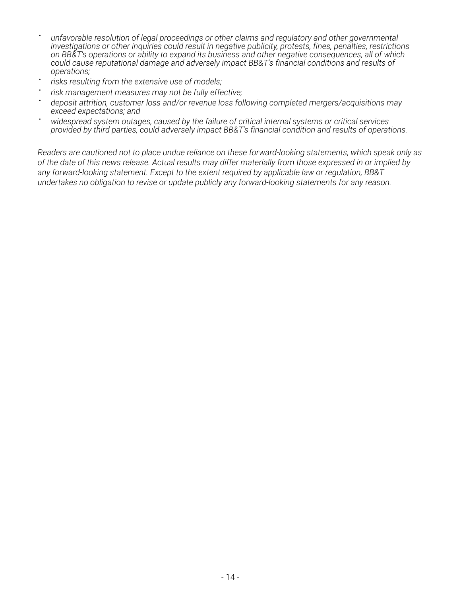- = *unfavorable resolution of legal proceedings or other claims and regulatory and other governmental investigations or other inquiries could result in negative publicity, protests, fines, penalties, restrictions on BB&T's operations or ability to expand its business and other negative consequences, all of which could cause reputational damage and adversely impact BB&T's financial conditions and results of operations;*
- = *risks resulting from the extensive use of models;*
- = *risk management measures may not be fully effective;*
- = *deposit attrition, customer loss and/or revenue loss following completed mergers/acquisitions may exceed expectations; and*
- <sup>=</sup> *widespread system outages, caused by the failure of critical internal systems or critical services provided by third parties, could adversely impact BB&T's financial condition and results of operations.*

*Readers are cautioned not to place undue reliance on these forward-looking statements, which speak only as of the date of this news release. Actual results may differ materially from those expressed in or implied by any forward-looking statement. Except to the extent required by applicable law or regulation, BB&T undertakes no obligation to revise or update publicly any forward-looking statements for any reason.*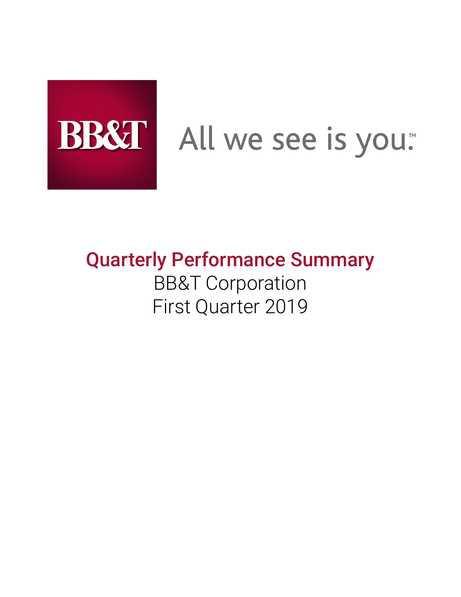

# BB&T All we see is you.

# **Quarterly Performance Summary** BB&T Corporation First Quarter 2019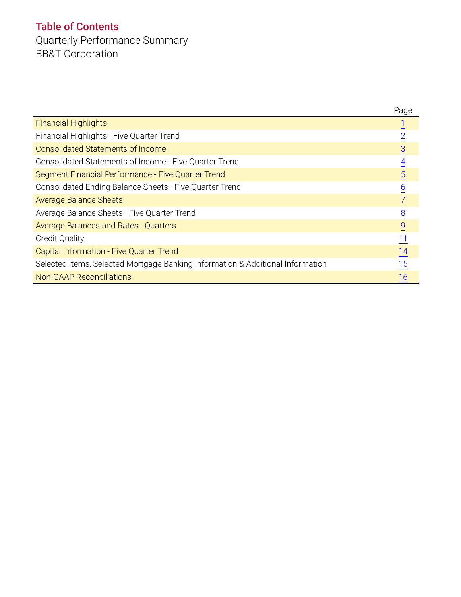# **Table of Contents**

Quarterly Performance Summary BB&T Corporation

|                                                                                | Page            |
|--------------------------------------------------------------------------------|-----------------|
| <b>Financial Highlights</b>                                                    |                 |
| Financial Highlights - Five Quarter Trend                                      | $\overline{2}$  |
| <b>Consolidated Statements of Income</b>                                       | $\overline{3}$  |
| Consolidated Statements of Income - Five Quarter Trend                         | $\overline{4}$  |
| Segment Financial Performance - Five Quarter Trend                             | $\overline{5}$  |
| Consolidated Ending Balance Sheets - Five Quarter Trend                        | $\underline{6}$ |
| <b>Average Balance Sheets</b>                                                  |                 |
| Average Balance Sheets - Five Quarter Trend                                    | $\overline{8}$  |
| <b>Average Balances and Rates - Quarters</b>                                   | $\overline{9}$  |
| <b>Credit Quality</b>                                                          | $\frac{11}{1}$  |
| Capital Information - Five Quarter Trend                                       | $\frac{14}{1}$  |
| Selected Items, Selected Mortgage Banking Information & Additional Information | 15              |
| <b>Non-GAAP Reconciliations</b>                                                | 16              |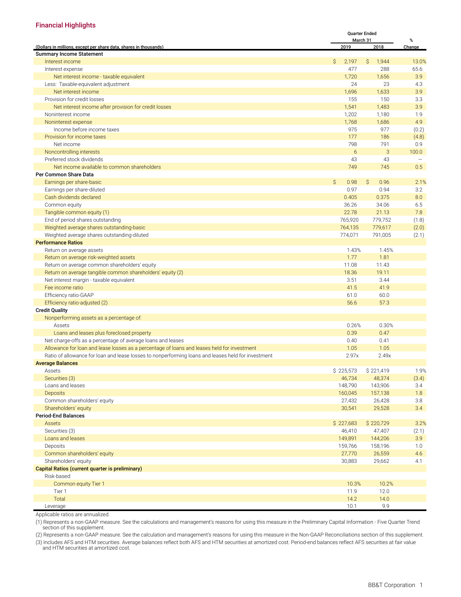#### <span id="page-16-0"></span>**Financial Highlights**

|                                                                                                    |                      | <b>Quarter Ended</b> |        |
|----------------------------------------------------------------------------------------------------|----------------------|----------------------|--------|
|                                                                                                    |                      | March 31             | %      |
| (Dollars in millions, except per share data, shares in thousands)                                  | 2019                 | 2018                 | Change |
| <b>Summary Income Statement</b>                                                                    |                      |                      |        |
| Interest income                                                                                    | \$<br>2,197          | \$<br>1,944          | 13.0%  |
| Interest expense                                                                                   | 477                  | 288                  | 65.6   |
| Net interest income - taxable equivalent                                                           | 1,720                | 1,656                | 3.9    |
| Less: Taxable-equivalent adjustment                                                                | 24                   | 23                   | 4.3    |
| Net interest income                                                                                | 1,696                | 1,633                | 3.9    |
| Provision for credit losses                                                                        | 155                  | 150                  | 3.3    |
| Net interest income after provision for credit losses                                              | 1,541                | 1,483                | 3.9    |
| Noninterest income                                                                                 | 1,202                | 1,180                | 1.9    |
| Noninterest expense                                                                                | 1,768                | 1,686                | 4.9    |
| Income before income taxes                                                                         | 975                  | 977                  | (0.2)  |
| Provision for income taxes                                                                         | 177                  | 186                  | (4.8)  |
| Net income                                                                                         | 798                  | 791                  | 0.9    |
| Noncontrolling interests                                                                           | 6                    | 3                    | 100.0  |
| Preferred stock dividends                                                                          | 43                   | 43                   |        |
| Net income available to common shareholders                                                        | 749                  | 745                  | 0.5    |
| Per Common Share Data                                                                              |                      |                      |        |
| Earnings per share-basic                                                                           | $\mathsf{S}$<br>0.98 | S.<br>0.96           | 2.1%   |
| Earnings per share-diluted                                                                         | 0.97                 | 0.94                 | 3.2    |
| Cash dividends declared                                                                            | 0.405                | 0.375                | 8.0    |
| Common equity                                                                                      | 36.26                | 34.06                | 6.5    |
| Tangible common equity (1)                                                                         | 22.78                | 21.13                | 7.8    |
| End of period shares outstanding                                                                   | 765,920              | 779,752              | (1.8)  |
| Weighted average shares outstanding-basic                                                          | 764,135              | 779,617              | (2.0)  |
| Weighted average shares outstanding-diluted                                                        | 774,071              | 791,005              | (2.1)  |
| <b>Performance Ratios</b>                                                                          |                      |                      |        |
|                                                                                                    |                      |                      |        |
| Return on average assets                                                                           | 1.43%                | 1.45%                |        |
| Return on average risk-weighted assets                                                             | 1.77                 | 1.81                 |        |
| Return on average common shareholders' equity                                                      | 11.08                | 11.43                |        |
| Return on average tangible common shareholders' equity (2)                                         | 18.36                | 19.11                |        |
| Net interest margin - taxable equivalent                                                           | 3.51                 | 3.44                 |        |
| Fee income ratio                                                                                   | 41.5                 | 41.9                 |        |
| Efficiency ratio-GAAP                                                                              | 61.0                 | 60.0                 |        |
| Efficiency ratio-adjusted (2)                                                                      | 56.6                 | 57.3                 |        |
| <b>Credit Quality</b>                                                                              |                      |                      |        |
| Nonperforming assets as a percentage of:                                                           |                      |                      |        |
| Assets                                                                                             | 0.26%                | 0.30%                |        |
| Loans and leases plus foreclosed property                                                          | 0.39                 | 0.47                 |        |
| Net charge-offs as a percentage of average loans and leases                                        | 0.40                 | 0.41                 |        |
| Allowance for loan and lease losses as a percentage of loans and leases held for investment        | 1.05                 | 1.05                 |        |
| Ratio of allowance for loan and lease losses to nonperforming loans and leases held for investment | 2.97x                | 2.49x                |        |
| <b>Average Balances</b>                                                                            |                      |                      |        |
| Assets                                                                                             | \$225,573            | \$221,419            | 1.9%   |
| Securities (3)                                                                                     | 46,734               | 48,374               | (3.4)  |
| Loans and leases                                                                                   | 148,790              | 143,906              | 3.4    |
| <b>Deposits</b>                                                                                    | 160,045              | 157,138              | 1.8    |
| Common shareholders' equity                                                                        | 27,432               | 26,428               | 3.8    |
| Shareholders' equity                                                                               | 30,541               | 29,528               | 3.4    |
| <b>Period-End Balances</b>                                                                         |                      |                      |        |
| <b>Assets</b>                                                                                      | \$227,683            | \$220,729            | 3.2%   |
| Securities (3)                                                                                     | 46,410               | 47,407               | (2.1)  |
| Loans and leases                                                                                   | 149,891              | 144,206              | 3.9    |
| Deposits                                                                                           | 159,766              | 158,196              | 1.0    |
| Common shareholders' equity                                                                        | 27,770               | 26,559               | 4.6    |
|                                                                                                    |                      |                      |        |
| Shareholders' equity                                                                               | 30,883               | 29,662               | 4.1    |
| <b>Capital Ratios (current quarter is preliminary)</b>                                             |                      |                      |        |
| Risk-based:                                                                                        |                      |                      |        |
| Common equity Tier 1                                                                               | 10.3%                | 10.2%                |        |
| Tier 1                                                                                             | 11.9                 | 12.0                 |        |
| Total                                                                                              | 14.2                 | 14.0                 |        |
| Leverage                                                                                           | 10.1                 | 9.9                  |        |

Applicable ratios are annualized.

(1) Represents a non-GAAP measure. See the calculations and management's reasons for using this measure in the Preliminary Capital Information - Five Quarter Trend section of this supplement.

(2) Represents a non-GAAP measure. See the calculation and management's reasons for using this measure in the Non-GAAP Reconciliations section of this supplement.

(3) Includes AFS and HTM securities. Average balances reflect both AFS and HTM securities at amortized cost. Period-end balances reflect AFS securities at fair value and HTM securities at amortized cost.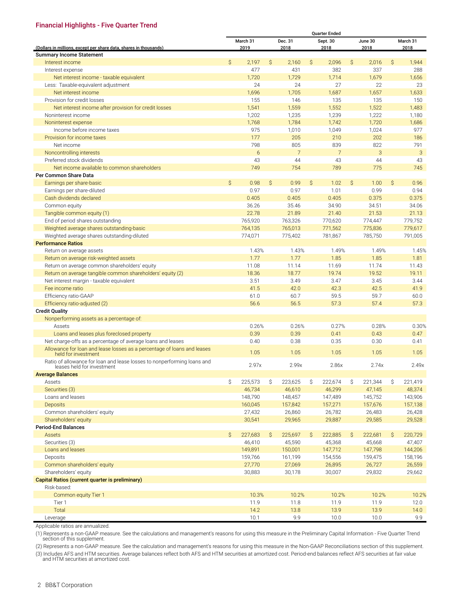#### <span id="page-17-0"></span>**Financial Highlights - Five Quarter Trend**

| March 31<br>Dec. 31<br>Sept. 30<br>June 30<br>March 31<br>2019<br>2018<br>2018<br>2018<br>2018<br>(Dollars in millions, except per share data, shares in thousands)<br><b>Summary Income Statement</b><br>$\mathsf{S}$<br>$\mathsf{S}$<br>$\mathsf{S}$<br>$\mathsf{S}$<br>2,197<br>2,160<br>2,096<br>Ŝ.<br>2,016<br>1,944<br>Interest income<br>477<br>431<br>382<br>337<br>288<br>Interest expense<br>Net interest income - taxable equivalent<br>1,720<br>1,729<br>1,714<br>1,679<br>1,656<br>24<br>24<br>27<br>22<br>23<br>Less: Taxable-equivalent adjustment<br>1,696<br>1,657<br>1,705<br>1,687<br>1,633<br>Net interest income<br>Provision for credit losses<br>155<br>146<br>135<br>135<br>150<br>Net interest income after provision for credit losses<br>1,541<br>1,559<br>1,552<br>1,522<br>1,483<br>1,202<br>Noninterest income<br>1,235<br>1,239<br>1,222<br>1,180<br>1,768<br>1,720<br>1,784<br>1,742<br>1,686<br>Noninterest expense<br>Income before income taxes<br>975<br>1,010<br>1,049<br>1,024<br>977<br>202<br>177<br>205<br>210<br>186<br>Provision for income taxes<br>Net income<br>798<br>805<br>839<br>822<br>791<br>7<br>$7\overline{ }$<br>3<br>3<br>Noncontrolling interests<br>6<br>44<br>44<br>43<br>Preferred stock dividends<br>43<br>43<br>749<br>754<br>789<br>775<br>745<br>Net income available to common shareholders<br>Per Common Share Data<br>$\mathsf{S}$<br>$\mathsf{S}$<br>$\mathsf{S}$<br>0.98<br>0.99<br>Ŝ.<br>1.02<br>Ŝ<br>1.00<br>0.96<br>Earnings per share-basic<br>Earnings per share-diluted<br>0.97<br>0.97<br>1.01<br>0.99<br>0.94<br>Cash dividends declared<br>0.405<br>0.405<br>0.405<br>0.375<br>0.375<br>36.26<br>35.46<br>34.90<br>34.51<br>34.06<br>Common equity<br>22.78<br>21.89<br>21.53<br>21.13<br>Tangible common equity (1)<br>21.40<br>End of period shares outstanding<br>765,920<br>763,326<br>770,620<br>774,447<br>779,752<br>764,135<br>765,013<br>771,562<br>775,836<br>779,617<br>Weighted average shares outstanding-basic<br>Weighted average shares outstanding-diluted<br>774,071<br>775,402<br>785,750<br>791,005<br>781,867<br><b>Performance Ratios</b><br>1.43%<br>1.43%<br>1.49%<br>1.49%<br>1.45%<br>Return on average assets<br>1.77<br>1.77<br>1.85<br>1.85<br>1.81<br>Return on average risk-weighted assets<br>Return on average common shareholders' equity<br>11.08<br>11.14<br>11.69<br>11.74<br>11.43<br>19.74<br>19.52<br>18.36<br>18.77<br>19.11<br>Return on average tangible common shareholders' equity (2)<br>3.51<br>3.47<br>3.45<br>3.44<br>Net interest margin - taxable equivalent<br>3.49<br>Fee income ratio<br>41.5<br>42.0<br>42.3<br>42.5<br>41.9<br>Efficiency ratio-GAAP<br>61.0<br>60.7<br>59.5<br>59.7<br>60.0<br>56.6<br>56.5<br>57.4<br>57.3<br>Efficiency ratio-adjusted (2)<br>57.3<br><b>Credit Quality</b><br>Nonperforming assets as a percentage of:<br>0.26%<br>0.27%<br>0.28%<br>0.30%<br>Assets<br>0.26%<br>0.39<br>0.39<br>0.41<br>0.43<br>0.47<br>Loans and leases plus foreclosed property<br>Net charge-offs as a percentage of average loans and leases<br>0.40<br>0.38<br>0.35<br>0.30<br>0.41<br>Allowance for loan and lease losses as a percentage of loans and leases<br>1.05<br>1.05<br>1.05<br>1.05<br>1.05<br>held for investment<br>Ratio of allowance for loan and lease losses to nonperforming loans and<br>2.97x<br>2.99x<br>2.86x<br>2.74x<br>2.49x<br>leases held for investment<br><b>Average Balances</b><br>\$<br>Ŝ.<br>221,419<br>225,573<br>\$<br>223,625<br>\$<br>222,674<br>\$<br>221,344<br>Assets<br>46,734<br>46,610<br>46,299<br>47,145<br>48,374<br>Securities (3)<br>Loans and leases<br>148,790<br>148,457<br>147,489<br>145,752<br>143,906<br><b>Deposits</b><br>160,045<br>157,842<br>157,271<br>157,676<br>157,138<br>26,860<br>26,782<br>Common shareholders' equity<br>27,432<br>26,483<br>26,428<br>30,541<br>29,965<br>29,887<br>29,585<br>29,528<br>Shareholders' equity<br><b>Period-End Balances</b><br>227,683<br>222,681<br>220,729<br>Assets<br>\$<br>\$<br>225,697<br>222,885<br>$\mathsf{S}$<br>S.<br>S.<br>47,407<br>Securities (3)<br>46,410<br>45,590<br>45,368<br>45,668<br>Loans and leases<br>149,891<br>150,001<br>147,712<br>147,798<br>144,206<br>Deposits<br>159,766<br>161,199<br>154,556<br>159,475<br>158,196<br>27,770<br>Common shareholders' equity<br>27,069<br>26,895<br>26,727<br>26,559<br>Shareholders' equity<br>30,883<br>30,178<br>30,007<br>29,832<br>29,662<br>Capital Ratios (current quarter is preliminary)<br>Risk-based:<br>10.3%<br>10.2%<br>10.2%<br>10.2%<br>10.2%<br>Common equity Tier 1<br>11.9<br>11.8<br>11.9<br>11.9<br>12.0<br>Tier 1<br>Total<br>14.2<br>13.9<br>13.9<br>13.8<br>14.0 |          |  |      |  |     | <b>Quarter Ended</b> |      |  |     |
|------------------------------------------------------------------------------------------------------------------------------------------------------------------------------------------------------------------------------------------------------------------------------------------------------------------------------------------------------------------------------------------------------------------------------------------------------------------------------------------------------------------------------------------------------------------------------------------------------------------------------------------------------------------------------------------------------------------------------------------------------------------------------------------------------------------------------------------------------------------------------------------------------------------------------------------------------------------------------------------------------------------------------------------------------------------------------------------------------------------------------------------------------------------------------------------------------------------------------------------------------------------------------------------------------------------------------------------------------------------------------------------------------------------------------------------------------------------------------------------------------------------------------------------------------------------------------------------------------------------------------------------------------------------------------------------------------------------------------------------------------------------------------------------------------------------------------------------------------------------------------------------------------------------------------------------------------------------------------------------------------------------------------------------------------------------------------------------------------------------------------------------------------------------------------------------------------------------------------------------------------------------------------------------------------------------------------------------------------------------------------------------------------------------------------------------------------------------------------------------------------------------------------------------------------------------------------------------------------------------------------------------------------------------------------------------------------------------------------------------------------------------------------------------------------------------------------------------------------------------------------------------------------------------------------------------------------------------------------------------------------------------------------------------------------------------------------------------------------------------------------------------------------------------------------------------------------------------------------------------------------------------------------------------------------------------------------------------------------------------------------------------------------------------------------------------------------------------------------------------------------------------------------------------------------------------------------------------------------------------------------------------------------------------------------------------------------------------------------------------------------------------------------------------------------------------------------------------------------------------------------------------------------------------------------------------------------------------------------------------------------------------------------------------------------------------------------------------------------------------------------------------------------------------------------------------------------------------------------------------------------------------------------------------------------------------------------------------------------------------------------------------------------------------------------------------------------------------------------------------------------------------------------------------------------------------------------------------------------------------------------------------------------------------------------------------------------------------|----------|--|------|--|-----|----------------------|------|--|-----|
|                                                                                                                                                                                                                                                                                                                                                                                                                                                                                                                                                                                                                                                                                                                                                                                                                                                                                                                                                                                                                                                                                                                                                                                                                                                                                                                                                                                                                                                                                                                                                                                                                                                                                                                                                                                                                                                                                                                                                                                                                                                                                                                                                                                                                                                                                                                                                                                                                                                                                                                                                                                                                                                                                                                                                                                                                                                                                                                                                                                                                                                                                                                                                                                                                                                                                                                                                                                                                                                                                                                                                                                                                                                                                                                                                                                                                                                                                                                                                                                                                                                                                                                                                                                                                                                                                                                                                                                                                                                                                                                                                                                                                                                                                                                  |          |  |      |  |     |                      |      |  |     |
|                                                                                                                                                                                                                                                                                                                                                                                                                                                                                                                                                                                                                                                                                                                                                                                                                                                                                                                                                                                                                                                                                                                                                                                                                                                                                                                                                                                                                                                                                                                                                                                                                                                                                                                                                                                                                                                                                                                                                                                                                                                                                                                                                                                                                                                                                                                                                                                                                                                                                                                                                                                                                                                                                                                                                                                                                                                                                                                                                                                                                                                                                                                                                                                                                                                                                                                                                                                                                                                                                                                                                                                                                                                                                                                                                                                                                                                                                                                                                                                                                                                                                                                                                                                                                                                                                                                                                                                                                                                                                                                                                                                                                                                                                                                  |          |  |      |  |     |                      |      |  |     |
|                                                                                                                                                                                                                                                                                                                                                                                                                                                                                                                                                                                                                                                                                                                                                                                                                                                                                                                                                                                                                                                                                                                                                                                                                                                                                                                                                                                                                                                                                                                                                                                                                                                                                                                                                                                                                                                                                                                                                                                                                                                                                                                                                                                                                                                                                                                                                                                                                                                                                                                                                                                                                                                                                                                                                                                                                                                                                                                                                                                                                                                                                                                                                                                                                                                                                                                                                                                                                                                                                                                                                                                                                                                                                                                                                                                                                                                                                                                                                                                                                                                                                                                                                                                                                                                                                                                                                                                                                                                                                                                                                                                                                                                                                                                  |          |  |      |  |     |                      |      |  |     |
|                                                                                                                                                                                                                                                                                                                                                                                                                                                                                                                                                                                                                                                                                                                                                                                                                                                                                                                                                                                                                                                                                                                                                                                                                                                                                                                                                                                                                                                                                                                                                                                                                                                                                                                                                                                                                                                                                                                                                                                                                                                                                                                                                                                                                                                                                                                                                                                                                                                                                                                                                                                                                                                                                                                                                                                                                                                                                                                                                                                                                                                                                                                                                                                                                                                                                                                                                                                                                                                                                                                                                                                                                                                                                                                                                                                                                                                                                                                                                                                                                                                                                                                                                                                                                                                                                                                                                                                                                                                                                                                                                                                                                                                                                                                  |          |  |      |  |     |                      |      |  |     |
|                                                                                                                                                                                                                                                                                                                                                                                                                                                                                                                                                                                                                                                                                                                                                                                                                                                                                                                                                                                                                                                                                                                                                                                                                                                                                                                                                                                                                                                                                                                                                                                                                                                                                                                                                                                                                                                                                                                                                                                                                                                                                                                                                                                                                                                                                                                                                                                                                                                                                                                                                                                                                                                                                                                                                                                                                                                                                                                                                                                                                                                                                                                                                                                                                                                                                                                                                                                                                                                                                                                                                                                                                                                                                                                                                                                                                                                                                                                                                                                                                                                                                                                                                                                                                                                                                                                                                                                                                                                                                                                                                                                                                                                                                                                  |          |  |      |  |     |                      |      |  |     |
|                                                                                                                                                                                                                                                                                                                                                                                                                                                                                                                                                                                                                                                                                                                                                                                                                                                                                                                                                                                                                                                                                                                                                                                                                                                                                                                                                                                                                                                                                                                                                                                                                                                                                                                                                                                                                                                                                                                                                                                                                                                                                                                                                                                                                                                                                                                                                                                                                                                                                                                                                                                                                                                                                                                                                                                                                                                                                                                                                                                                                                                                                                                                                                                                                                                                                                                                                                                                                                                                                                                                                                                                                                                                                                                                                                                                                                                                                                                                                                                                                                                                                                                                                                                                                                                                                                                                                                                                                                                                                                                                                                                                                                                                                                                  |          |  |      |  |     |                      |      |  |     |
|                                                                                                                                                                                                                                                                                                                                                                                                                                                                                                                                                                                                                                                                                                                                                                                                                                                                                                                                                                                                                                                                                                                                                                                                                                                                                                                                                                                                                                                                                                                                                                                                                                                                                                                                                                                                                                                                                                                                                                                                                                                                                                                                                                                                                                                                                                                                                                                                                                                                                                                                                                                                                                                                                                                                                                                                                                                                                                                                                                                                                                                                                                                                                                                                                                                                                                                                                                                                                                                                                                                                                                                                                                                                                                                                                                                                                                                                                                                                                                                                                                                                                                                                                                                                                                                                                                                                                                                                                                                                                                                                                                                                                                                                                                                  |          |  |      |  |     |                      |      |  |     |
|                                                                                                                                                                                                                                                                                                                                                                                                                                                                                                                                                                                                                                                                                                                                                                                                                                                                                                                                                                                                                                                                                                                                                                                                                                                                                                                                                                                                                                                                                                                                                                                                                                                                                                                                                                                                                                                                                                                                                                                                                                                                                                                                                                                                                                                                                                                                                                                                                                                                                                                                                                                                                                                                                                                                                                                                                                                                                                                                                                                                                                                                                                                                                                                                                                                                                                                                                                                                                                                                                                                                                                                                                                                                                                                                                                                                                                                                                                                                                                                                                                                                                                                                                                                                                                                                                                                                                                                                                                                                                                                                                                                                                                                                                                                  |          |  |      |  |     |                      |      |  |     |
|                                                                                                                                                                                                                                                                                                                                                                                                                                                                                                                                                                                                                                                                                                                                                                                                                                                                                                                                                                                                                                                                                                                                                                                                                                                                                                                                                                                                                                                                                                                                                                                                                                                                                                                                                                                                                                                                                                                                                                                                                                                                                                                                                                                                                                                                                                                                                                                                                                                                                                                                                                                                                                                                                                                                                                                                                                                                                                                                                                                                                                                                                                                                                                                                                                                                                                                                                                                                                                                                                                                                                                                                                                                                                                                                                                                                                                                                                                                                                                                                                                                                                                                                                                                                                                                                                                                                                                                                                                                                                                                                                                                                                                                                                                                  |          |  |      |  |     |                      |      |  |     |
|                                                                                                                                                                                                                                                                                                                                                                                                                                                                                                                                                                                                                                                                                                                                                                                                                                                                                                                                                                                                                                                                                                                                                                                                                                                                                                                                                                                                                                                                                                                                                                                                                                                                                                                                                                                                                                                                                                                                                                                                                                                                                                                                                                                                                                                                                                                                                                                                                                                                                                                                                                                                                                                                                                                                                                                                                                                                                                                                                                                                                                                                                                                                                                                                                                                                                                                                                                                                                                                                                                                                                                                                                                                                                                                                                                                                                                                                                                                                                                                                                                                                                                                                                                                                                                                                                                                                                                                                                                                                                                                                                                                                                                                                                                                  |          |  |      |  |     |                      |      |  |     |
|                                                                                                                                                                                                                                                                                                                                                                                                                                                                                                                                                                                                                                                                                                                                                                                                                                                                                                                                                                                                                                                                                                                                                                                                                                                                                                                                                                                                                                                                                                                                                                                                                                                                                                                                                                                                                                                                                                                                                                                                                                                                                                                                                                                                                                                                                                                                                                                                                                                                                                                                                                                                                                                                                                                                                                                                                                                                                                                                                                                                                                                                                                                                                                                                                                                                                                                                                                                                                                                                                                                                                                                                                                                                                                                                                                                                                                                                                                                                                                                                                                                                                                                                                                                                                                                                                                                                                                                                                                                                                                                                                                                                                                                                                                                  |          |  |      |  |     |                      |      |  |     |
|                                                                                                                                                                                                                                                                                                                                                                                                                                                                                                                                                                                                                                                                                                                                                                                                                                                                                                                                                                                                                                                                                                                                                                                                                                                                                                                                                                                                                                                                                                                                                                                                                                                                                                                                                                                                                                                                                                                                                                                                                                                                                                                                                                                                                                                                                                                                                                                                                                                                                                                                                                                                                                                                                                                                                                                                                                                                                                                                                                                                                                                                                                                                                                                                                                                                                                                                                                                                                                                                                                                                                                                                                                                                                                                                                                                                                                                                                                                                                                                                                                                                                                                                                                                                                                                                                                                                                                                                                                                                                                                                                                                                                                                                                                                  |          |  |      |  |     |                      |      |  |     |
|                                                                                                                                                                                                                                                                                                                                                                                                                                                                                                                                                                                                                                                                                                                                                                                                                                                                                                                                                                                                                                                                                                                                                                                                                                                                                                                                                                                                                                                                                                                                                                                                                                                                                                                                                                                                                                                                                                                                                                                                                                                                                                                                                                                                                                                                                                                                                                                                                                                                                                                                                                                                                                                                                                                                                                                                                                                                                                                                                                                                                                                                                                                                                                                                                                                                                                                                                                                                                                                                                                                                                                                                                                                                                                                                                                                                                                                                                                                                                                                                                                                                                                                                                                                                                                                                                                                                                                                                                                                                                                                                                                                                                                                                                                                  |          |  |      |  |     |                      |      |  |     |
|                                                                                                                                                                                                                                                                                                                                                                                                                                                                                                                                                                                                                                                                                                                                                                                                                                                                                                                                                                                                                                                                                                                                                                                                                                                                                                                                                                                                                                                                                                                                                                                                                                                                                                                                                                                                                                                                                                                                                                                                                                                                                                                                                                                                                                                                                                                                                                                                                                                                                                                                                                                                                                                                                                                                                                                                                                                                                                                                                                                                                                                                                                                                                                                                                                                                                                                                                                                                                                                                                                                                                                                                                                                                                                                                                                                                                                                                                                                                                                                                                                                                                                                                                                                                                                                                                                                                                                                                                                                                                                                                                                                                                                                                                                                  |          |  |      |  |     |                      |      |  |     |
|                                                                                                                                                                                                                                                                                                                                                                                                                                                                                                                                                                                                                                                                                                                                                                                                                                                                                                                                                                                                                                                                                                                                                                                                                                                                                                                                                                                                                                                                                                                                                                                                                                                                                                                                                                                                                                                                                                                                                                                                                                                                                                                                                                                                                                                                                                                                                                                                                                                                                                                                                                                                                                                                                                                                                                                                                                                                                                                                                                                                                                                                                                                                                                                                                                                                                                                                                                                                                                                                                                                                                                                                                                                                                                                                                                                                                                                                                                                                                                                                                                                                                                                                                                                                                                                                                                                                                                                                                                                                                                                                                                                                                                                                                                                  |          |  |      |  |     |                      |      |  |     |
|                                                                                                                                                                                                                                                                                                                                                                                                                                                                                                                                                                                                                                                                                                                                                                                                                                                                                                                                                                                                                                                                                                                                                                                                                                                                                                                                                                                                                                                                                                                                                                                                                                                                                                                                                                                                                                                                                                                                                                                                                                                                                                                                                                                                                                                                                                                                                                                                                                                                                                                                                                                                                                                                                                                                                                                                                                                                                                                                                                                                                                                                                                                                                                                                                                                                                                                                                                                                                                                                                                                                                                                                                                                                                                                                                                                                                                                                                                                                                                                                                                                                                                                                                                                                                                                                                                                                                                                                                                                                                                                                                                                                                                                                                                                  |          |  |      |  |     |                      |      |  |     |
|                                                                                                                                                                                                                                                                                                                                                                                                                                                                                                                                                                                                                                                                                                                                                                                                                                                                                                                                                                                                                                                                                                                                                                                                                                                                                                                                                                                                                                                                                                                                                                                                                                                                                                                                                                                                                                                                                                                                                                                                                                                                                                                                                                                                                                                                                                                                                                                                                                                                                                                                                                                                                                                                                                                                                                                                                                                                                                                                                                                                                                                                                                                                                                                                                                                                                                                                                                                                                                                                                                                                                                                                                                                                                                                                                                                                                                                                                                                                                                                                                                                                                                                                                                                                                                                                                                                                                                                                                                                                                                                                                                                                                                                                                                                  |          |  |      |  |     |                      |      |  |     |
|                                                                                                                                                                                                                                                                                                                                                                                                                                                                                                                                                                                                                                                                                                                                                                                                                                                                                                                                                                                                                                                                                                                                                                                                                                                                                                                                                                                                                                                                                                                                                                                                                                                                                                                                                                                                                                                                                                                                                                                                                                                                                                                                                                                                                                                                                                                                                                                                                                                                                                                                                                                                                                                                                                                                                                                                                                                                                                                                                                                                                                                                                                                                                                                                                                                                                                                                                                                                                                                                                                                                                                                                                                                                                                                                                                                                                                                                                                                                                                                                                                                                                                                                                                                                                                                                                                                                                                                                                                                                                                                                                                                                                                                                                                                  |          |  |      |  |     |                      |      |  |     |
|                                                                                                                                                                                                                                                                                                                                                                                                                                                                                                                                                                                                                                                                                                                                                                                                                                                                                                                                                                                                                                                                                                                                                                                                                                                                                                                                                                                                                                                                                                                                                                                                                                                                                                                                                                                                                                                                                                                                                                                                                                                                                                                                                                                                                                                                                                                                                                                                                                                                                                                                                                                                                                                                                                                                                                                                                                                                                                                                                                                                                                                                                                                                                                                                                                                                                                                                                                                                                                                                                                                                                                                                                                                                                                                                                                                                                                                                                                                                                                                                                                                                                                                                                                                                                                                                                                                                                                                                                                                                                                                                                                                                                                                                                                                  |          |  |      |  |     |                      |      |  |     |
|                                                                                                                                                                                                                                                                                                                                                                                                                                                                                                                                                                                                                                                                                                                                                                                                                                                                                                                                                                                                                                                                                                                                                                                                                                                                                                                                                                                                                                                                                                                                                                                                                                                                                                                                                                                                                                                                                                                                                                                                                                                                                                                                                                                                                                                                                                                                                                                                                                                                                                                                                                                                                                                                                                                                                                                                                                                                                                                                                                                                                                                                                                                                                                                                                                                                                                                                                                                                                                                                                                                                                                                                                                                                                                                                                                                                                                                                                                                                                                                                                                                                                                                                                                                                                                                                                                                                                                                                                                                                                                                                                                                                                                                                                                                  |          |  |      |  |     |                      |      |  |     |
|                                                                                                                                                                                                                                                                                                                                                                                                                                                                                                                                                                                                                                                                                                                                                                                                                                                                                                                                                                                                                                                                                                                                                                                                                                                                                                                                                                                                                                                                                                                                                                                                                                                                                                                                                                                                                                                                                                                                                                                                                                                                                                                                                                                                                                                                                                                                                                                                                                                                                                                                                                                                                                                                                                                                                                                                                                                                                                                                                                                                                                                                                                                                                                                                                                                                                                                                                                                                                                                                                                                                                                                                                                                                                                                                                                                                                                                                                                                                                                                                                                                                                                                                                                                                                                                                                                                                                                                                                                                                                                                                                                                                                                                                                                                  |          |  |      |  |     |                      |      |  |     |
|                                                                                                                                                                                                                                                                                                                                                                                                                                                                                                                                                                                                                                                                                                                                                                                                                                                                                                                                                                                                                                                                                                                                                                                                                                                                                                                                                                                                                                                                                                                                                                                                                                                                                                                                                                                                                                                                                                                                                                                                                                                                                                                                                                                                                                                                                                                                                                                                                                                                                                                                                                                                                                                                                                                                                                                                                                                                                                                                                                                                                                                                                                                                                                                                                                                                                                                                                                                                                                                                                                                                                                                                                                                                                                                                                                                                                                                                                                                                                                                                                                                                                                                                                                                                                                                                                                                                                                                                                                                                                                                                                                                                                                                                                                                  |          |  |      |  |     |                      |      |  |     |
|                                                                                                                                                                                                                                                                                                                                                                                                                                                                                                                                                                                                                                                                                                                                                                                                                                                                                                                                                                                                                                                                                                                                                                                                                                                                                                                                                                                                                                                                                                                                                                                                                                                                                                                                                                                                                                                                                                                                                                                                                                                                                                                                                                                                                                                                                                                                                                                                                                                                                                                                                                                                                                                                                                                                                                                                                                                                                                                                                                                                                                                                                                                                                                                                                                                                                                                                                                                                                                                                                                                                                                                                                                                                                                                                                                                                                                                                                                                                                                                                                                                                                                                                                                                                                                                                                                                                                                                                                                                                                                                                                                                                                                                                                                                  |          |  |      |  |     |                      |      |  |     |
|                                                                                                                                                                                                                                                                                                                                                                                                                                                                                                                                                                                                                                                                                                                                                                                                                                                                                                                                                                                                                                                                                                                                                                                                                                                                                                                                                                                                                                                                                                                                                                                                                                                                                                                                                                                                                                                                                                                                                                                                                                                                                                                                                                                                                                                                                                                                                                                                                                                                                                                                                                                                                                                                                                                                                                                                                                                                                                                                                                                                                                                                                                                                                                                                                                                                                                                                                                                                                                                                                                                                                                                                                                                                                                                                                                                                                                                                                                                                                                                                                                                                                                                                                                                                                                                                                                                                                                                                                                                                                                                                                                                                                                                                                                                  |          |  |      |  |     |                      |      |  |     |
|                                                                                                                                                                                                                                                                                                                                                                                                                                                                                                                                                                                                                                                                                                                                                                                                                                                                                                                                                                                                                                                                                                                                                                                                                                                                                                                                                                                                                                                                                                                                                                                                                                                                                                                                                                                                                                                                                                                                                                                                                                                                                                                                                                                                                                                                                                                                                                                                                                                                                                                                                                                                                                                                                                                                                                                                                                                                                                                                                                                                                                                                                                                                                                                                                                                                                                                                                                                                                                                                                                                                                                                                                                                                                                                                                                                                                                                                                                                                                                                                                                                                                                                                                                                                                                                                                                                                                                                                                                                                                                                                                                                                                                                                                                                  |          |  |      |  |     |                      |      |  |     |
|                                                                                                                                                                                                                                                                                                                                                                                                                                                                                                                                                                                                                                                                                                                                                                                                                                                                                                                                                                                                                                                                                                                                                                                                                                                                                                                                                                                                                                                                                                                                                                                                                                                                                                                                                                                                                                                                                                                                                                                                                                                                                                                                                                                                                                                                                                                                                                                                                                                                                                                                                                                                                                                                                                                                                                                                                                                                                                                                                                                                                                                                                                                                                                                                                                                                                                                                                                                                                                                                                                                                                                                                                                                                                                                                                                                                                                                                                                                                                                                                                                                                                                                                                                                                                                                                                                                                                                                                                                                                                                                                                                                                                                                                                                                  |          |  |      |  |     |                      |      |  |     |
|                                                                                                                                                                                                                                                                                                                                                                                                                                                                                                                                                                                                                                                                                                                                                                                                                                                                                                                                                                                                                                                                                                                                                                                                                                                                                                                                                                                                                                                                                                                                                                                                                                                                                                                                                                                                                                                                                                                                                                                                                                                                                                                                                                                                                                                                                                                                                                                                                                                                                                                                                                                                                                                                                                                                                                                                                                                                                                                                                                                                                                                                                                                                                                                                                                                                                                                                                                                                                                                                                                                                                                                                                                                                                                                                                                                                                                                                                                                                                                                                                                                                                                                                                                                                                                                                                                                                                                                                                                                                                                                                                                                                                                                                                                                  |          |  |      |  |     |                      |      |  |     |
|                                                                                                                                                                                                                                                                                                                                                                                                                                                                                                                                                                                                                                                                                                                                                                                                                                                                                                                                                                                                                                                                                                                                                                                                                                                                                                                                                                                                                                                                                                                                                                                                                                                                                                                                                                                                                                                                                                                                                                                                                                                                                                                                                                                                                                                                                                                                                                                                                                                                                                                                                                                                                                                                                                                                                                                                                                                                                                                                                                                                                                                                                                                                                                                                                                                                                                                                                                                                                                                                                                                                                                                                                                                                                                                                                                                                                                                                                                                                                                                                                                                                                                                                                                                                                                                                                                                                                                                                                                                                                                                                                                                                                                                                                                                  |          |  |      |  |     |                      |      |  |     |
|                                                                                                                                                                                                                                                                                                                                                                                                                                                                                                                                                                                                                                                                                                                                                                                                                                                                                                                                                                                                                                                                                                                                                                                                                                                                                                                                                                                                                                                                                                                                                                                                                                                                                                                                                                                                                                                                                                                                                                                                                                                                                                                                                                                                                                                                                                                                                                                                                                                                                                                                                                                                                                                                                                                                                                                                                                                                                                                                                                                                                                                                                                                                                                                                                                                                                                                                                                                                                                                                                                                                                                                                                                                                                                                                                                                                                                                                                                                                                                                                                                                                                                                                                                                                                                                                                                                                                                                                                                                                                                                                                                                                                                                                                                                  |          |  |      |  |     |                      |      |  |     |
|                                                                                                                                                                                                                                                                                                                                                                                                                                                                                                                                                                                                                                                                                                                                                                                                                                                                                                                                                                                                                                                                                                                                                                                                                                                                                                                                                                                                                                                                                                                                                                                                                                                                                                                                                                                                                                                                                                                                                                                                                                                                                                                                                                                                                                                                                                                                                                                                                                                                                                                                                                                                                                                                                                                                                                                                                                                                                                                                                                                                                                                                                                                                                                                                                                                                                                                                                                                                                                                                                                                                                                                                                                                                                                                                                                                                                                                                                                                                                                                                                                                                                                                                                                                                                                                                                                                                                                                                                                                                                                                                                                                                                                                                                                                  |          |  |      |  |     |                      |      |  |     |
|                                                                                                                                                                                                                                                                                                                                                                                                                                                                                                                                                                                                                                                                                                                                                                                                                                                                                                                                                                                                                                                                                                                                                                                                                                                                                                                                                                                                                                                                                                                                                                                                                                                                                                                                                                                                                                                                                                                                                                                                                                                                                                                                                                                                                                                                                                                                                                                                                                                                                                                                                                                                                                                                                                                                                                                                                                                                                                                                                                                                                                                                                                                                                                                                                                                                                                                                                                                                                                                                                                                                                                                                                                                                                                                                                                                                                                                                                                                                                                                                                                                                                                                                                                                                                                                                                                                                                                                                                                                                                                                                                                                                                                                                                                                  |          |  |      |  |     |                      |      |  |     |
|                                                                                                                                                                                                                                                                                                                                                                                                                                                                                                                                                                                                                                                                                                                                                                                                                                                                                                                                                                                                                                                                                                                                                                                                                                                                                                                                                                                                                                                                                                                                                                                                                                                                                                                                                                                                                                                                                                                                                                                                                                                                                                                                                                                                                                                                                                                                                                                                                                                                                                                                                                                                                                                                                                                                                                                                                                                                                                                                                                                                                                                                                                                                                                                                                                                                                                                                                                                                                                                                                                                                                                                                                                                                                                                                                                                                                                                                                                                                                                                                                                                                                                                                                                                                                                                                                                                                                                                                                                                                                                                                                                                                                                                                                                                  |          |  |      |  |     |                      |      |  |     |
|                                                                                                                                                                                                                                                                                                                                                                                                                                                                                                                                                                                                                                                                                                                                                                                                                                                                                                                                                                                                                                                                                                                                                                                                                                                                                                                                                                                                                                                                                                                                                                                                                                                                                                                                                                                                                                                                                                                                                                                                                                                                                                                                                                                                                                                                                                                                                                                                                                                                                                                                                                                                                                                                                                                                                                                                                                                                                                                                                                                                                                                                                                                                                                                                                                                                                                                                                                                                                                                                                                                                                                                                                                                                                                                                                                                                                                                                                                                                                                                                                                                                                                                                                                                                                                                                                                                                                                                                                                                                                                                                                                                                                                                                                                                  |          |  |      |  |     |                      |      |  |     |
|                                                                                                                                                                                                                                                                                                                                                                                                                                                                                                                                                                                                                                                                                                                                                                                                                                                                                                                                                                                                                                                                                                                                                                                                                                                                                                                                                                                                                                                                                                                                                                                                                                                                                                                                                                                                                                                                                                                                                                                                                                                                                                                                                                                                                                                                                                                                                                                                                                                                                                                                                                                                                                                                                                                                                                                                                                                                                                                                                                                                                                                                                                                                                                                                                                                                                                                                                                                                                                                                                                                                                                                                                                                                                                                                                                                                                                                                                                                                                                                                                                                                                                                                                                                                                                                                                                                                                                                                                                                                                                                                                                                                                                                                                                                  |          |  |      |  |     |                      |      |  |     |
|                                                                                                                                                                                                                                                                                                                                                                                                                                                                                                                                                                                                                                                                                                                                                                                                                                                                                                                                                                                                                                                                                                                                                                                                                                                                                                                                                                                                                                                                                                                                                                                                                                                                                                                                                                                                                                                                                                                                                                                                                                                                                                                                                                                                                                                                                                                                                                                                                                                                                                                                                                                                                                                                                                                                                                                                                                                                                                                                                                                                                                                                                                                                                                                                                                                                                                                                                                                                                                                                                                                                                                                                                                                                                                                                                                                                                                                                                                                                                                                                                                                                                                                                                                                                                                                                                                                                                                                                                                                                                                                                                                                                                                                                                                                  |          |  |      |  |     |                      |      |  |     |
|                                                                                                                                                                                                                                                                                                                                                                                                                                                                                                                                                                                                                                                                                                                                                                                                                                                                                                                                                                                                                                                                                                                                                                                                                                                                                                                                                                                                                                                                                                                                                                                                                                                                                                                                                                                                                                                                                                                                                                                                                                                                                                                                                                                                                                                                                                                                                                                                                                                                                                                                                                                                                                                                                                                                                                                                                                                                                                                                                                                                                                                                                                                                                                                                                                                                                                                                                                                                                                                                                                                                                                                                                                                                                                                                                                                                                                                                                                                                                                                                                                                                                                                                                                                                                                                                                                                                                                                                                                                                                                                                                                                                                                                                                                                  |          |  |      |  |     |                      |      |  |     |
|                                                                                                                                                                                                                                                                                                                                                                                                                                                                                                                                                                                                                                                                                                                                                                                                                                                                                                                                                                                                                                                                                                                                                                                                                                                                                                                                                                                                                                                                                                                                                                                                                                                                                                                                                                                                                                                                                                                                                                                                                                                                                                                                                                                                                                                                                                                                                                                                                                                                                                                                                                                                                                                                                                                                                                                                                                                                                                                                                                                                                                                                                                                                                                                                                                                                                                                                                                                                                                                                                                                                                                                                                                                                                                                                                                                                                                                                                                                                                                                                                                                                                                                                                                                                                                                                                                                                                                                                                                                                                                                                                                                                                                                                                                                  |          |  |      |  |     |                      |      |  |     |
|                                                                                                                                                                                                                                                                                                                                                                                                                                                                                                                                                                                                                                                                                                                                                                                                                                                                                                                                                                                                                                                                                                                                                                                                                                                                                                                                                                                                                                                                                                                                                                                                                                                                                                                                                                                                                                                                                                                                                                                                                                                                                                                                                                                                                                                                                                                                                                                                                                                                                                                                                                                                                                                                                                                                                                                                                                                                                                                                                                                                                                                                                                                                                                                                                                                                                                                                                                                                                                                                                                                                                                                                                                                                                                                                                                                                                                                                                                                                                                                                                                                                                                                                                                                                                                                                                                                                                                                                                                                                                                                                                                                                                                                                                                                  |          |  |      |  |     |                      |      |  |     |
|                                                                                                                                                                                                                                                                                                                                                                                                                                                                                                                                                                                                                                                                                                                                                                                                                                                                                                                                                                                                                                                                                                                                                                                                                                                                                                                                                                                                                                                                                                                                                                                                                                                                                                                                                                                                                                                                                                                                                                                                                                                                                                                                                                                                                                                                                                                                                                                                                                                                                                                                                                                                                                                                                                                                                                                                                                                                                                                                                                                                                                                                                                                                                                                                                                                                                                                                                                                                                                                                                                                                                                                                                                                                                                                                                                                                                                                                                                                                                                                                                                                                                                                                                                                                                                                                                                                                                                                                                                                                                                                                                                                                                                                                                                                  |          |  |      |  |     |                      |      |  |     |
|                                                                                                                                                                                                                                                                                                                                                                                                                                                                                                                                                                                                                                                                                                                                                                                                                                                                                                                                                                                                                                                                                                                                                                                                                                                                                                                                                                                                                                                                                                                                                                                                                                                                                                                                                                                                                                                                                                                                                                                                                                                                                                                                                                                                                                                                                                                                                                                                                                                                                                                                                                                                                                                                                                                                                                                                                                                                                                                                                                                                                                                                                                                                                                                                                                                                                                                                                                                                                                                                                                                                                                                                                                                                                                                                                                                                                                                                                                                                                                                                                                                                                                                                                                                                                                                                                                                                                                                                                                                                                                                                                                                                                                                                                                                  |          |  |      |  |     |                      |      |  |     |
|                                                                                                                                                                                                                                                                                                                                                                                                                                                                                                                                                                                                                                                                                                                                                                                                                                                                                                                                                                                                                                                                                                                                                                                                                                                                                                                                                                                                                                                                                                                                                                                                                                                                                                                                                                                                                                                                                                                                                                                                                                                                                                                                                                                                                                                                                                                                                                                                                                                                                                                                                                                                                                                                                                                                                                                                                                                                                                                                                                                                                                                                                                                                                                                                                                                                                                                                                                                                                                                                                                                                                                                                                                                                                                                                                                                                                                                                                                                                                                                                                                                                                                                                                                                                                                                                                                                                                                                                                                                                                                                                                                                                                                                                                                                  |          |  |      |  |     |                      |      |  |     |
|                                                                                                                                                                                                                                                                                                                                                                                                                                                                                                                                                                                                                                                                                                                                                                                                                                                                                                                                                                                                                                                                                                                                                                                                                                                                                                                                                                                                                                                                                                                                                                                                                                                                                                                                                                                                                                                                                                                                                                                                                                                                                                                                                                                                                                                                                                                                                                                                                                                                                                                                                                                                                                                                                                                                                                                                                                                                                                                                                                                                                                                                                                                                                                                                                                                                                                                                                                                                                                                                                                                                                                                                                                                                                                                                                                                                                                                                                                                                                                                                                                                                                                                                                                                                                                                                                                                                                                                                                                                                                                                                                                                                                                                                                                                  |          |  |      |  |     |                      |      |  |     |
|                                                                                                                                                                                                                                                                                                                                                                                                                                                                                                                                                                                                                                                                                                                                                                                                                                                                                                                                                                                                                                                                                                                                                                                                                                                                                                                                                                                                                                                                                                                                                                                                                                                                                                                                                                                                                                                                                                                                                                                                                                                                                                                                                                                                                                                                                                                                                                                                                                                                                                                                                                                                                                                                                                                                                                                                                                                                                                                                                                                                                                                                                                                                                                                                                                                                                                                                                                                                                                                                                                                                                                                                                                                                                                                                                                                                                                                                                                                                                                                                                                                                                                                                                                                                                                                                                                                                                                                                                                                                                                                                                                                                                                                                                                                  |          |  |      |  |     |                      |      |  |     |
|                                                                                                                                                                                                                                                                                                                                                                                                                                                                                                                                                                                                                                                                                                                                                                                                                                                                                                                                                                                                                                                                                                                                                                                                                                                                                                                                                                                                                                                                                                                                                                                                                                                                                                                                                                                                                                                                                                                                                                                                                                                                                                                                                                                                                                                                                                                                                                                                                                                                                                                                                                                                                                                                                                                                                                                                                                                                                                                                                                                                                                                                                                                                                                                                                                                                                                                                                                                                                                                                                                                                                                                                                                                                                                                                                                                                                                                                                                                                                                                                                                                                                                                                                                                                                                                                                                                                                                                                                                                                                                                                                                                                                                                                                                                  |          |  |      |  |     |                      |      |  |     |
|                                                                                                                                                                                                                                                                                                                                                                                                                                                                                                                                                                                                                                                                                                                                                                                                                                                                                                                                                                                                                                                                                                                                                                                                                                                                                                                                                                                                                                                                                                                                                                                                                                                                                                                                                                                                                                                                                                                                                                                                                                                                                                                                                                                                                                                                                                                                                                                                                                                                                                                                                                                                                                                                                                                                                                                                                                                                                                                                                                                                                                                                                                                                                                                                                                                                                                                                                                                                                                                                                                                                                                                                                                                                                                                                                                                                                                                                                                                                                                                                                                                                                                                                                                                                                                                                                                                                                                                                                                                                                                                                                                                                                                                                                                                  |          |  |      |  |     |                      |      |  |     |
|                                                                                                                                                                                                                                                                                                                                                                                                                                                                                                                                                                                                                                                                                                                                                                                                                                                                                                                                                                                                                                                                                                                                                                                                                                                                                                                                                                                                                                                                                                                                                                                                                                                                                                                                                                                                                                                                                                                                                                                                                                                                                                                                                                                                                                                                                                                                                                                                                                                                                                                                                                                                                                                                                                                                                                                                                                                                                                                                                                                                                                                                                                                                                                                                                                                                                                                                                                                                                                                                                                                                                                                                                                                                                                                                                                                                                                                                                                                                                                                                                                                                                                                                                                                                                                                                                                                                                                                                                                                                                                                                                                                                                                                                                                                  |          |  |      |  |     |                      |      |  |     |
|                                                                                                                                                                                                                                                                                                                                                                                                                                                                                                                                                                                                                                                                                                                                                                                                                                                                                                                                                                                                                                                                                                                                                                                                                                                                                                                                                                                                                                                                                                                                                                                                                                                                                                                                                                                                                                                                                                                                                                                                                                                                                                                                                                                                                                                                                                                                                                                                                                                                                                                                                                                                                                                                                                                                                                                                                                                                                                                                                                                                                                                                                                                                                                                                                                                                                                                                                                                                                                                                                                                                                                                                                                                                                                                                                                                                                                                                                                                                                                                                                                                                                                                                                                                                                                                                                                                                                                                                                                                                                                                                                                                                                                                                                                                  |          |  |      |  |     |                      |      |  |     |
|                                                                                                                                                                                                                                                                                                                                                                                                                                                                                                                                                                                                                                                                                                                                                                                                                                                                                                                                                                                                                                                                                                                                                                                                                                                                                                                                                                                                                                                                                                                                                                                                                                                                                                                                                                                                                                                                                                                                                                                                                                                                                                                                                                                                                                                                                                                                                                                                                                                                                                                                                                                                                                                                                                                                                                                                                                                                                                                                                                                                                                                                                                                                                                                                                                                                                                                                                                                                                                                                                                                                                                                                                                                                                                                                                                                                                                                                                                                                                                                                                                                                                                                                                                                                                                                                                                                                                                                                                                                                                                                                                                                                                                                                                                                  |          |  |      |  |     |                      |      |  |     |
|                                                                                                                                                                                                                                                                                                                                                                                                                                                                                                                                                                                                                                                                                                                                                                                                                                                                                                                                                                                                                                                                                                                                                                                                                                                                                                                                                                                                                                                                                                                                                                                                                                                                                                                                                                                                                                                                                                                                                                                                                                                                                                                                                                                                                                                                                                                                                                                                                                                                                                                                                                                                                                                                                                                                                                                                                                                                                                                                                                                                                                                                                                                                                                                                                                                                                                                                                                                                                                                                                                                                                                                                                                                                                                                                                                                                                                                                                                                                                                                                                                                                                                                                                                                                                                                                                                                                                                                                                                                                                                                                                                                                                                                                                                                  |          |  |      |  |     |                      |      |  |     |
|                                                                                                                                                                                                                                                                                                                                                                                                                                                                                                                                                                                                                                                                                                                                                                                                                                                                                                                                                                                                                                                                                                                                                                                                                                                                                                                                                                                                                                                                                                                                                                                                                                                                                                                                                                                                                                                                                                                                                                                                                                                                                                                                                                                                                                                                                                                                                                                                                                                                                                                                                                                                                                                                                                                                                                                                                                                                                                                                                                                                                                                                                                                                                                                                                                                                                                                                                                                                                                                                                                                                                                                                                                                                                                                                                                                                                                                                                                                                                                                                                                                                                                                                                                                                                                                                                                                                                                                                                                                                                                                                                                                                                                                                                                                  |          |  |      |  |     |                      |      |  |     |
|                                                                                                                                                                                                                                                                                                                                                                                                                                                                                                                                                                                                                                                                                                                                                                                                                                                                                                                                                                                                                                                                                                                                                                                                                                                                                                                                                                                                                                                                                                                                                                                                                                                                                                                                                                                                                                                                                                                                                                                                                                                                                                                                                                                                                                                                                                                                                                                                                                                                                                                                                                                                                                                                                                                                                                                                                                                                                                                                                                                                                                                                                                                                                                                                                                                                                                                                                                                                                                                                                                                                                                                                                                                                                                                                                                                                                                                                                                                                                                                                                                                                                                                                                                                                                                                                                                                                                                                                                                                                                                                                                                                                                                                                                                                  |          |  |      |  |     |                      |      |  |     |
|                                                                                                                                                                                                                                                                                                                                                                                                                                                                                                                                                                                                                                                                                                                                                                                                                                                                                                                                                                                                                                                                                                                                                                                                                                                                                                                                                                                                                                                                                                                                                                                                                                                                                                                                                                                                                                                                                                                                                                                                                                                                                                                                                                                                                                                                                                                                                                                                                                                                                                                                                                                                                                                                                                                                                                                                                                                                                                                                                                                                                                                                                                                                                                                                                                                                                                                                                                                                                                                                                                                                                                                                                                                                                                                                                                                                                                                                                                                                                                                                                                                                                                                                                                                                                                                                                                                                                                                                                                                                                                                                                                                                                                                                                                                  |          |  |      |  |     |                      |      |  |     |
|                                                                                                                                                                                                                                                                                                                                                                                                                                                                                                                                                                                                                                                                                                                                                                                                                                                                                                                                                                                                                                                                                                                                                                                                                                                                                                                                                                                                                                                                                                                                                                                                                                                                                                                                                                                                                                                                                                                                                                                                                                                                                                                                                                                                                                                                                                                                                                                                                                                                                                                                                                                                                                                                                                                                                                                                                                                                                                                                                                                                                                                                                                                                                                                                                                                                                                                                                                                                                                                                                                                                                                                                                                                                                                                                                                                                                                                                                                                                                                                                                                                                                                                                                                                                                                                                                                                                                                                                                                                                                                                                                                                                                                                                                                                  |          |  |      |  |     |                      |      |  |     |
|                                                                                                                                                                                                                                                                                                                                                                                                                                                                                                                                                                                                                                                                                                                                                                                                                                                                                                                                                                                                                                                                                                                                                                                                                                                                                                                                                                                                                                                                                                                                                                                                                                                                                                                                                                                                                                                                                                                                                                                                                                                                                                                                                                                                                                                                                                                                                                                                                                                                                                                                                                                                                                                                                                                                                                                                                                                                                                                                                                                                                                                                                                                                                                                                                                                                                                                                                                                                                                                                                                                                                                                                                                                                                                                                                                                                                                                                                                                                                                                                                                                                                                                                                                                                                                                                                                                                                                                                                                                                                                                                                                                                                                                                                                                  |          |  |      |  |     |                      |      |  |     |
|                                                                                                                                                                                                                                                                                                                                                                                                                                                                                                                                                                                                                                                                                                                                                                                                                                                                                                                                                                                                                                                                                                                                                                                                                                                                                                                                                                                                                                                                                                                                                                                                                                                                                                                                                                                                                                                                                                                                                                                                                                                                                                                                                                                                                                                                                                                                                                                                                                                                                                                                                                                                                                                                                                                                                                                                                                                                                                                                                                                                                                                                                                                                                                                                                                                                                                                                                                                                                                                                                                                                                                                                                                                                                                                                                                                                                                                                                                                                                                                                                                                                                                                                                                                                                                                                                                                                                                                                                                                                                                                                                                                                                                                                                                                  |          |  |      |  |     |                      |      |  |     |
|                                                                                                                                                                                                                                                                                                                                                                                                                                                                                                                                                                                                                                                                                                                                                                                                                                                                                                                                                                                                                                                                                                                                                                                                                                                                                                                                                                                                                                                                                                                                                                                                                                                                                                                                                                                                                                                                                                                                                                                                                                                                                                                                                                                                                                                                                                                                                                                                                                                                                                                                                                                                                                                                                                                                                                                                                                                                                                                                                                                                                                                                                                                                                                                                                                                                                                                                                                                                                                                                                                                                                                                                                                                                                                                                                                                                                                                                                                                                                                                                                                                                                                                                                                                                                                                                                                                                                                                                                                                                                                                                                                                                                                                                                                                  |          |  |      |  |     |                      |      |  |     |
|                                                                                                                                                                                                                                                                                                                                                                                                                                                                                                                                                                                                                                                                                                                                                                                                                                                                                                                                                                                                                                                                                                                                                                                                                                                                                                                                                                                                                                                                                                                                                                                                                                                                                                                                                                                                                                                                                                                                                                                                                                                                                                                                                                                                                                                                                                                                                                                                                                                                                                                                                                                                                                                                                                                                                                                                                                                                                                                                                                                                                                                                                                                                                                                                                                                                                                                                                                                                                                                                                                                                                                                                                                                                                                                                                                                                                                                                                                                                                                                                                                                                                                                                                                                                                                                                                                                                                                                                                                                                                                                                                                                                                                                                                                                  |          |  |      |  |     |                      |      |  |     |
|                                                                                                                                                                                                                                                                                                                                                                                                                                                                                                                                                                                                                                                                                                                                                                                                                                                                                                                                                                                                                                                                                                                                                                                                                                                                                                                                                                                                                                                                                                                                                                                                                                                                                                                                                                                                                                                                                                                                                                                                                                                                                                                                                                                                                                                                                                                                                                                                                                                                                                                                                                                                                                                                                                                                                                                                                                                                                                                                                                                                                                                                                                                                                                                                                                                                                                                                                                                                                                                                                                                                                                                                                                                                                                                                                                                                                                                                                                                                                                                                                                                                                                                                                                                                                                                                                                                                                                                                                                                                                                                                                                                                                                                                                                                  |          |  |      |  |     |                      |      |  |     |
|                                                                                                                                                                                                                                                                                                                                                                                                                                                                                                                                                                                                                                                                                                                                                                                                                                                                                                                                                                                                                                                                                                                                                                                                                                                                                                                                                                                                                                                                                                                                                                                                                                                                                                                                                                                                                                                                                                                                                                                                                                                                                                                                                                                                                                                                                                                                                                                                                                                                                                                                                                                                                                                                                                                                                                                                                                                                                                                                                                                                                                                                                                                                                                                                                                                                                                                                                                                                                                                                                                                                                                                                                                                                                                                                                                                                                                                                                                                                                                                                                                                                                                                                                                                                                                                                                                                                                                                                                                                                                                                                                                                                                                                                                                                  |          |  |      |  |     |                      |      |  |     |
|                                                                                                                                                                                                                                                                                                                                                                                                                                                                                                                                                                                                                                                                                                                                                                                                                                                                                                                                                                                                                                                                                                                                                                                                                                                                                                                                                                                                                                                                                                                                                                                                                                                                                                                                                                                                                                                                                                                                                                                                                                                                                                                                                                                                                                                                                                                                                                                                                                                                                                                                                                                                                                                                                                                                                                                                                                                                                                                                                                                                                                                                                                                                                                                                                                                                                                                                                                                                                                                                                                                                                                                                                                                                                                                                                                                                                                                                                                                                                                                                                                                                                                                                                                                                                                                                                                                                                                                                                                                                                                                                                                                                                                                                                                                  |          |  |      |  |     |                      |      |  |     |
|                                                                                                                                                                                                                                                                                                                                                                                                                                                                                                                                                                                                                                                                                                                                                                                                                                                                                                                                                                                                                                                                                                                                                                                                                                                                                                                                                                                                                                                                                                                                                                                                                                                                                                                                                                                                                                                                                                                                                                                                                                                                                                                                                                                                                                                                                                                                                                                                                                                                                                                                                                                                                                                                                                                                                                                                                                                                                                                                                                                                                                                                                                                                                                                                                                                                                                                                                                                                                                                                                                                                                                                                                                                                                                                                                                                                                                                                                                                                                                                                                                                                                                                                                                                                                                                                                                                                                                                                                                                                                                                                                                                                                                                                                                                  |          |  |      |  |     |                      |      |  |     |
|                                                                                                                                                                                                                                                                                                                                                                                                                                                                                                                                                                                                                                                                                                                                                                                                                                                                                                                                                                                                                                                                                                                                                                                                                                                                                                                                                                                                                                                                                                                                                                                                                                                                                                                                                                                                                                                                                                                                                                                                                                                                                                                                                                                                                                                                                                                                                                                                                                                                                                                                                                                                                                                                                                                                                                                                                                                                                                                                                                                                                                                                                                                                                                                                                                                                                                                                                                                                                                                                                                                                                                                                                                                                                                                                                                                                                                                                                                                                                                                                                                                                                                                                                                                                                                                                                                                                                                                                                                                                                                                                                                                                                                                                                                                  |          |  |      |  |     |                      |      |  |     |
|                                                                                                                                                                                                                                                                                                                                                                                                                                                                                                                                                                                                                                                                                                                                                                                                                                                                                                                                                                                                                                                                                                                                                                                                                                                                                                                                                                                                                                                                                                                                                                                                                                                                                                                                                                                                                                                                                                                                                                                                                                                                                                                                                                                                                                                                                                                                                                                                                                                                                                                                                                                                                                                                                                                                                                                                                                                                                                                                                                                                                                                                                                                                                                                                                                                                                                                                                                                                                                                                                                                                                                                                                                                                                                                                                                                                                                                                                                                                                                                                                                                                                                                                                                                                                                                                                                                                                                                                                                                                                                                                                                                                                                                                                                                  |          |  |      |  |     |                      |      |  |     |
|                                                                                                                                                                                                                                                                                                                                                                                                                                                                                                                                                                                                                                                                                                                                                                                                                                                                                                                                                                                                                                                                                                                                                                                                                                                                                                                                                                                                                                                                                                                                                                                                                                                                                                                                                                                                                                                                                                                                                                                                                                                                                                                                                                                                                                                                                                                                                                                                                                                                                                                                                                                                                                                                                                                                                                                                                                                                                                                                                                                                                                                                                                                                                                                                                                                                                                                                                                                                                                                                                                                                                                                                                                                                                                                                                                                                                                                                                                                                                                                                                                                                                                                                                                                                                                                                                                                                                                                                                                                                                                                                                                                                                                                                                                                  |          |  |      |  |     |                      |      |  |     |
|                                                                                                                                                                                                                                                                                                                                                                                                                                                                                                                                                                                                                                                                                                                                                                                                                                                                                                                                                                                                                                                                                                                                                                                                                                                                                                                                                                                                                                                                                                                                                                                                                                                                                                                                                                                                                                                                                                                                                                                                                                                                                                                                                                                                                                                                                                                                                                                                                                                                                                                                                                                                                                                                                                                                                                                                                                                                                                                                                                                                                                                                                                                                                                                                                                                                                                                                                                                                                                                                                                                                                                                                                                                                                                                                                                                                                                                                                                                                                                                                                                                                                                                                                                                                                                                                                                                                                                                                                                                                                                                                                                                                                                                                                                                  |          |  |      |  |     |                      |      |  |     |
|                                                                                                                                                                                                                                                                                                                                                                                                                                                                                                                                                                                                                                                                                                                                                                                                                                                                                                                                                                                                                                                                                                                                                                                                                                                                                                                                                                                                                                                                                                                                                                                                                                                                                                                                                                                                                                                                                                                                                                                                                                                                                                                                                                                                                                                                                                                                                                                                                                                                                                                                                                                                                                                                                                                                                                                                                                                                                                                                                                                                                                                                                                                                                                                                                                                                                                                                                                                                                                                                                                                                                                                                                                                                                                                                                                                                                                                                                                                                                                                                                                                                                                                                                                                                                                                                                                                                                                                                                                                                                                                                                                                                                                                                                                                  |          |  |      |  |     |                      |      |  |     |
|                                                                                                                                                                                                                                                                                                                                                                                                                                                                                                                                                                                                                                                                                                                                                                                                                                                                                                                                                                                                                                                                                                                                                                                                                                                                                                                                                                                                                                                                                                                                                                                                                                                                                                                                                                                                                                                                                                                                                                                                                                                                                                                                                                                                                                                                                                                                                                                                                                                                                                                                                                                                                                                                                                                                                                                                                                                                                                                                                                                                                                                                                                                                                                                                                                                                                                                                                                                                                                                                                                                                                                                                                                                                                                                                                                                                                                                                                                                                                                                                                                                                                                                                                                                                                                                                                                                                                                                                                                                                                                                                                                                                                                                                                                                  |          |  |      |  |     |                      |      |  |     |
|                                                                                                                                                                                                                                                                                                                                                                                                                                                                                                                                                                                                                                                                                                                                                                                                                                                                                                                                                                                                                                                                                                                                                                                                                                                                                                                                                                                                                                                                                                                                                                                                                                                                                                                                                                                                                                                                                                                                                                                                                                                                                                                                                                                                                                                                                                                                                                                                                                                                                                                                                                                                                                                                                                                                                                                                                                                                                                                                                                                                                                                                                                                                                                                                                                                                                                                                                                                                                                                                                                                                                                                                                                                                                                                                                                                                                                                                                                                                                                                                                                                                                                                                                                                                                                                                                                                                                                                                                                                                                                                                                                                                                                                                                                                  |          |  |      |  |     |                      |      |  |     |
|                                                                                                                                                                                                                                                                                                                                                                                                                                                                                                                                                                                                                                                                                                                                                                                                                                                                                                                                                                                                                                                                                                                                                                                                                                                                                                                                                                                                                                                                                                                                                                                                                                                                                                                                                                                                                                                                                                                                                                                                                                                                                                                                                                                                                                                                                                                                                                                                                                                                                                                                                                                                                                                                                                                                                                                                                                                                                                                                                                                                                                                                                                                                                                                                                                                                                                                                                                                                                                                                                                                                                                                                                                                                                                                                                                                                                                                                                                                                                                                                                                                                                                                                                                                                                                                                                                                                                                                                                                                                                                                                                                                                                                                                                                                  | Leverage |  | 10.1 |  | 9.9 | 10.0                 | 10.0 |  | 9.9 |

Applicable ratios are annualized.

(1) Represents a non-GAAP measure. See the calculations and management's reasons for using this measure in the Preliminary Capital Information - Five Quarter Trend section of this supplement.

(2) Represents a non-GAAP measure. See the calculation and management's reasons for using this measure in the Non-GAAP Reconciliations section of this supplement. (3) Includes AFS and HTM securities. Average balances reflect both AFS and HTM securities at amortized cost. Period-end balances reflect AFS securities at fair value and HTM securities at amortized cost.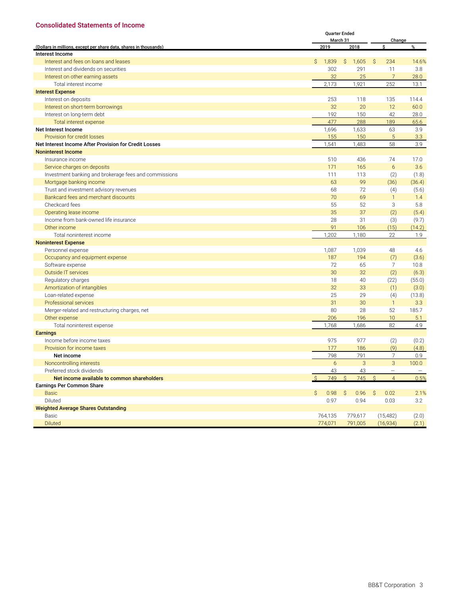#### <span id="page-18-0"></span>**Consolidated Statements of Income**

|                                                                   |              | <b>Quarter Ended</b> |                       |                                 | Change |  |  |  |
|-------------------------------------------------------------------|--------------|----------------------|-----------------------|---------------------------------|--------|--|--|--|
| (Dollars in millions, except per share data, shares in thousands) |              | March 31<br>2019     | 2018                  | Ś.                              | %      |  |  |  |
| Interest Income                                                   |              |                      |                       |                                 |        |  |  |  |
| Interest and fees on loans and leases                             | $\mathsf{S}$ | 1,839                | Ŝ.<br>1,605           | Ŝ.<br>234                       | 14.6%  |  |  |  |
| Interest and dividends on securities                              |              | 302                  | 291                   | 11                              | 3.8    |  |  |  |
| Interest on other earning assets                                  |              | 32                   | 25                    | $\overline{7}$                  | 28.0   |  |  |  |
| Total interest income                                             |              | 2,173                | 1,921                 | 252                             | 13.1   |  |  |  |
| <b>Interest Expense</b>                                           |              |                      |                       |                                 |        |  |  |  |
| Interest on deposits                                              |              | 253                  | 118                   | 135                             | 114.4  |  |  |  |
| Interest on short-term borrowings                                 |              | 32                   | 20                    | 12                              | 60.0   |  |  |  |
| Interest on long-term debt                                        |              | 192                  | 150                   | 42                              | 28.0   |  |  |  |
| Total interest expense                                            |              | 477                  | 288                   | 189                             | 65.6   |  |  |  |
| Net Interest Income                                               |              | 1,696                | 1,633                 | 63                              | 3.9    |  |  |  |
| Provision for credit losses                                       |              | 155                  | 150                   | 5                               | 3.3    |  |  |  |
| Net Interest Income After Provision for Credit Losses             |              | 1,541                | 1,483                 | 58                              | 3.9    |  |  |  |
| <b>Noninterest Income</b>                                         |              |                      |                       |                                 |        |  |  |  |
| Insurance income                                                  |              | 510                  | 436                   | 74                              | 17.0   |  |  |  |
| Service charges on deposits                                       |              | 171                  | 165                   | 6                               | 3.6    |  |  |  |
| Investment banking and brokerage fees and commissions             |              | 111                  | 113                   | (2)                             | (1.8)  |  |  |  |
| Mortgage banking income                                           |              | 63                   | 99                    | (36)                            | (36.4) |  |  |  |
| Trust and investment advisory revenues                            |              | 68                   | 72                    | (4)                             | (5.6)  |  |  |  |
| Bankcard fees and merchant discounts                              |              | 70                   | 69                    | $\mathbf{1}$                    | 1.4    |  |  |  |
| Checkcard fees                                                    |              | 55                   | 52                    | 3                               | 5.8    |  |  |  |
| Operating lease income                                            |              | 35                   | 37                    | (2)                             | (5.4)  |  |  |  |
| Income from bank-owned life insurance                             |              | 28                   | 31                    | (3)                             | (9.7)  |  |  |  |
| Other income                                                      |              | 91                   | 106                   | (15)                            | (14.2) |  |  |  |
| Total noninterest income                                          |              | 1,202                | 1,180                 | 22                              | 1.9    |  |  |  |
| <b>Noninterest Expense</b>                                        |              |                      |                       |                                 |        |  |  |  |
| Personnel expense                                                 |              | 1,087                | 1,039                 | 48                              | 4.6    |  |  |  |
| Occupancy and equipment expense                                   |              | 187                  | 194                   | (7)                             | (3.6)  |  |  |  |
| Software expense                                                  |              | 72                   | 65                    | 7                               | 10.8   |  |  |  |
| Outside IT services                                               |              | 30                   | 32                    | (2)                             | (6.3)  |  |  |  |
| Regulatory charges                                                |              | 18                   | 40                    | (22)                            | (55.0) |  |  |  |
| Amortization of intangibles                                       |              | 32                   | 33                    | (1)                             | (3.0)  |  |  |  |
| Loan-related expense                                              |              | 25                   | 29                    | (4)                             | (13.8) |  |  |  |
| Professional services                                             |              | 31                   | 30                    | $\mathbf{1}$                    | 3.3    |  |  |  |
| Merger-related and restructuring charges, net                     |              | 80                   | 28                    | 52                              | 185.7  |  |  |  |
| Other expense                                                     |              | 206                  | 196                   | 10                              | 5.1    |  |  |  |
| Total noninterest expense                                         |              | 1,768                | 1,686                 | 82                              | 4.9    |  |  |  |
| <b>Earnings</b>                                                   |              |                      |                       |                                 |        |  |  |  |
| Income before income taxes                                        |              | 975                  | 977                   | (2)                             | (0.2)  |  |  |  |
| Provision for income taxes                                        |              | 177                  | 186                   | (9)                             | (4.8)  |  |  |  |
| Net income                                                        |              | 798                  | 791                   | $\overline{7}$                  | 0.9    |  |  |  |
| Noncontrolling interests                                          |              | 6                    | 3                     | 3                               | 100.0  |  |  |  |
| Preferred stock dividends                                         |              | 43                   | 43                    | $\overline{\phantom{0}}$        |        |  |  |  |
| Net income available to common shareholders                       | S.           | 749                  | 745<br>Ŝ.             | $\mathcal{S}$<br>$\overline{4}$ | 0.5%   |  |  |  |
| <b>Earnings Per Common Share</b>                                  |              |                      |                       |                                 |        |  |  |  |
| <b>Basic</b>                                                      | $\mathsf{S}$ | 0.98                 | $\mathcal{S}$<br>0.96 | $\mathsf{S}$<br>0.02            | 2.1%   |  |  |  |
| Diluted                                                           |              | 0.97                 | 0.94                  | 0.03                            | 3.2    |  |  |  |
| <b>Weighted Average Shares Outstanding</b>                        |              |                      |                       |                                 |        |  |  |  |
| Basic                                                             |              | 764,135              | 779,617               | (15, 482)                       | (2.0)  |  |  |  |
| <b>Diluted</b>                                                    |              | 774,071              | 791,005               | (16,934)                        | (2.1)  |  |  |  |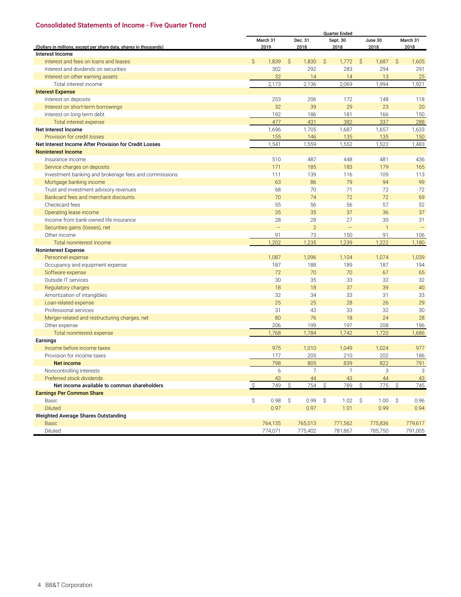#### <span id="page-19-0"></span>**Consolidated Statements of Income - Five Quarter Trend**

|                                                                   | <b>Quarter Ended</b> |                   |              |                 |               |                          |    |                 |    |                  |
|-------------------------------------------------------------------|----------------------|-------------------|--------------|-----------------|---------------|--------------------------|----|-----------------|----|------------------|
| (Dollars in millions, except per share data, shares in thousands) |                      | March 31<br>2019  |              | Dec. 31<br>2018 |               | Sept. 30<br>2018         |    | June 30<br>2018 |    | March 31<br>2018 |
| Interest Income                                                   |                      |                   |              |                 |               |                          |    |                 |    |                  |
| Interest and fees on loans and leases                             | $\mathsf{S}$         | 1,839             | $\mathsf{S}$ | 1,830           | Ŝ.            | 1,772                    | S. | 1,687           | Ŝ. | 1,605            |
| Interest and dividends on securities                              |                      | 302               |              | 292             |               | 283                      |    | 294             |    | 291              |
| Interest on other earning assets                                  |                      | 32                |              | 14              |               | 14                       |    | 13              |    | 25               |
| Total interest income                                             |                      | 2,173             |              | 2,136           |               | 2,069                    |    | 1,994           |    | 1,921            |
| <b>Interest Expense</b>                                           |                      |                   |              |                 |               |                          |    |                 |    |                  |
| Interest on deposits                                              |                      | 253               |              | 206             |               | 172                      |    | 148             |    | 118              |
| Interest on short-term borrowings                                 |                      | 32                |              | 39              |               | 29                       |    | 23              |    | 20               |
| Interest on long-term debt                                        |                      | 192               |              | 186             |               | 181                      |    | 166             |    | 150              |
| Total interest expense                                            |                      | 477               |              | 431             |               | 382                      |    | 337             |    | 288              |
| Net Interest Income                                               |                      | 1,696             |              | 1,705           |               | 1,687                    |    | 1,657           |    | 1,633            |
| Provision for credit losses                                       |                      | 155               |              | 146             |               | 135                      |    | 135             |    | 150              |
| Net Interest Income After Provision for Credit Losses             |                      | 1,541             |              | 1,559           |               | 1,552                    |    | 1,522           |    | 1,483            |
| <b>Noninterest Income</b>                                         |                      |                   |              |                 |               |                          |    |                 |    |                  |
| Insurance income                                                  |                      | 510               |              | 487             |               | 448                      |    | 481             |    | 436              |
| Service charges on deposits                                       |                      | 171               |              | 185             |               | 183                      |    | 179             |    | 165              |
| Investment banking and brokerage fees and commissions             |                      | 111               |              | 139             |               | 116                      |    | 109             |    | 113              |
| Mortgage banking income                                           |                      | 63                |              | 86              |               | 79                       |    | 94              |    | 99               |
| Trust and investment advisory revenues                            |                      | 68                |              | 70              |               | 71                       |    | 72              |    | 72               |
| Bankcard fees and merchant discounts                              |                      | 70                |              | 74              |               | 72                       |    | 72              |    | 69               |
| Checkcard fees                                                    |                      | 55                |              | 56              |               | 56                       |    | 57              |    | 52               |
| Operating lease income                                            |                      | 35                |              | 35              |               | 37                       |    | 36              |    | 37               |
| Income from bank-owned life insurance                             |                      | 28                |              | 28              |               | 27                       |    | 30              |    | 31               |
| Securities gains (losses), net                                    |                      | $\qquad \qquad -$ |              | $\overline{2}$  |               | $\overline{\phantom{m}}$ |    | $\mathbf{1}$    |    |                  |
| Other income                                                      |                      | 91                |              | 73              |               | 150                      |    | 91              |    | 106              |
| Total noninterest income                                          |                      | 1,202             |              | 1,235           |               | 1,239                    |    | 1,222           |    | 1,180            |
| <b>Noninterest Expense</b>                                        |                      |                   |              |                 |               |                          |    |                 |    |                  |
| Personnel expense                                                 |                      | 1,087             |              | 1,096           |               | 1,104                    |    | 1,074           |    | 1,039            |
| Occupancy and equipment expense                                   |                      | 187               |              | 188             |               | 189                      |    | 187             |    | 194              |
| Software expense                                                  |                      | 72                |              | 70              |               | 70                       |    | 67              |    | 65               |
| Outside IT services                                               |                      | 30                |              | 35              |               | 33                       |    | 32              |    | 32               |
| Regulatory charges                                                |                      | 18                |              | 18              |               | 37                       |    | 39              |    | 40               |
| Amortization of intangibles                                       |                      | 32                |              | 34              |               | 33                       |    | 31              |    | 33               |
| Loan-related expense                                              |                      | 25                |              | 25              |               | 28                       |    | 26              |    | 29               |
| Professional services                                             |                      | 31                |              | 43              |               | 33                       |    | 32              |    | 30               |
| Merger-related and restructuring charges, net                     |                      | 80                |              | 76              |               | 18                       |    | 24              |    | 28               |
| Other expense                                                     |                      | 206               |              | 199             |               | 197                      |    | 208             |    | 196              |
| Total noninterest expense                                         |                      | 1,768             |              | 1,784           |               | 1,742                    |    | 1,720           |    | 1,686            |
| Earnings                                                          |                      |                   |              |                 |               |                          |    |                 |    |                  |
| Income before income taxes                                        |                      | 975               |              | 1,010           |               | 1,049                    |    | 1,024           |    | 977              |
| Provision for income taxes                                        |                      | 177               |              | 205             |               | 210                      |    | 202             |    | 186              |
| <b>Net income</b>                                                 |                      | 798               |              | 805             |               | 839                      |    | 822             |    | 791              |
| Noncontrolling interests                                          |                      | 6                 |              | 7               |               |                          |    | З               |    | 3                |
| Preferred stock dividends                                         |                      | 43                |              | 44              |               | 43                       |    | 44              |    | 43               |
| Net income available to common shareholders                       | $\mathcal{S}$        | 749               | S.           | 754             | $\mathcal{S}$ | 789                      | Ŝ. | 775             | Ŝ. | 745              |
| <b>Earnings Per Common Share</b>                                  |                      |                   |              |                 |               |                          |    |                 |    |                  |
| Basic                                                             | \$                   | 0.98              | \$           | 0.99            | \$            | 1.02                     | \$ | 1.00            | \$ | 0.96             |
| <b>Diluted</b>                                                    |                      | 0.97              |              | 0.97            |               | 1.01                     |    | 0.99            |    | 0.94             |
| Weighted Average Shares Outstanding                               |                      |                   |              |                 |               |                          |    |                 |    |                  |
| <b>Basic</b>                                                      |                      | 764,135           |              | 765,013         |               | 771,562                  |    | 775,836         |    | 779,617          |
| Diluted                                                           |                      | 774,071           |              | 775,402         |               | 781,867                  |    | 785,750         |    | 791,005          |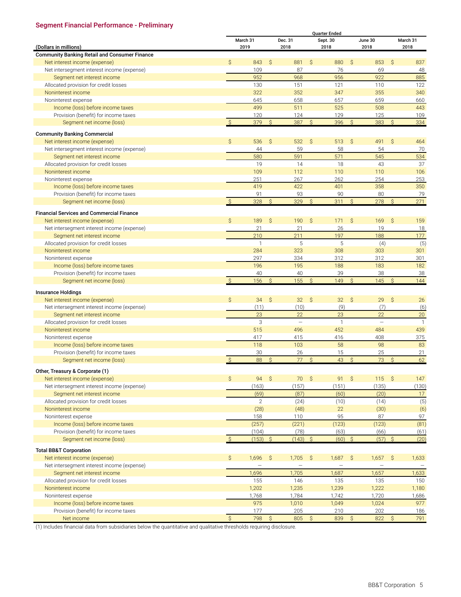# <span id="page-20-0"></span>**Segment Financial Performance - Preliminary**

|                                                      |                     |              |               |                   |               | <b>Ouarter Ended</b> |               |                   |               |              |
|------------------------------------------------------|---------------------|--------------|---------------|-------------------|---------------|----------------------|---------------|-------------------|---------------|--------------|
|                                                      |                     | March 31     |               | Dec. 31           |               | Sept. 30             |               | June 30           |               | March 31     |
| (Dollars in millions)                                |                     | 2019         |               | 2018              |               | 2018                 |               | 2018              |               | 2018         |
| <b>Community Banking Retail and Consumer Finance</b> |                     |              |               |                   |               |                      |               |                   |               |              |
| Net interest income (expense)                        | $\mathsf{S}$        | 843          | $\mathsf{S}$  | 881               | $\mathsf{S}$  | 880                  | $\mathcal{S}$ | 853               | $\mathsf{S}$  | 837          |
| Net intersegment interest income (expense)           |                     | 109          |               | 87                |               | 76                   |               | 69                |               | 48           |
| Segment net interest income                          |                     | 952          |               | 968               |               | 956                  |               | 922               |               | 885          |
| Allocated provision for credit losses                |                     | 130          |               | 151               |               | 121                  |               | 110               |               | 122          |
| Noninterest income                                   |                     | 322          |               | 352               |               | 347                  |               | 355               |               | 340          |
| Noninterest expense                                  |                     | 645          |               | 658               |               | 657                  |               | 659               |               | 660          |
| Income (loss) before income taxes                    |                     | 499          |               | 511               |               | 525                  |               | 508               |               | 443          |
| Provision (benefit) for income taxes                 |                     | 120          |               | 124               |               | 129                  |               | 125               |               | 109          |
| Segment net income (loss)                            | $\mathcal{S}$       | 379          | $\mathsf{S}$  | 387               | $\mathsf{S}$  | 396                  | $\mathsf{S}$  | 383               | $\mathcal{S}$ | 334          |
|                                                      |                     |              |               |                   |               |                      |               |                   |               |              |
| <b>Community Banking Commercial</b>                  |                     |              |               |                   |               |                      |               |                   |               |              |
| Net interest income (expense)                        | $\mathsf{S}$        | 536          | \$            | 532               | $\mathsf{S}$  | 513                  | $\mathsf{S}$  | 491               | $\mathsf{S}$  | 464          |
| Net intersegment interest income (expense)           |                     | 44           |               | 59                |               | 58                   |               | 54                |               | 70           |
| Segment net interest income                          |                     | 580          |               | 591               |               | 571                  |               | 545               |               | 534          |
| Allocated provision for credit losses                |                     | 19           |               | 14                |               | 18                   |               | 43                |               | 37           |
| Noninterest income                                   |                     | 109          |               | 112               |               | 110                  |               | 110               |               | 106          |
| Noninterest expense                                  |                     | 251          |               | 267               |               | 262                  |               | 254               |               | 253          |
| Income (loss) before income taxes                    |                     | 419          |               | 422               |               | 401                  |               | 358               |               | 350          |
| Provision (benefit) for income taxes                 |                     | 91           |               | 93                |               | 90                   |               | 80                |               | 79           |
| Segment net income (loss)                            | $\mathsf{S}$        | 328          | $\mathsf{S}$  | 329               | $\mathcal{S}$ | 311                  | $\mathsf{S}$  | 278               | $\mathsf{S}$  | 271          |
| <b>Financial Services and Commercial Finance</b>     |                     |              |               |                   |               |                      |               |                   |               |              |
| Net interest income (expense)                        | $\mathsf{S}$        | 189          | $\mathsf{S}$  | 190               | Ŝ.            | 171                  | $\mathsf{S}$  | 169               | $\mathsf{S}$  | 159          |
| Net intersegment interest income (expense)           |                     | 21           |               | 21                |               | 26                   |               | 19                |               | 18           |
| Segment net interest income                          |                     | 210          |               | 211               |               | 197                  |               | 188               |               | 177          |
| Allocated provision for credit losses                |                     | $\mathbf{1}$ |               | 5                 |               | 5                    |               | (4)               |               | (5)          |
| Noninterest income                                   |                     | 284          |               | 323               |               | 308                  |               | 303               |               | 301          |
| Noninterest expense                                  |                     | 297          |               | 334               |               | 312                  |               | 312               |               | 301          |
| Income (loss) before income taxes                    |                     | 196          |               | 195               |               | 188                  |               | 183               |               | 182          |
| Provision (benefit) for income taxes                 |                     | 40           |               | 40                |               | 39                   |               | 38                |               | 38           |
| Segment net income (loss)                            | $\mathcal{S}$       | 156          | $\mathsf{S}$  | 155               | $\mathsf{S}$  | 149                  | $\mathsf{S}$  | 145               | $\mathsf{S}$  | 144          |
|                                                      |                     |              |               |                   |               |                      |               |                   |               |              |
| <b>Insurance Holdings</b>                            |                     |              |               |                   |               |                      |               |                   |               |              |
| Net interest income (expense)                        | Ŝ                   | 34           | $\zeta$       | 32                | Ŝ.            | 32 <sup>2</sup>      | S.            | 29                | Ŝ             | 26           |
| Net intersegment interest income (expense)           |                     | (11)         |               | (10)              |               | (9)                  |               | (7)               |               | (6)          |
| Segment net interest income                          |                     | 23           |               | 22                |               | 23                   |               | 22                |               | 20           |
| Allocated provision for credit losses                |                     | 3            |               | $\qquad \qquad -$ |               | $\mathbf{1}$         |               | $\qquad \qquad -$ |               | $\mathbf{1}$ |
| Noninterest income                                   |                     | 515          |               | 496               |               | 452                  |               | 484               |               | 439          |
| Noninterest expense                                  |                     | 417          |               | 415               |               | 416                  |               | 408               |               | 375          |
| Income (loss) before income taxes                    |                     | 118          |               | 103               |               | 58                   |               | 98                |               | 83           |
| Provision (benefit) for income taxes                 |                     | 30           |               | 26                |               | 15                   |               | 25                |               | 21           |
| Segment net income (loss)                            | $\mathsf{S}$        | 88           | $\mathsf{S}$  | 77                | $\mathsf{S}$  | 43                   | $\mathsf{S}$  | 73                | $\mathcal{S}$ | 62           |
|                                                      |                     |              |               |                   |               |                      |               |                   |               |              |
| Other, Treasury & Corporate (1)                      |                     |              |               |                   |               |                      |               |                   |               |              |
| Net interest income (expense)                        | $\mathsf{S}$        | 94S          |               | 70S               |               | 91S                  |               | 115S              |               | 147          |
| Net intersegment interest income (expense)           |                     | (163)        |               | (157)             |               | (151)                |               | (135)             |               | (130)        |
| Segment net interest income                          |                     | (69)         |               | (87)              |               | (60)                 |               | (20)              |               | 17           |
| Allocated provision for credit losses                |                     | $\mathbf{2}$ |               | (24)              |               | (10)                 |               | (14)              |               | (5)          |
| Noninterest income                                   |                     | (28)         |               | (48)              |               | 22                   |               | (30)              |               | (6)          |
| Noninterest expense                                  |                     | 158          |               | 110               |               | 95                   |               | 87                |               | 97           |
| Income (loss) before income taxes                    |                     | (257)        |               | (221)             |               | (123)                |               | (123)             |               | (81)         |
| Provision (benefit) for income taxes                 |                     | (104)        |               | (78)              |               | (63)                 |               | (66)              |               | (61)         |
| Segment net income (loss)                            | $\mathcal{S}$       | (153)        | $\mathcal{S}$ | (143)             | $\mathcal{S}$ | $(60)$ \$            |               | (57)              | $\mathcal{S}$ | (20)         |
| <b>Total BB&amp;T Corporation</b>                    |                     |              |               |                   |               |                      |               |                   |               |              |
| Net interest income (expense)                        | Ŝ.                  | 1,696        | $\zeta$       | 1,705             | $\mathcal{S}$ | 1,687                | $\mathcal{S}$ | 1,657             | $\mathsf{S}$  | 1,633        |
| Net intersegment interest income (expense)           |                     |              |               |                   |               |                      |               |                   |               |              |
| Segment net interest income                          |                     | 1,696        |               | 1,705             |               | 1,687                |               | 1,657             |               | 1,633        |
| Allocated provision for credit losses                |                     | 155          |               | 146               |               | 135                  |               | 135               |               | 150          |
| Noninterest income                                   |                     | 1,202        |               | 1,235             |               | 1,239                |               | 1,222             |               | 1,180        |
| Noninterest expense                                  |                     | 1,768        |               | 1,784             |               | 1,742                |               | 1,720             |               | 1,686        |
| Income (loss) before income taxes                    |                     | 975          |               | 1,010             |               | 1,049                |               | 1,024             |               | 977          |
| Provision (benefit) for income taxes                 |                     | 177          |               | 205               |               | 210                  |               | 202               |               | 186          |
| Net income                                           | $\hat{\mathcal{S}}$ | 798          | $\hat{S}$     | 805               | $\hat{S}$     | 839                  | $\mathcal{S}$ | 822               | $\mathsf{S}$  | 791          |
|                                                      |                     |              |               |                   |               |                      |               |                   |               |              |

(1) Includes financial data from subsidiaries below the quantitative and qualitative thresholds requiring disclosure.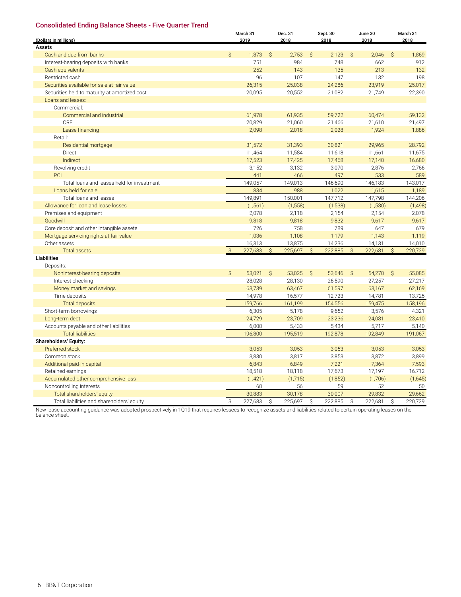#### <span id="page-21-0"></span>**Consolidated Ending Balance Sheets - Five Quarter Trend**

|                                               |              | March 31         |              | Dec. 31      |               | Sept. 30     |    | June 30          |               | March 31         |
|-----------------------------------------------|--------------|------------------|--------------|--------------|---------------|--------------|----|------------------|---------------|------------------|
| (Dollars in millions)<br>Assets               |              | 2019             |              | 2018         |               | 2018         |    | 2018             |               | 2018             |
|                                               |              |                  |              |              | S.            |              |    |                  |               |                  |
| Cash and due from banks                       | $\mathsf{S}$ | 1,873<br>751     | $\mathsf{S}$ | 2,753<br>984 |               | 2,123<br>748 | S. | 2,046<br>662     | $\mathcal{S}$ | 1,869<br>912     |
| Interest-bearing deposits with banks          |              | 252              |              |              |               | 135          |    | 213              |               |                  |
| Cash equivalents                              |              |                  |              | 143          |               |              |    |                  |               | 132              |
| Restricted cash                               |              | 96               |              | 107          |               | 147          |    | 132              |               | 198              |
| Securities available for sale at fair value   |              | 26,315<br>20,095 |              | 25,038       |               | 24,286       |    | 23,919<br>21,749 |               | 25,017<br>22,390 |
| Securities held to maturity at amortized cost |              |                  |              | 20,552       |               | 21,082       |    |                  |               |                  |
| Loans and leases:<br>Commercial:              |              |                  |              |              |               |              |    |                  |               |                  |
| Commercial and industrial                     |              |                  |              |              |               |              |    |                  |               |                  |
| CRE                                           |              | 61,978<br>20,829 |              | 61,935       |               | 59,722       |    | 60,474<br>21,610 |               | 59,132           |
|                                               |              |                  |              | 21,060       |               | 21,466       |    |                  |               | 21,497           |
| Lease financing                               |              | 2,098            |              | 2,018        |               | 2,028        |    | 1,924            |               | 1,886            |
| Retail:                                       |              |                  |              |              |               |              |    |                  |               |                  |
| Residential mortgage                          |              | 31,572           |              | 31,393       |               | 30,821       |    | 29,965           |               | 28,792           |
| Direct                                        |              | 11,464           |              | 11,584       |               | 11,618       |    | 11,661           |               | 11,675           |
| Indirect                                      |              | 17,523           |              | 17,425       |               | 17,468       |    | 17,140           |               | 16,680           |
| Revolving credit                              |              | 3,152            |              | 3,132        |               | 3,070        |    | 2,876            |               | 2,766            |
| PCI                                           |              | 441              |              | 466          |               | 497          |    | 533              |               | 589              |
| Total loans and leases held for investment    |              | 149,057          |              | 149,013      |               | 146,690      |    | 146,183          |               | 143,017          |
| Loans held for sale                           |              | 834              |              | 988          |               | 1,022        |    | 1,615            |               | 1,189            |
| Total loans and leases                        |              | 149,891          |              | 150,001      |               | 147,712      |    | 147,798          |               | 144,206          |
| Allowance for loan and lease losses           |              | (1, 561)         |              | (1,558)      |               | (1,538)      |    | (1,530)          |               | (1, 498)         |
| Premises and equipment                        |              | 2,078            |              | 2,118        |               | 2,154        |    | 2,154            |               | 2,078            |
| Goodwill                                      |              | 9,818            |              | 9,818        |               | 9,832        |    | 9,617            |               | 9,617            |
| Core deposit and other intangible assets      |              | 726              |              | 758          |               | 789          |    | 647              |               | 679              |
| Mortgage servicing rights at fair value       |              | 1,036            |              | 1,108        |               | 1,179        |    | 1,143            |               | 1,119            |
| Other assets                                  |              | 16,313           |              | 13,875       |               | 14,236       |    | 14,131           |               | 14,010           |
| <b>Total assets</b>                           | Ŝ.           | 227,683          | $\mathsf{S}$ | 225,697      | $\mathcal{S}$ | 222,885      | Ŝ  | 222,681          | Ŝ.            | 220,729          |
| <b>Liabilities</b>                            |              |                  |              |              |               |              |    |                  |               |                  |
| Deposits:                                     |              |                  |              |              |               |              |    |                  |               |                  |
| Noninterest-bearing deposits                  | $\mathsf{S}$ | 53,021           | $\mathsf{S}$ | 53,025       | <sub>S</sub>  | 53,646       | Ŝ. | 54,270           | <sub>S</sub>  | 55,085           |
| Interest checking                             |              | 28,028           |              | 28,130       |               | 26,590       |    | 27,257           |               | 27,217           |
| Money market and savings                      |              | 63,739           |              | 63,467       |               | 61,597       |    | 63,167           |               | 62,169           |
| Time deposits                                 |              | 14,978           |              | 16,577       |               | 12,723       |    | 14,781           |               | 13,725           |
| <b>Total deposits</b>                         |              | 159,766          |              | 161.199      |               | 154,556      |    | 159,475          |               | 158,196          |
| Short-term borrowings                         |              | 6,305            |              | 5,178        |               | 9,652        |    | 3,576            |               | 4,321            |
| Long-term debt                                |              | 24,729           |              | 23,709       |               | 23,236       |    | 24,081           |               | 23,410           |
| Accounts payable and other liabilities        |              | 6,000            |              | 5,433        |               | 5,434        |    | 5,717            |               | 5,140            |
| <b>Total liabilities</b>                      |              | 196,800          |              | 195,519      |               | 192,878      |    | 192,849          |               | 191,067          |
| Shareholders' Equity:                         |              |                  |              |              |               |              |    |                  |               |                  |
| Preferred stock                               |              | 3,053            |              | 3,053        |               | 3,053        |    | 3,053            |               | 3,053            |
| Common stock                                  |              | 3,830            |              | 3,817        |               | 3,853        |    | 3,872            |               | 3,899            |
| Additional paid-in capital                    |              | 6,843            |              | 6,849        |               | 7,221        |    | 7,364            |               | 7,593            |
| Retained earnings                             |              | 18,518           |              | 18,118       |               | 17,673       |    | 17,197           |               | 16,712           |
| Accumulated other comprehensive loss          |              | (1, 421)         |              | (1,715)      |               | (1,852)      |    | (1,706)          |               | (1,645)          |
| Noncontrolling interests                      |              | 60               |              | 56           |               | 59           |    | 52               |               | 50               |
| Total shareholders' equity                    |              | 30,883           |              | 30,178       |               | 30,007       |    | 29,832           |               | 29,662           |
| Total liabilities and shareholders' equity    | Ŝ.           | 227,683          | \$           | 225,697      | \$            | 222,885      | \$ | 222,681          | \$            | 220,729          |

New lease accounting guidance was adopted prospectively in 1Q19 that requires lessees to recognize assets and liabilities related to certain operating leases on the balance sheet.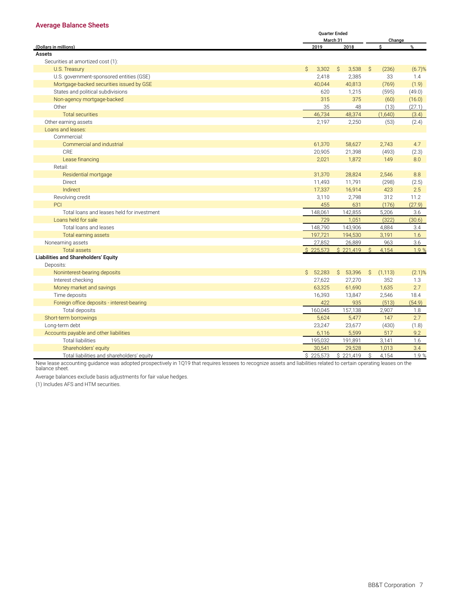#### <span id="page-22-0"></span>**Average Balance Sheets**

|                                            |              | <b>Ouarter Ended</b> |                    |        |
|--------------------------------------------|--------------|----------------------|--------------------|--------|
|                                            |              | March 31             |                    | Change |
| (Dollars in millions)                      | 2019         | 2018                 | \$.                | %      |
| Assets                                     |              |                      |                    |        |
| Securities at amortized cost (1):          |              |                      |                    |        |
| U.S. Treasury                              | S.<br>3,302  | S.<br>3,538          | S.<br>(236)        | (6.7)% |
| U.S. government-sponsored entities (GSE)   | 2,418        | 2,385                | 33                 | 1.4    |
| Mortgage-backed securities issued by GSE   | 40,044       | 40,813               | (769)              | (1.9)  |
| States and political subdivisions          | 620          | 1,215                | (595)              | (49.0) |
| Non-agency mortgage-backed                 | 315          | 375                  | (60)               | (16.0) |
| Other                                      | 35           | 48                   | (13)               | (27.1) |
| <b>Total securities</b>                    | 46,734       | 48,374               | (1,640)            | (3.4)  |
| Other earning assets                       | 2,197        | 2,250                | (53)               | (2.4)  |
| Loans and leases:                          |              |                      |                    |        |
| Commercial:                                |              |                      |                    |        |
| Commercial and industrial                  | 61,370       | 58,627               | 2,743              | 4.7    |
| <b>CRE</b>                                 | 20,905       | 21,398               | (493)              | (2.3)  |
| Lease financing                            | 2,021        | 1,872                | 149                | 8.0    |
| Retail:                                    |              |                      |                    |        |
| Residential mortgage                       | 31,370       | 28,824               | 2,546              | 8.8    |
| Direct                                     | 11,493       | 11,791               | (298)              | (2.5)  |
| Indirect                                   | 17,337       | 16,914               | 423                | 2.5    |
| Revolving credit                           | 3,110        | 2,798                | 312                | 11.2   |
| PCI                                        | 455          | 631                  | (176)              | (27.9) |
| Total loans and leases held for investment | 148,061      | 142,855              | 5,206              | 3.6    |
| Loans held for sale                        | 729          | 1,051                | (322)              | (30.6) |
| Total loans and leases                     | 148,790      | 143,906              | 4,884              | 3.4    |
| <b>Total earning assets</b>                | 197,721      | 194,530              | 3,191              | 1.6    |
| Nonearning assets                          | 27,852       | 26,889               | 963                | 3.6    |
| <b>Total assets</b>                        | \$225,573    | \$221,419            | $\hat{S}$<br>4,154 | 1.9 %  |
| Liabilities and Shareholders' Equity       |              |                      |                    |        |
| Deposits:                                  |              |                      |                    |        |
| Noninterest-bearing deposits               | 52,283<br>S. | Ŝ.<br>53,396         | Ŝ.<br>(1, 113)     | (2.1)% |
| Interest checking                          | 27,622       | 27,270               | 352                | 1.3    |
| Money market and savings                   | 63,325       | 61,690               | 1,635              | 2.7    |
| Time deposits                              | 16,393       | 13,847               | 2,546              | 18.4   |
| Foreign office deposits - interest-bearing | 422          | 935                  | (513)              | (54.9) |
| Total deposits                             | 160,045      | 157,138              | 2,907              | 1.8    |
| Short-term borrowings                      | 5,624        | 5,477                | 147                | 2.7    |
| Long-term debt                             | 23,247       | 23,677               | (430)              | (1.8)  |
| Accounts payable and other liabilities     | 6,116        | 5,599                | 517                | 9.2    |
| <b>Total liabilities</b>                   | 195,032      | 191,891              | 3,141              | 1.6    |
| Shareholders' equity                       | 30,541       | 29,528               | 1,013              | 3.4    |
| Total liabilities and shareholders' equity | \$225,573    | \$221,419            | Ś<br>4,154         | 1.9%   |

New lease accounting guidance was adopted prospectively in 1Q19 that requires lessees to recognize assets and liabilities related to certain operating leases on the balance sheet.

Average balances exclude basis adjustments for fair value hedges.

(1) Includes AFS and HTM securities.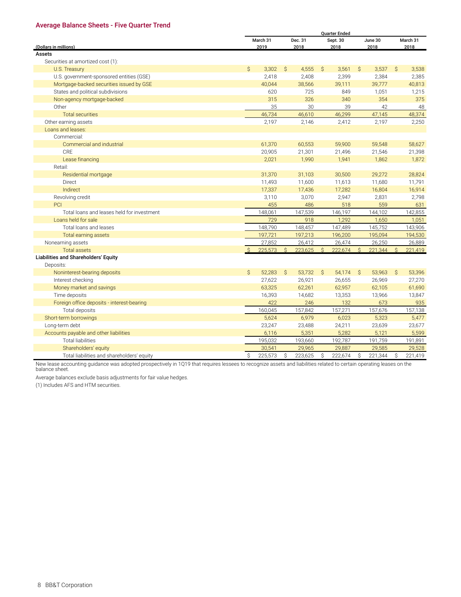#### <span id="page-23-0"></span>**Average Balance Sheets - Five Quarter Trend**

|                                            |              |                  |              |         | <b>Quarter Ended</b> |                  |              |         | 2018<br>3,538<br>2,385<br>40,813<br>1,215 |          |  |  |  |  |  |  |
|--------------------------------------------|--------------|------------------|--------------|---------|----------------------|------------------|--------------|---------|-------------------------------------------|----------|--|--|--|--|--|--|
|                                            |              | March 31         |              | Dec. 31 |                      | Sept. 30         |              | June 30 |                                           | March 31 |  |  |  |  |  |  |
| (Dollars in millions)                      |              | 2019             |              | 2018    |                      | 2018             |              | 2018    |                                           |          |  |  |  |  |  |  |
| <b>Assets</b>                              |              |                  |              |         |                      |                  |              |         |                                           |          |  |  |  |  |  |  |
| Securities at amortized cost (1):          |              |                  |              |         |                      |                  |              |         |                                           |          |  |  |  |  |  |  |
| U.S. Treasury                              | $\mathsf{S}$ | 3,302            | $\mathsf{S}$ | 4,555   | $\mathcal{S}$        | 3,561            | $\mathsf{S}$ | 3,537   | $\mathsf{S}$                              |          |  |  |  |  |  |  |
| U.S. government-sponsored entities (GSE)   |              | 2,418            |              | 2,408   |                      | 2,399            |              | 2,384   |                                           |          |  |  |  |  |  |  |
| Mortgage-backed securities issued by GSE   |              | 40,044           |              | 38,566  |                      | 39,111           |              | 39,777  |                                           |          |  |  |  |  |  |  |
| States and political subdivisions          |              | 620              |              | 725     |                      | 849              |              | 1,051   |                                           |          |  |  |  |  |  |  |
| Non-agency mortgage-backed                 |              | 315              |              | 326     |                      | 340              |              | 354     |                                           | 375      |  |  |  |  |  |  |
| Other                                      |              | 35               |              | 30      |                      | 39               |              | 42      |                                           | 48       |  |  |  |  |  |  |
| <b>Total securities</b>                    |              | 46,734           |              | 46,610  |                      | 46,299           |              | 47,145  |                                           | 48,374   |  |  |  |  |  |  |
| Other earning assets                       |              | 2,197            |              | 2,146   |                      | 2,412            |              | 2,197   |                                           | 2,250    |  |  |  |  |  |  |
| Loans and leases:                          |              |                  |              |         |                      |                  |              |         |                                           |          |  |  |  |  |  |  |
| Commercial:                                |              |                  |              |         |                      |                  |              |         |                                           |          |  |  |  |  |  |  |
| Commercial and industrial                  |              | 61,370           |              | 60,553  |                      | 59,900           |              | 59,548  |                                           | 58,627   |  |  |  |  |  |  |
| CRE                                        |              | 20,905           |              | 21,301  |                      | 21,496           |              | 21,546  |                                           | 21,398   |  |  |  |  |  |  |
| Lease financing                            |              | 2,021            |              | 1,990   |                      | 1,941            |              | 1,862   |                                           | 1,872    |  |  |  |  |  |  |
| Retail:                                    |              |                  |              |         |                      |                  |              |         |                                           |          |  |  |  |  |  |  |
| Residential mortgage                       |              | 31,370           |              | 31,103  |                      | 30,500           |              | 29,272  |                                           | 28,824   |  |  |  |  |  |  |
| <b>Direct</b>                              |              | 11,493           |              | 11,600  |                      | 11,613           |              | 11,680  |                                           | 11,791   |  |  |  |  |  |  |
| Indirect                                   |              | 17,337           |              | 17,436  |                      | 17,282           |              | 16,804  |                                           | 16,914   |  |  |  |  |  |  |
| Revolving credit                           |              | 3,110            |              | 3,070   |                      | 2,947            |              | 2,831   |                                           | 2,798    |  |  |  |  |  |  |
| PCI                                        |              | 455              |              | 486     |                      | 518              |              | 559     |                                           | 631      |  |  |  |  |  |  |
| Total loans and leases held for investment |              | 148,061          |              | 147,539 |                      | 146,197          |              | 144,102 |                                           | 142,855  |  |  |  |  |  |  |
| Loans held for sale                        |              | 729              |              | 918     |                      | 1,292            |              | 1,650   |                                           | 1,051    |  |  |  |  |  |  |
| Total loans and leases                     |              | 148,790          |              | 148,457 |                      | 147,489          |              | 145,752 |                                           | 143,906  |  |  |  |  |  |  |
| <b>Total earning assets</b>                |              | 197,721          |              | 197,213 |                      | 196,200          |              | 195,094 |                                           | 194,530  |  |  |  |  |  |  |
| Nonearning assets                          |              | 27,852           |              | 26,412  |                      | 26,474           |              | 26,250  |                                           | 26,889   |  |  |  |  |  |  |
| <b>Total assets</b>                        | $\mathsf{S}$ | 225,573          | $\mathsf{S}$ | 223,625 | $\mathsf{S}$         | 222,674          | $\mathsf{S}$ | 221.344 | $\mathsf{S}$                              | 221,419  |  |  |  |  |  |  |
| Liabilities and Shareholders' Equity       |              |                  |              |         |                      |                  |              |         |                                           |          |  |  |  |  |  |  |
| Deposits:                                  |              |                  |              |         |                      |                  |              |         |                                           |          |  |  |  |  |  |  |
| Noninterest-bearing deposits               | Ś.           | 52,283           | Ŝ            | 53,732  | Ŝ.                   | 54,174           | S.           | 53,963  | S.                                        | 53,396   |  |  |  |  |  |  |
| Interest checking                          |              | 27,622           |              | 26,921  |                      | 26,655           |              | 26,969  |                                           | 27,270   |  |  |  |  |  |  |
| Money market and savings                   |              | 63,325           |              | 62,261  |                      | 62,957           |              | 62,105  |                                           | 61,690   |  |  |  |  |  |  |
| Time deposits                              |              | 16,393           |              | 14,682  |                      | 13,353           |              | 13,966  |                                           | 13,847   |  |  |  |  |  |  |
| Foreign office deposits - interest-bearing |              | 422              |              | 246     |                      | 132              |              | 673     |                                           | 935      |  |  |  |  |  |  |
| Total deposits                             |              | 160,045          |              | 157,842 |                      | 157,271          |              | 157,676 |                                           | 157,138  |  |  |  |  |  |  |
| Short-term borrowings                      |              | 5,624            |              | 6,979   |                      | 6,023            |              | 5,323   |                                           | 5,477    |  |  |  |  |  |  |
|                                            |              |                  |              |         |                      |                  |              |         |                                           |          |  |  |  |  |  |  |
| Long-term debt                             |              | 23,247           |              | 23,488  |                      | 24,211           |              | 23,639  |                                           | 23,677   |  |  |  |  |  |  |
| Accounts payable and other liabilities     |              | 6,116<br>195,032 |              | 5,351   |                      | 5,282<br>192,787 |              | 5,121   |                                           | 5,599    |  |  |  |  |  |  |
| <b>Total liabilities</b>                   |              |                  |              | 193,660 |                      |                  |              | 191,759 |                                           | 191,891  |  |  |  |  |  |  |
| Shareholders' equity                       |              | 30,541           |              | 29,965  |                      | 29,887           |              | 29,585  |                                           | 29,528   |  |  |  |  |  |  |
| Total liabilities and shareholders' equity | \$           | 225,573          | \$           | 223,625 | \$                   | 222,674          | \$           | 221,344 | \$                                        | 221,419  |  |  |  |  |  |  |

New lease accounting guidance was adopted prospectively in 1Q19 that requires lessees to recognize assets and liabilities related to certain operating leases on the balance sheet.

Average balances exclude basis adjustments for fair value hedges.

(1) Includes AFS and HTM securities.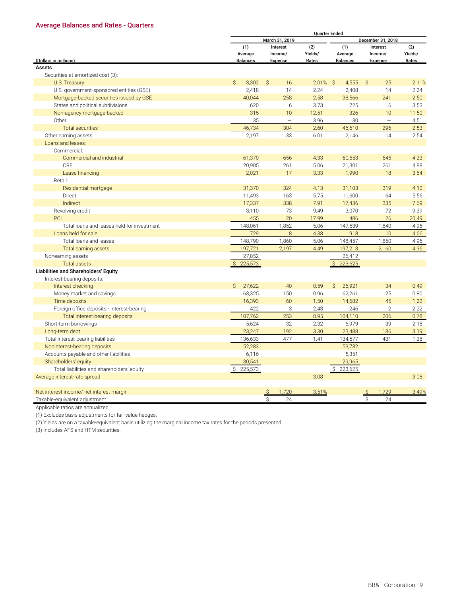#### <span id="page-24-0"></span>**Average Balances and Rates - Quarters**

|                                                                        |                       |          |             | <b>Quarter Ended</b>    |                          |         |  |
|------------------------------------------------------------------------|-----------------------|----------|-------------|-------------------------|--------------------------|---------|--|
|                                                                        | March 31, 2019        |          |             |                         | December 31, 2018        |         |  |
|                                                                        | (1)                   | Interest | (2)         | (1)                     | Interest                 | (2)     |  |
|                                                                        | Average               | Income/  | Yields/     | Average                 | Income/                  | Yields/ |  |
| (Dollars in millions)                                                  | <b>Balances</b>       | Expense  | Rates       | <b>Balances</b>         | <b>Expense</b>           | Rates   |  |
| Assets                                                                 |                       |          |             |                         |                          |         |  |
| Securities at amortized cost (3):                                      |                       |          |             |                         |                          |         |  |
| U.S. Treasury                                                          | $\mathsf{S}$<br>3,302 | Ŝ.<br>16 | $2.01\%$ \$ | 4,555                   | $\mathsf{S}$<br>25       | 2.11%   |  |
| U.S. government-sponsored entities (GSE)                               | 2,418                 | 14       | 2.24        | 2,408                   | 14                       | 2.24    |  |
| Mortgage-backed securities issued by GSE                               | 40,044                | 258      | 2.58        | 38,566                  | 241                      | 2.50    |  |
| States and political subdivisions                                      | 620                   | 6        | 3.73        | 725                     | 6                        | 3.53    |  |
| Non-agency mortgage-backed                                             | 315                   | 10       | 12.51       | 326                     | 10                       | 11.50   |  |
| Other                                                                  | 35                    |          | 3.96        | 30                      | $\overline{\phantom{0}}$ | 4.51    |  |
| <b>Total securities</b>                                                | 46,734                | 304      | 2.60        | 46,610                  | 296                      | 2.53    |  |
| Other earning assets                                                   | 2,197                 | 33       | 6.01        | 2,146                   | 14                       | 2.54    |  |
| Loans and leases:                                                      |                       |          |             |                         |                          |         |  |
| Commercial:                                                            |                       |          |             |                         |                          |         |  |
| Commercial and industrial                                              | 61,370                | 656      | 4.33        | 60,553                  | 645                      | 4.23    |  |
| CRE                                                                    | 20,905                | 261      | 5.06        | 21,301                  | 261                      | 4.88    |  |
| Lease financing                                                        | 2,021                 | 17       | 3.33        | 1,990                   | 18                       | 3.64    |  |
| Retail:                                                                |                       |          |             |                         |                          |         |  |
| Residential mortgage                                                   | 31,370                | 324      | 4.13        | 31,103                  | 319                      | 4.10    |  |
| Direct                                                                 | 11,493                | 163      | 5.75        | 11,600                  | 164                      | 5.56    |  |
| Indirect                                                               | 17,337                | 338      | 7.91        | 17,436                  | 335                      | 7.69    |  |
| Revolving credit                                                       | 3,110                 | 73       | 9.49        | 3,070                   | 72                       | 9.39    |  |
| PCI                                                                    | 455                   | 20       | 17.99       | 486                     | 26                       | 20.49   |  |
| Total loans and leases held for investment                             | 148,061               | 1,852    | 5.06        | 147,539                 | 1,840                    | 4.96    |  |
| Loans held for sale                                                    | 729                   | 8        | 4.38        | 918                     | 10                       | 4.66    |  |
| Total loans and leases                                                 | 148,790               | 1,860    | 5.06        | 148,457                 | 1,850                    | 4.96    |  |
| Total earning assets                                                   | 197,721               | 2,197    | 4.49        | 197,213                 | 2,160                    | 4.36    |  |
| Nonearning assets                                                      | 27,852                |          |             | 26,412                  |                          |         |  |
| <b>Total assets</b>                                                    | 225,573               |          |             | 223,625<br>$\mathsf{S}$ |                          |         |  |
| Liabilities and Shareholders' Equity                                   |                       |          |             |                         |                          |         |  |
| Interest-bearing deposits:                                             |                       |          |             |                         |                          |         |  |
| Interest checking                                                      | 27,622<br>Ś.          | 40       | 0.59        | Ŝ.<br>26,921            | 34                       | 0.49    |  |
| Money market and savings                                               | 63,325                | 150      | 0.96        | 62,261                  | 125                      | 0.80    |  |
| Time deposits                                                          | 16,393                | 60       | 1.50        | 14,682                  | 45                       | 1.22    |  |
| Foreign office deposits - interest-bearing                             | 422                   | 3        | 2.43        | 246                     | $\overline{2}$           | 2.22    |  |
| Total interest-bearing deposits                                        | 107,762               | 253      | 0.95        | 104,110                 | 206                      | 0.78    |  |
| Short-term borrowings                                                  | 5,624                 | 32       | 2.32        | 6,979                   | 39                       | 2.18    |  |
| Long-term debt                                                         | 23,247                | 192      | 3.30        | 23,488                  | 186                      | 3.19    |  |
| Total interest-bearing liabilities                                     | 136,633               | 477      | 1.41        | 134,577                 | 431                      | 1.28    |  |
|                                                                        | 52,283                |          |             | 53,732                  |                          |         |  |
| Noninterest-bearing deposits<br>Accounts payable and other liabilities | 6,116                 |          |             | 5,351                   |                          |         |  |
|                                                                        |                       |          |             |                         |                          |         |  |
| Shareholders' equity                                                   | 30,541                |          |             | 29,965                  |                          |         |  |
| Total liabilities and shareholders' equity                             | \$225,573             |          |             | \$223,625               |                          |         |  |
| Average interest-rate spread                                           |                       |          | 3.08        |                         |                          | 3.08    |  |
|                                                                        |                       |          |             |                         |                          |         |  |
| Net interest income/ net interest margin                               |                       | 1.720    | 3.51%       |                         | 1.729                    | 3.49%   |  |
| Taxable-equivalent adjustment                                          |                       | Ŝ<br>24  |             |                         | Ŝ.<br>24                 |         |  |

Applicable ratios are annualized.

(1) Excludes basis adjustments for fair value hedges.

(2) Yields are on a taxable-equivalent basis utilizing the marginal income tax rates for the periods presented.

(3) Includes AFS and HTM securities.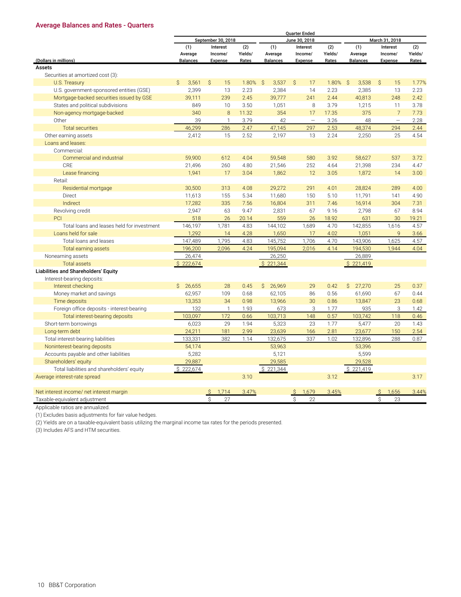#### **Average Balances and Rates - Quarters**

|                                             |                         |                    |         |                 | <b>Quarter Ended</b> |         |                 |                    |         |  |  |  |  |
|---------------------------------------------|-------------------------|--------------------|---------|-----------------|----------------------|---------|-----------------|--------------------|---------|--|--|--|--|
|                                             |                         | September 30, 2018 |         |                 | June 30, 2018        |         |                 | March 31, 2018     |         |  |  |  |  |
|                                             | (1)                     | Interest           | (2)     | (1)             | Interest             | (2)     | (1)             | Interest           | (2)     |  |  |  |  |
|                                             | Average                 | Income/            | Yields/ | Average         | Income/              | Yields/ | Average         | Income/            | Yields/ |  |  |  |  |
| (Dollars in millions)                       | <b>Balances</b>         | Expense            | Rates   | <b>Balances</b> | Expense              | Rates   | <b>Balances</b> | Expense            | Rates   |  |  |  |  |
| <b>Assets</b>                               |                         |                    |         |                 |                      |         |                 |                    |         |  |  |  |  |
| Securities at amortized cost (3):           |                         |                    |         |                 |                      |         |                 |                    |         |  |  |  |  |
| U.S. Treasury                               | Ŝ<br>3,561              | Ŝ<br>15            | 1.80%   | -Ŝ<br>3,537     | $\mathsf{S}$<br>17   | 1.80%   | - S<br>3,538    | $\mathsf{S}$<br>15 | 1.77%   |  |  |  |  |
| U.S. government-sponsored entities (GSE)    | 2,399                   | 13                 | 2.23    | 2,384<br>14     |                      | 2.23    | 2,385           | 13                 | 2.23    |  |  |  |  |
| Mortgage-backed securities issued by GSE    | 39,111                  | 239                | 2.45    | 39,777          | 241                  | 2.44    | 40,813          | 248                | 2.42    |  |  |  |  |
| States and political subdivisions           | 849                     | 10                 | 3.50    | 1,051           | 8                    | 3.79    | 1,215           | 11                 | 3.78    |  |  |  |  |
| Non-agency mortgage-backed                  | 340                     | $\,8\,$            | 11.32   | 354             | 17                   | 17.35   | 375             | $\overline{7}$     | 7.73    |  |  |  |  |
| Other                                       | 39                      | 1                  | 3.79    | 42              |                      | 3.26    | 48              |                    | 2.28    |  |  |  |  |
| <b>Total securities</b>                     | 46,299                  | 286                | 2.47    | 47,145          | 297                  | 2.53    | 48,374          | 294                | 2.44    |  |  |  |  |
| Other earning assets                        | 2,412                   | 15                 | 2.52    | 2,197           | 13                   | 2.24    | 2,250           | 25                 | 4.54    |  |  |  |  |
| Loans and leases:                           |                         |                    |         |                 |                      |         |                 |                    |         |  |  |  |  |
| Commercial:                                 |                         |                    |         |                 |                      |         |                 |                    |         |  |  |  |  |
| Commercial and industrial                   | 59,900                  | 612                | 4.04    | 59,548          | 580                  | 3.92    | 58,627          | 537                | 3.72    |  |  |  |  |
| CRE                                         | 21,496                  | 260                | 4.80    | 21,546          | 252                  | 4.64    | 21,398          | 234                | 4.47    |  |  |  |  |
| Lease financing                             | 1,941                   | 17                 | 3.04    | 1,862           | 12                   | 3.05    | 1,872           | 14                 | 3.00    |  |  |  |  |
| Retail:                                     |                         |                    |         |                 |                      |         |                 |                    |         |  |  |  |  |
| Residential mortgage                        | 30,500                  | 313                | 4.08    | 29,272          | 291                  | 4.01    | 28,824          | 289                | 4.00    |  |  |  |  |
| Direct                                      | 11,613                  | 155                | 5.34    | 11,680          | 150                  | 5.10    | 11,791          | 141                | 4.90    |  |  |  |  |
| Indirect                                    | 17,282                  | 335                | 7.56    | 16,804          | 311                  | 7.46    | 16,914          | 304                | 7.31    |  |  |  |  |
| Revolving credit                            | 2,947                   | 63                 | 9.47    | 2,831           | 67                   | 9.16    | 2,798           | 67                 | 8.94    |  |  |  |  |
| PCI                                         | 518                     | 26                 | 20.14   | 559             | 26                   | 18.92   | 631             | 30                 | 19.21   |  |  |  |  |
| Total loans and leases held for investment  | 146,197                 | 1,781              | 4.83    | 144,102         | 1,689                | 4.70    | 142,855         | 1,616              | 4.57    |  |  |  |  |
| Loans held for sale                         | 1,292                   | 14                 | 4.28    | 1,650           | 17                   | 4.02    | 1,051           | $\mathsf{Q}$       | 3.66    |  |  |  |  |
| Total loans and leases                      | 147,489                 | 1,795              | 4.83    | 145,752         | 1,706                | 4.70    | 143,906         | 1.625              | 4.57    |  |  |  |  |
| <b>Total earning assets</b>                 | 196,200                 | 2,096              | 4.24    | 195,094         | 2,016                | 4.14    | 194,530         | 1,944              | 4.04    |  |  |  |  |
| Nonearning assets                           | 26,474                  |                    |         | 26,250          |                      |         | 26,889          |                    |         |  |  |  |  |
| <b>Total assets</b>                         | \$222,674               |                    |         | \$221,344       |                      |         | \$221,419       |                    |         |  |  |  |  |
| <b>Liabilities and Shareholders' Equity</b> |                         |                    |         |                 |                      |         |                 |                    |         |  |  |  |  |
| Interest-bearing deposits:                  |                         |                    |         |                 |                      |         |                 |                    |         |  |  |  |  |
| Interest checking                           | $\mathcal{S}$<br>26,655 | 28                 | 0.45    | Ŝ.<br>26,969    | 29                   | 0.42    | Ŝ.<br>27,270    | 25                 | 0.37    |  |  |  |  |
| Money market and savings                    | 62,957                  | 109                | 0.68    | 62,105          | 86                   | 0.56    | 61,690          | 67                 | 0.44    |  |  |  |  |
| Time deposits                               | 13,353                  | 34                 | 0.98    | 13,966          | 30                   | 0.86    | 13,847          | 23                 | 0.68    |  |  |  |  |
| Foreign office deposits - interest-bearing  | 132                     | $\mathbf{1}$       | 1.93    | 673             | 3                    | 1.77    | 935             | 3                  | 1.42    |  |  |  |  |
| Total interest-bearing deposits             | 103,097                 | 172                | 0.66    | 103,713         | 148                  | 0.57    | 103,742         | 118                | 0.46    |  |  |  |  |
| Short-term borrowings                       | 6.023                   | 29                 | 1.94    | 5,323           | 23                   | 1.77    | 5.477           | 20                 | 1.43    |  |  |  |  |
| Long-term debt                              | 24,211                  | 181                | 2.99    | 23,639          | 166                  | 2.81    | 23,677          | 150                | 2.54    |  |  |  |  |
| Total interest-bearing liabilities          | 133,331                 | 382                | 1.14    | 132,675         | 337                  | 1.02    | 132,896         | 288                | 0.87    |  |  |  |  |
| Noninterest-bearing deposits                | 54,174                  |                    |         | 53,963          |                      |         | 53,396          |                    |         |  |  |  |  |
| Accounts payable and other liabilities      | 5,282                   |                    |         | 5,121           |                      |         | 5,599           |                    |         |  |  |  |  |
| Shareholders' equity                        | 29,887                  |                    |         | 29,585          |                      |         | 29,528          |                    |         |  |  |  |  |
| Total liabilities and shareholders' equity  | \$222,674               |                    |         | \$221,344       |                      |         | \$221,419       |                    |         |  |  |  |  |
|                                             |                         |                    | 3.10    |                 |                      | 3.12    |                 |                    | 3.17    |  |  |  |  |
| Average interest-rate spread                |                         |                    |         |                 |                      |         |                 |                    |         |  |  |  |  |
|                                             |                         | 1.714              | 3.47%   |                 | 1.679                | 3.45%   |                 | 1,656              | 3.44%   |  |  |  |  |
| Net interest income/ net interest margin    |                         | 27                 |         |                 | 22<br>Ŝ              |         |                 | Ś                  |         |  |  |  |  |
| Taxable-equivalent adjustment               |                         | Ŝ                  |         |                 |                      |         |                 | 23                 |         |  |  |  |  |

Applicable ratios are annualized.

(1) Excludes basis adjustments for fair value hedges.

(2) Yields are on a taxable-equivalent basis utilizing the marginal income tax rates for the periods presented.

(3) Includes AFS and HTM securities.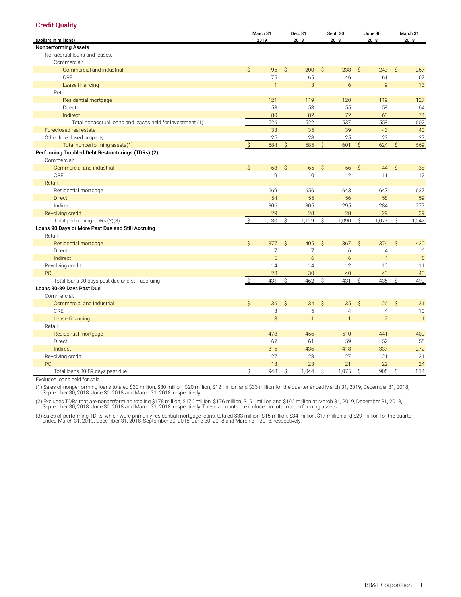<span id="page-26-0"></span>

| <b>Credit Quality</b>                                     |              |                |               |                |               |                |               |                |               |                |
|-----------------------------------------------------------|--------------|----------------|---------------|----------------|---------------|----------------|---------------|----------------|---------------|----------------|
|                                                           |              | March 31       |               | Dec. 31        |               | Sept. 30       |               | June 30        |               | March 31       |
| (Dollars in millions)                                     |              | 2019           |               | 2018           |               | 2018           |               | 2018           |               | 2018           |
| <b>Nonperforming Assets</b>                               |              |                |               |                |               |                |               |                |               |                |
| Nonaccrual loans and leases:                              |              |                |               |                |               |                |               |                |               |                |
| Commercial:                                               |              |                |               |                |               |                |               |                |               |                |
| Commercial and industrial                                 | $\mathsf{S}$ | 196            | S.            | 200            | $\mathcal{S}$ | 238            | $\mathsf{S}$  | 243            | $\mathsf{S}$  | 257            |
| CRE                                                       |              | 75             |               | 65             |               | 46             |               | 61             |               | 67             |
| Lease financing                                           |              | $\mathbf{1}$   |               | 3              |               | 6              |               | 9              |               | 13             |
| Retail:                                                   |              |                |               |                |               |                |               |                |               |                |
| Residential mortgage                                      |              | 121            |               | 119            |               | 120            |               | 119            |               | 127            |
| Direct                                                    |              | 53             |               | 53             |               | 55             |               | 58             |               | 64             |
| Indirect                                                  |              | 80             |               | 82             |               | 72             |               | 68             |               | 74             |
| Total nonaccrual loans and leases held for investment (1) |              | 526            |               | 522            |               | 537            |               | 558            |               | 602            |
| Foreclosed real estate                                    |              | 33             |               | 35             |               | 39             |               | 43             |               | 40             |
| Other foreclosed property                                 |              | 25             |               | 28             |               | 25             |               | 23             |               | 27             |
| Total nonperforming assets(1)                             | <sub>S</sub> | 584            | $\mathcal{S}$ | 585            | $\mathcal{S}$ | 601            | $\mathsf{S}$  | 624            | $\mathcal{S}$ | 669            |
| Performing Troubled Debt Restructurings (TDRs) (2)        |              |                |               |                |               |                |               |                |               |                |
| Commercial:                                               |              |                |               |                |               |                |               |                |               |                |
| Commercial and industrial                                 | $\mathsf{S}$ | 63             | $\mathsf{S}$  | 65             | $\hat{S}$     | 56             | $\hat{S}$     | 44             | $\hat{S}$     | 38             |
| CRE                                                       |              | 9              |               | 10             |               | 12             |               | 11             |               | 12             |
| Retail:                                                   |              |                |               |                |               |                |               |                |               |                |
| Residential mortgage                                      |              | 669            |               | 656            |               | 643            |               | 647            |               | 627            |
| <b>Direct</b>                                             |              | 54             |               | 55             |               | 56             |               | 58             |               | 59             |
| Indirect                                                  |              | 306            |               | 305            |               | 295            |               | 284            |               | 277            |
| Revolving credit                                          |              | 29             |               | 28             |               | 28             |               | 29             |               | 29             |
| Total performing TDRs (2)(3)                              | -\$          | 1,130          | Ś             | 1,119          | Ŝ.            | 1,090          | Ŝ.            | 1,073          | Ŝ.            | 1,042          |
| Loans 90 Days or More Past Due and Still Accruing         |              |                |               |                |               |                |               |                |               |                |
| Retail:                                                   |              |                |               |                |               |                |               |                |               |                |
| Residential mortgage                                      | $\mathsf{S}$ | 377            | $\hat{S}$     | 405            | $\mathcal{S}$ | 367            | $\mathsf{S}$  | 374            | $\mathsf{S}$  | 420            |
| Direct                                                    |              | $\overline{7}$ |               | $\overline{7}$ |               | 6              |               | $\overline{4}$ |               | 6              |
| Indirect                                                  |              | 5              |               | 6              |               | 6              |               | $\overline{4}$ |               | 5              |
| Revolving credit                                          |              | 14             |               | 14             |               | 12             |               | 10             |               | 11             |
| PCI                                                       |              | 28             |               | 30             |               | 40             |               | 43             |               | 48             |
| Total loans 90 days past due and still accruing           |              | 431            | $\mathsf{S}$  | 462            | $\mathcal{S}$ | 431            | $\mathcal{S}$ | 435            | $\mathcal{S}$ | 490            |
| Loans 30-89 Days Past Due                                 |              |                |               |                |               |                |               |                |               |                |
| Commercial:                                               |              |                |               |                |               |                |               |                |               |                |
| Commercial and industrial                                 | \$           | 36             | $\mathsf{S}$  | 34             | $\hat{S}$     | 35             | $\mathsf{S}$  | 26             | $\hat{S}$     | 31             |
| <b>CRE</b>                                                |              | 3              |               | $\sqrt{5}$     |               | $\overline{4}$ |               | $\overline{4}$ |               | 10             |
| Lease financing                                           |              | 3              |               | $\overline{1}$ |               | $\overline{1}$ |               | $\overline{2}$ |               | $\overline{1}$ |
| Retail:                                                   |              |                |               |                |               |                |               |                |               |                |
| Residential mortgage                                      |              | 478            |               | 456            |               | 510            |               | 441            |               | 400            |
| <b>Direct</b>                                             |              | 67             |               | 61             |               | 59             |               | 52             |               | 55             |
| Indirect                                                  |              | 316            |               |                |               | 418            |               | 337            |               | 272            |
|                                                           |              | 27             |               | 436<br>28      |               | 27             |               | 21             |               | 21             |
| Revolving credit<br>PCI                                   |              | 18             |               | 23             |               | 21             |               | 22             |               |                |
|                                                           |              |                |               |                |               |                |               |                |               | 24             |
| Total loans 30-89 days past due                           | $\mathsf S$  | 948            | Ŝ             | 1,044          | \$            | 1,075          | S.            | 905            | S.            | 814            |

Excludes loans held for sale.

(1) Sales of nonperforming loans totaled \$30 million, \$30 million, \$20 million, \$12 million and \$33 million for the quarter ended March 31, 2019, December 31, 2018,<br>September 30, 2018, June 30, 2018 and March 31, 2018, res

(2) Excludes TDRs that are nonperforming totaling \$178 million, \$176 million, \$176 million, \$191 million and \$196 million at March 31, 2019, December 31, 2018,<br>September 30, 2018, June 30, 2018 and March 31, 2018, respecti

(3) Sales of performing TDRs, which were primarily residential mortgage loans, totaled \$33 million, \$15 million, \$34 million, \$17 million and \$29 million for the quarter<br>ended March 31, 2019, December 31, 2018, September 3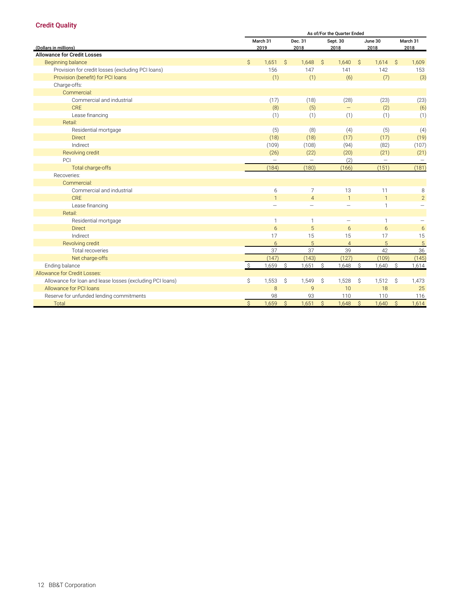#### **Credit Quality**

|                                                           | As of/For the Quarter Ended |                          |               |                          |               |                          |               |                          |          |                |  |
|-----------------------------------------------------------|-----------------------------|--------------------------|---------------|--------------------------|---------------|--------------------------|---------------|--------------------------|----------|----------------|--|
|                                                           |                             | March 31                 |               | Dec. 31                  | Sept. 30      |                          |               | June 30                  | March 31 |                |  |
| (Dollars in millions)                                     |                             | 2019                     |               | 2018                     | 2018          |                          |               | 2018                     |          | 2018           |  |
| <b>Allowance for Credit Losses</b>                        |                             |                          |               |                          |               |                          |               |                          |          |                |  |
| Beginning balance                                         | $\mathsf{S}$                | 1,651                    | Ŝ             | 1,648                    | S.            | 1,640                    | Ŝ.            | 1,614                    | S.       | 1,609          |  |
| Provision for credit losses (excluding PCI loans)         |                             | 156                      |               | 147                      |               | 141                      |               | 142                      |          | 153            |  |
| Provision (benefit) for PCI loans                         |                             | (1)                      |               | (1)                      |               | (6)                      |               | (7)                      |          | (3)            |  |
| Charge-offs:                                              |                             |                          |               |                          |               |                          |               |                          |          |                |  |
| Commercial:                                               |                             |                          |               |                          |               |                          |               |                          |          |                |  |
| Commercial and industrial                                 |                             | (17)                     |               | (18)                     |               | (28)                     |               | (23)                     |          | (23)           |  |
| CRE                                                       |                             | (8)                      |               | (5)                      |               |                          |               | (2)                      |          | (6)            |  |
| Lease financing                                           |                             | (1)                      |               | (1)                      |               | (1)                      |               | (1)                      |          | (1)            |  |
| Retail:                                                   |                             |                          |               |                          |               |                          |               |                          |          |                |  |
| Residential mortgage                                      |                             | (5)                      |               | (8)                      |               | (4)                      |               | (5)                      |          | (4)            |  |
| <b>Direct</b>                                             |                             | (18)                     |               | (18)                     |               | (17)                     |               | (17)                     |          | (19)           |  |
| Indirect                                                  |                             | (109)                    |               | (108)                    |               | (94)                     |               | (82)                     |          | (107)          |  |
| Revolving credit                                          |                             | (26)                     |               | (22)                     |               | (20)                     |               | (21)                     |          | (21)           |  |
| PCI                                                       |                             |                          |               | Ξ.                       |               | (2)                      |               | $\overline{\phantom{0}}$ |          |                |  |
| Total charge-offs                                         |                             | (184)                    |               | (180)                    |               | (166)                    |               | (151)                    |          | (181)          |  |
| Recoveries:                                               |                             |                          |               |                          |               |                          |               |                          |          |                |  |
| Commercial:                                               |                             |                          |               |                          |               |                          |               |                          |          |                |  |
| Commercial and industrial                                 |                             | 6                        |               | 7                        |               | 13                       |               | 11                       |          | 8              |  |
| CRF                                                       |                             | $\mathbf{1}$             |               | $\overline{4}$           |               | $\mathbf{1}$             |               | $\mathbf{1}$             |          | $\overline{2}$ |  |
| Lease financing                                           |                             | $\overline{\phantom{0}}$ |               | $\overline{\phantom{0}}$ |               | $\overline{\phantom{0}}$ |               | 1                        |          |                |  |
| Retail:                                                   |                             |                          |               |                          |               |                          |               |                          |          |                |  |
| Residential mortgage                                      |                             | $\mathbf{1}$             |               | 1                        |               |                          |               | $\mathbf{1}$             |          |                |  |
| <b>Direct</b>                                             |                             | 6                        |               | 5                        |               | 6                        |               | 6                        |          | 6              |  |
| Indirect                                                  |                             | 17                       |               | 15                       |               | 15                       |               | 17                       |          | 15             |  |
| Revolving credit                                          |                             | 6                        |               | 5                        |               | $\overline{4}$           |               | 5                        |          | 5              |  |
| Total recoveries                                          |                             | 37                       |               | 37                       |               | 39                       |               | 42                       |          | 36             |  |
| Net charge-offs                                           |                             | (147)                    |               | (143)                    |               | (127)                    |               | (109)                    |          | (145)          |  |
| Ending balance                                            | Ŝ                           | 1,659                    | Ŝ             | 1,651                    | Ś             | 1,648                    | Ŝ.            | 1,640                    | Ŝ.       | 1,614          |  |
| Allowance for Credit Losses:                              |                             |                          |               |                          |               |                          |               |                          |          |                |  |
| Allowance for loan and lease losses (excluding PCI loans) | \$                          | 1,553                    | \$            | 1,549                    | \$            | 1,528                    | \$            | 1,512                    | Ŝ        | 1,473          |  |
| Allowance for PCI loans                                   |                             | 8                        |               | 9                        |               | 10                       |               | 18                       |          | 25             |  |
| Reserve for unfunded lending commitments                  |                             | 98                       |               | 93                       |               | 110                      |               | 110                      |          | 116            |  |
| Total                                                     | $\mathsf{S}$                | 1,659                    | $\mathcal{S}$ | 1,651                    | $\mathcal{S}$ | 1,648                    | $\mathcal{S}$ | 1,640                    | S        | 1,614          |  |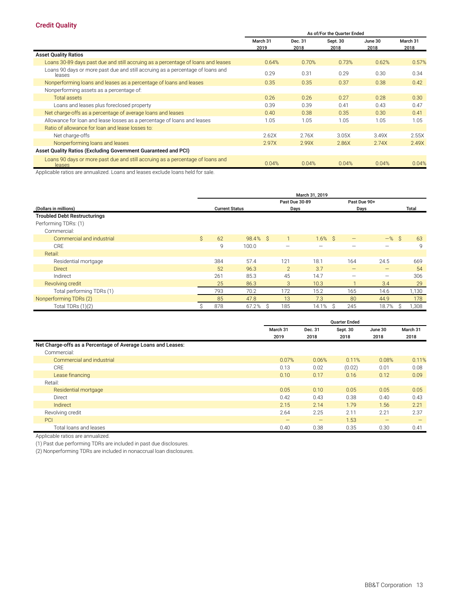#### **Credit Quality**

|                                                                                          | As of/For the Quarter Ended |                 |                  |                 |                  |  |  |  |  |
|------------------------------------------------------------------------------------------|-----------------------------|-----------------|------------------|-----------------|------------------|--|--|--|--|
|                                                                                          | March 31<br>2019            | Dec. 31<br>2018 | Sept. 30<br>2018 | June 30<br>2018 | March 31<br>2018 |  |  |  |  |
| <b>Asset Quality Ratios</b>                                                              |                             |                 |                  |                 |                  |  |  |  |  |
| Loans 30-89 days past due and still accruing as a percentage of loans and leases         | 0.64%                       | 0.70%           | 0.73%            | 0.62%           | 0.57%            |  |  |  |  |
| Loans 90 days or more past due and still accruing as a percentage of loans and<br>leases | 0.29                        | 0.31            | 0.29             | 0.30            | 0.34             |  |  |  |  |
| Nonperforming loans and leases as a percentage of loans and leases                       | 0.35                        | 0.35            | 0.37             | 0.38            | 0.42             |  |  |  |  |
| Nonperforming assets as a percentage of:                                                 |                             |                 |                  |                 |                  |  |  |  |  |
| Total assets                                                                             | 0.26                        | 0.26            | 0.27             | 0.28            | 0.30             |  |  |  |  |
| Loans and leases plus foreclosed property                                                | 0.39                        | 0.39            | 0.41             | 0.43            | 0.47             |  |  |  |  |
| Net charge-offs as a percentage of average loans and leases                              | 0.40                        | 0.38            | 0.35             | 0.30            | 0.41             |  |  |  |  |
| Allowance for loan and lease losses as a percentage of loans and leases                  | 1.05                        | 1.05            | 1.05             | 1.05            | 1.05             |  |  |  |  |
| Ratio of allowance for loan and lease losses to:                                         |                             |                 |                  |                 |                  |  |  |  |  |
| Net charge-offs                                                                          | 2.62X                       | 2.76X           | 3.05X            | 3.49X           | 2.55X            |  |  |  |  |
| Nonperforming loans and leases                                                           | 2.97X                       | 2.99X           | 2.86X            | 2.74X           | 2.49X            |  |  |  |  |
| Asset Quality Ratios (Excluding Government Guaranteed and PCI)                           |                             |                 |                  |                 |                  |  |  |  |  |
| Loans 90 days or more past due and still accruing as a percentage of loans and<br>leases | 0.04%                       | 0.04%           | 0.04%            | 0.04%           | 0.04%            |  |  |  |  |

Applicable ratios are annualized. Loans and leases exclude loans held for sale.

|                                                                                      | March 31, 2019 |     |                       |                |                |                   |                          |              |  |  |  |  |
|--------------------------------------------------------------------------------------|----------------|-----|-----------------------|----------------|----------------|-------------------|--------------------------|--------------|--|--|--|--|
|                                                                                      |                |     |                       |                | Past Due 30-89 |                   | Past Due 90+             |              |  |  |  |  |
| (Dollars in millions)<br><b>Troubled Debt Restructurings</b><br>Performing TDRs: (1) |                |     | <b>Current Status</b> |                | Days           |                   | Days                     | <b>Total</b> |  |  |  |  |
| Commercial:                                                                          |                |     |                       |                |                |                   |                          |              |  |  |  |  |
| Commercial and industrial                                                            | $\mathsf{S}$   | 62  | 98.4% \$              |                | $1.6\%$ \$     | $\qquad \qquad -$ | $-$ % \$                 | 63           |  |  |  |  |
| <b>CRE</b>                                                                           |                | 9   | 100.0                 |                |                | -                 | $\overline{\phantom{0}}$ | 9            |  |  |  |  |
| Retail:                                                                              |                |     |                       |                |                |                   |                          |              |  |  |  |  |
| Residential mortgage                                                                 |                | 384 | 57.4                  | 121            | 18.1           | 164               | 24.5                     | 669          |  |  |  |  |
| <b>Direct</b>                                                                        |                | 52  | 96.3                  | $\overline{2}$ | 3.7            | $\qquad \qquad -$ | —                        | 54           |  |  |  |  |
| Indirect                                                                             |                | 261 | 85.3                  | 45             | 14.7           |                   | -                        | 306          |  |  |  |  |
| Revolving credit                                                                     |                | 25  | 86.3                  | 3              | 10.3           |                   | 3.4                      | 29           |  |  |  |  |
| Total performing TDRs (1)                                                            |                | 793 | 70.2                  | 172            | 15.2           | 165               | 14.6                     | 1,130        |  |  |  |  |
| Nonperforming TDRs (2)                                                               |                | 85  | 47.8                  | 13             | 7.3            | 80                | 44.9                     | 178          |  |  |  |  |
| Total TDRs $(1)(2)$                                                                  |                | 878 | 67.2%                 | 185<br>S.      | 14.1%          | 245<br>Ŝ.         | 18.7%                    | 1,308        |  |  |  |  |

|                                                              |                   |                   | <b>Quarter Ended</b> |                   |                   |
|--------------------------------------------------------------|-------------------|-------------------|----------------------|-------------------|-------------------|
|                                                              | March 31          | Dec. 31           | Sept. 30             | June 30           | March 31          |
|                                                              | 2019              | 2018              | 2018                 | 2018              | 2018              |
| Net Charge-offs as a Percentage of Average Loans and Leases: |                   |                   |                      |                   |                   |
| Commercial:                                                  |                   |                   |                      |                   |                   |
| Commercial and industrial                                    | 0.07%             | 0.06%             | 0.11%                | 0.08%             | 0.11%             |
| <b>CRE</b>                                                   | 0.13              | 0.02              | (0.02)               | 0.01              | 0.08              |
| Lease financing                                              | 0.10              | 0.17              | 0.16                 | 0.12              | 0.09              |
| Retail:                                                      |                   |                   |                      |                   |                   |
| Residential mortgage                                         | 0.05              | 0.10              | 0.05                 | 0.05              | 0.05              |
| Direct                                                       | 0.42              | 0.43              | 0.38                 | 0.40              | 0.43              |
| <b>Indirect</b>                                              | 2.15              | 2.14              | 1.79                 | 1.56              | 2.21              |
| Revolving credit                                             | 2.64              | 2.25              | 2.11                 | 2.21              | 2.37              |
| <b>PCI</b>                                                   | $\qquad \qquad -$ | $\qquad \qquad -$ | 1.53                 | $\qquad \qquad -$ | $\qquad \qquad -$ |
| Total loans and leases                                       | 0.40              | 0.38              | 0.35                 | 0.30              | 0.41              |

Applicable ratios are annualized.

(1) Past due performing TDRs are included in past due disclosures.

(2) Nonperforming TDRs are included in nonaccrual loan disclosures.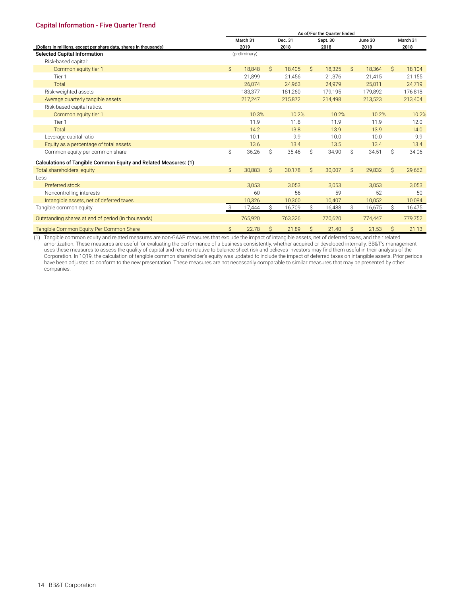#### <span id="page-29-0"></span>**Capital Information - Five Quarter Trend**

|                                                                   | As of/For the Quarter Ended |               |               |         |               |          |               |         |               |          |  |
|-------------------------------------------------------------------|-----------------------------|---------------|---------------|---------|---------------|----------|---------------|---------|---------------|----------|--|
|                                                                   |                             | March 31      |               | Dec. 31 |               | Sept. 30 |               | June 30 |               | March 31 |  |
| (Dollars in millions, except per share data, shares in thousands) |                             | 2019          |               | 2018    |               | 2018     |               | 2018    |               | 2018     |  |
| <b>Selected Capital Information</b>                               |                             | (preliminary) |               |         |               |          |               |         |               |          |  |
| Risk-based capital:                                               |                             |               |               |         |               |          |               |         |               |          |  |
| Common equity tier 1                                              | Ŝ.                          | 18,848        | $\mathcal{S}$ | 18,405  | $\mathcal{S}$ | 18,325   | $\mathcal{S}$ | 18,364  | $\mathcal{S}$ | 18,104   |  |
| Tier 1                                                            |                             | 21,899        |               | 21,456  |               | 21,376   |               | 21,415  |               | 21,155   |  |
| Total                                                             |                             | 26.074        |               | 24.963  |               | 24.979   |               | 25.011  |               | 24.719   |  |
| Risk-weighted assets                                              |                             | 183,377       |               | 181,260 |               | 179,195  |               | 179,892 |               | 176,818  |  |
| Average quarterly tangible assets                                 |                             | 217,247       |               | 215,872 |               | 214,498  |               | 213,523 |               | 213,404  |  |
| Risk-based capital ratios:                                        |                             |               |               |         |               |          |               |         |               |          |  |
| Common equity tier 1                                              |                             | 10.3%         |               | 10.2%   |               | 10.2%    |               | 10.2%   |               | 10.2%    |  |
| Tier 1                                                            |                             | 11.9          |               | 11.8    |               | 11.9     |               | 11.9    |               | 12.0     |  |
| Total                                                             |                             | 14.2          |               | 13.8    |               | 13.9     |               | 13.9    |               | 14.0     |  |
| Leverage capital ratio                                            |                             | 10.1          |               | 9.9     |               | 10.0     |               | 10.0    |               | 9.9      |  |
| Equity as a percentage of total assets                            |                             | 13.6          |               | 13.4    |               | 13.5     |               | 13.4    |               | 13.4     |  |
| Common equity per common share                                    | \$                          | 36.26         | Ś.            | 35.46   | Ŝ             | 34.90    | Ŝ.            | 34.51   | Ŝ             | 34.06    |  |
| Calculations of Tangible Common Equity and Related Measures: (1)  |                             |               |               |         |               |          |               |         |               |          |  |
| Total shareholders' equity                                        | $\mathsf{S}$                | 30,883        | $\mathsf{S}$  | 30,178  | $\mathsf{S}$  | 30,007   | $\mathsf{S}$  | 29,832  | $\mathsf{S}$  | 29,662   |  |
| Less:                                                             |                             |               |               |         |               |          |               |         |               |          |  |
| Preferred stock                                                   |                             | 3,053         |               | 3,053   |               | 3,053    |               | 3,053   |               | 3,053    |  |
| Noncontrolling interests                                          |                             | 60            |               | 56      |               | 59       |               | 52      |               | 50       |  |
| Intangible assets, net of deferred taxes                          |                             | 10,326        |               | 10,360  |               | 10,407   |               | 10,052  |               | 10,084   |  |
| Tangible common equity                                            |                             | 17.444        | Ś             | 16,709  | Ŝ.            | 16,488   | Ŝ             | 16,675  | Ŝ             | 16,475   |  |
| Outstanding shares at end of period (in thousands)                |                             | 765,920       |               | 763,326 |               | 770,620  |               | 774,447 |               | 779,752  |  |
| Tangible Common Equity Per Common Share                           | \$                          | 22.78         | \$            | 21.89   | Ŝ             | 21.40    | $\mathsf{S}$  | 21.53   | $\mathsf{S}$  | 21.13    |  |

(1) Tangible common equity and related measures are non-GAAP measures that exclude the impact of intangible assets, net of deferred taxes, and their related amortization. These measures are useful for evaluating the performance of a business consistently, whether acquired or developed internally. BB&T's management uses these measures to assess the quality of capital and returns relative to balance sheet risk and believes investors may find them useful in their analysis of the Corporation. In 1Q19, the calculation of tangible common shareholder's equity was updated to include the impact of deferred taxes on intangible assets. Prior periods have been adjusted to conform to the new presentation. These measures are not necessarily comparable to similar measures that may be presented by other companies.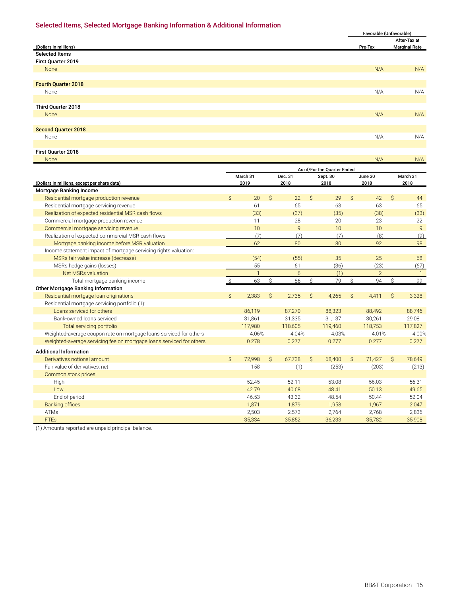#### <span id="page-30-0"></span>**Selected Items, Selected Mortgage Banking Information & Additional Information**

|                            | Favorable (Unfavorable) |                      |
|----------------------------|-------------------------|----------------------|
|                            |                         | After-Tax at         |
| (Dollars in millions)      | Pre-Tax                 | <b>Marginal Rate</b> |
| <b>Selected Items</b>      |                         |                      |
| First Quarter 2019         |                         |                      |
| None                       | N/A                     | N/A                  |
|                            |                         |                      |
| <b>Fourth Quarter 2018</b> |                         |                      |
| None                       | N/A                     | N/A                  |
|                            |                         |                      |
| Third Quarter 2018         |                         |                      |
| None                       | N/A                     | N/A                  |
|                            |                         |                      |
| <b>Second Quarter 2018</b> |                         |                      |
| None                       | N/A                     | N/A                  |
|                            |                         |                      |
| First Quarter 2018         |                         |                      |

None and the second contract of the second contract of the second contract of the N/A  $_{\rm N/A}$  N/A  $_{\rm N/A}$  N/A

|                                                                      | As of/For the Quarter Ended |                          |               |                          |               |                          |               |                          |               |                          |
|----------------------------------------------------------------------|-----------------------------|--------------------------|---------------|--------------------------|---------------|--------------------------|---------------|--------------------------|---------------|--------------------------|
|                                                                      |                             | March 31                 |               | Dec. 31                  |               | Sept. 30                 |               | June 30                  |               | March 31                 |
| (Dollars in millions, except per share data)                         |                             | 2019<br>2018             |               |                          | 2018          |                          |               | 2018                     |               | 2018                     |
| Mortgage Banking Income                                              |                             |                          |               |                          |               |                          |               |                          |               |                          |
| Residential mortgage production revenue                              | Ŝ.                          | 20                       | Ŝ.            | 22                       | Ŝ.            | 29                       | Ŝ.            | 42                       | $\mathcal{S}$ | 44                       |
| Residential mortgage servicing revenue                               |                             | 61                       |               | 65                       |               | 63                       |               | 63                       |               | 65                       |
| Realization of expected residential MSR cash flows                   |                             | (33)                     |               | (37)                     |               | (35)                     |               | (38)                     |               | (33)                     |
| Commercial mortgage production revenue                               |                             | 11                       |               | 28                       |               | 20                       |               | 23                       |               | 22                       |
| Commercial mortgage servicing revenue                                |                             | 10                       |               | 9                        |               | 10                       |               | 10                       |               | $\mathsf{q}$             |
| Realization of expected commercial MSR cash flows                    |                             | (7)                      |               | (7)                      |               | (7)                      |               | (8)                      |               | (9)                      |
| Mortgage banking income before MSR valuation                         |                             | 62                       |               | 80                       |               | 80                       |               | 92                       |               | 98                       |
| Income statement impact of mortgage servicing rights valuation:      |                             |                          |               |                          |               |                          |               |                          |               |                          |
| MSRs fair value increase (decrease)                                  |                             | (54)                     |               | (55)                     |               | 35                       |               | 25                       |               | 68                       |
| MSRs hedge gains (losses)                                            |                             | 55                       |               | 61                       |               | (36)                     |               | (23)                     |               | (67)                     |
| Net MSRs valuation                                                   |                             | $\mathbf{1}$             |               | 6                        |               | (1)                      |               | $\overline{2}$           |               | $\overline{1}$           |
| Total mortgage banking income                                        |                             | 63                       | Ŝ             | 86                       | Ŝ.            | 79                       | Ŝ             | 94                       | Ŝ.            | 99                       |
| <b>Other Mortgage Banking Information</b>                            |                             |                          |               |                          |               |                          |               |                          |               |                          |
| Residential mortgage loan originations                               | $\mathsf{S}$                | 2,383                    | Ŝ.            | 2,735                    | $\mathsf{S}$  | 4,265                    | Ŝ             | 4,411                    | Ŝ.            | 3,328                    |
| Residential mortgage servicing portfolio (1):                        |                             |                          |               |                          |               |                          |               |                          |               |                          |
| Loans serviced for others                                            |                             | 86,119                   |               | 87,270                   |               | 88,323                   |               | 88,492                   |               | 88,746                   |
| Bank-owned loans serviced                                            |                             | 31,861                   |               | 31,335                   |               | 31,137                   |               | 30,261                   |               | 29,081                   |
| Total servicing portfolio                                            |                             | 117.980                  |               | 118.605                  |               | 119.460                  |               | 118.753                  |               | 117.827                  |
| Weighted-average coupon rate on mortgage loans serviced for others   |                             | 4.06%                    |               | 4.04%                    |               | 4.03%                    |               | 4.01%                    |               | 4.00%                    |
| Weighted-average servicing fee on mortgage loans serviced for others |                             | 0.278                    |               | 0.277                    |               | 0.277                    |               | 0.277                    |               | 0.277                    |
| <b>Additional Information</b>                                        |                             |                          |               |                          |               |                          |               |                          |               |                          |
| Derivatives notional amount                                          | $\mathsf{S}$                | 72,998                   | $\mathcal{S}$ | 67,738                   | $\mathcal{S}$ | 68,400                   | $\mathcal{S}$ | 71,427                   | $\mathcal{S}$ | 78,649                   |
| Fair value of derivatives, net                                       |                             | 158                      |               | (1)                      |               | (253)                    |               | (203)                    |               | (213)                    |
| Common stock prices:                                                 |                             |                          |               |                          |               |                          |               |                          |               |                          |
| High                                                                 |                             | 52.45                    |               | 52.11                    |               | 53.08                    |               | 56.03                    |               | 56.31                    |
| Low                                                                  |                             | 42.79                    |               | 40.68                    |               | 48.41                    |               | 50.13                    |               | 49.65                    |
| End of period                                                        |                             | 46.53                    |               | 43.32                    |               | 48.54                    |               | 50.44                    |               | 52.04                    |
|                                                                      |                             |                          |               |                          |               |                          |               |                          |               |                          |
|                                                                      |                             |                          |               |                          |               |                          |               |                          |               |                          |
|                                                                      |                             |                          |               |                          |               |                          |               |                          |               |                          |
| <b>Banking offices</b><br><b>ATMs</b><br><b>FTEs</b>                 |                             | 1,871<br>2,503<br>35,334 |               | 1,879<br>2,573<br>35,852 |               | 1,958<br>2.764<br>36,233 |               | 1,967<br>2.768<br>35,782 |               | 2,047<br>2,836<br>35,908 |

(1) Amounts reported are unpaid principal balance.